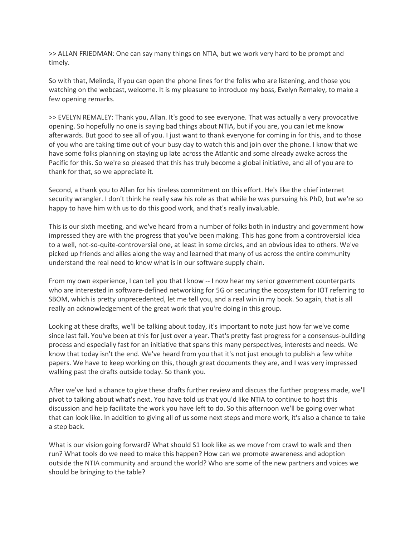>> ALLAN FRIEDMAN: One can say many things on NTIA, but we work very hard to be prompt and timely.

So with that, Melinda, if you can open the phone lines for the folks who are listening, and those you watching on the webcast, welcome. It is my pleasure to introduce my boss, Evelyn Remaley, to make a few opening remarks.

>> EVELYN REMALEY: Thank you, Allan. It's good to see everyone. That was actually a very provocative opening. So hopefully no one is saying bad things about NTIA, but if you are, you can let me know afterwards. But good to see all of you. I just want to thank everyone for coming in for this, and to those of you who are taking time out of your busy day to watch this and join over the phone. I know that we have some folks planning on staying up late across the Atlantic and some already awake across the Pacific for this. So we're so pleased that this has truly become a global initiative, and all of you are to thank for that, so we appreciate it.

Second, a thank you to Allan for his tireless commitment on this effort. He's like the chief internet security wrangler. I don't think he really saw his role as that while he was pursuing his PhD, but we're so happy to have him with us to do this good work, and that's really invaluable.

This is our sixth meeting, and we've heard from a number of folks both in industry and government how impressed they are with the progress that you've been making. This has gone from a controversial idea to a well, not-so-quite-controversial one, at least in some circles, and an obvious idea to others. We've picked up friends and allies along the way and learned that many of us across the entire community understand the real need to know what is in our software supply chain.

From my own experience, I can tell you that I know -- I now hear my senior government counterparts who are interested in software-defined networking for 5G or securing the ecosystem for IOT referring to SBOM, which is pretty unprecedented, let me tell you, and a real win in my book. So again, that is all really an acknowledgement of the great work that you're doing in this group.

Looking at these drafts, we'll be talking about today, it's important to note just how far we've come since last fall. You've been at this for just over a year. That's pretty fast progress for a consensus-building process and especially fast for an initiative that spans this many perspectives, interests and needs. We know that today isn't the end. We've heard from you that it's not just enough to publish a few white papers. We have to keep working on this, though great documents they are, and I was very impressed walking past the drafts outside today. So thank you.

After we've had a chance to give these drafts further review and discuss the further progress made, we'll pivot to talking about what's next. You have told us that you'd like NTIA to continue to host this discussion and help facilitate the work you have left to do. So this afternoon we'll be going over what that can look like. In addition to giving all of us some next steps and more work, it's also a chance to take a step back.

What is our vision going forward? What should S1 look like as we move from crawl to walk and then run? What tools do we need to make this happen? How can we promote awareness and adoption outside the NTIA community and around the world? Who are some of the new partners and voices we should be bringing to the table?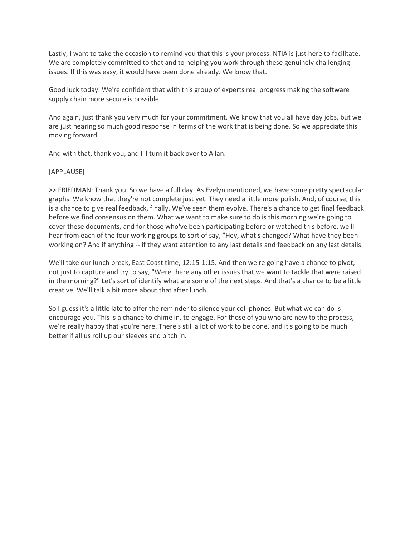Lastly, I want to take the occasion to remind you that this is your process. NTIA is just here to facilitate. We are completely committed to that and to helping you work through these genuinely challenging issues. If this was easy, it would have been done already. We know that.

Good luck today. We're confident that with this group of experts real progress making the software supply chain more secure is possible.

And again, just thank you very much for your commitment. We know that you all have day jobs, but we are just hearing so much good response in terms of the work that is being done. So we appreciate this moving forward.

And with that, thank you, and I'll turn it back over to Allan.

# [APPLAUSE]

>> FRIEDMAN: Thank you. So we have a full day. As Evelyn mentioned, we have some pretty spectacular graphs. We know that they're not complete just yet. They need a little more polish. And, of course, this is a chance to give real feedback, finally. We've seen them evolve. There's a chance to get final feedback before we find consensus on them. What we want to make sure to do is this morning we're going to cover these documents, and for those who've been participating before or watched this before, we'll hear from each of the four working groups to sort of say, "Hey, what's changed? What have they been working on? And if anything -- if they want attention to any last details and feedback on any last details.

We'll take our lunch break, East Coast time, 12:15-1:15. And then we're going have a chance to pivot, not just to capture and try to say, "Were there any other issues that we want to tackle that were raised in the morning?" Let's sort of identify what are some of the next steps. And that's a chance to be a little creative. We'll talk a bit more about that after lunch.

So I guess it's a little late to offer the reminder to silence your cell phones. But what we can do is encourage you. This is a chance to chime in, to engage. For those of you who are new to the process, we're really happy that you're here. There's still a lot of work to be done, and it's going to be much better if all us roll up our sleeves and pitch in.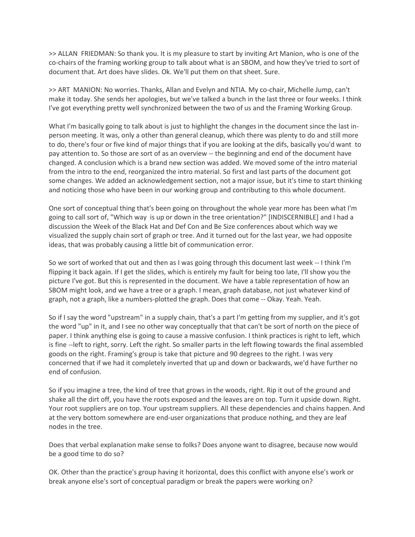>> ALLAN FRIEDMAN: So thank you. It is my pleasure to start by inviting Art Manion, who is one of the co-chairs of the framing working group to talk about what is an SBOM, and how they've tried to sort of document that. Art does have slides. Ok. We'll put them on that sheet. Sure.

>> ART MANION: No worries. Thanks, Allan and Evelyn and NTIA. My co-chair, Michelle Jump, can't make it today. She sends her apologies, but we've talked a bunch in the last three or four weeks. I think I've got everything pretty well synchronized between the two of us and the Framing Working Group.

What I'm basically going to talk about is just to highlight the changes in the document since the last inperson meeting. It was, only a other than general cleanup, which there was plenty to do and still more to do, there's four or five kind of major things that if you are looking at the difs, basically you'd want to pay attention to. So those are sort of as an overview -- the beginning and end of the document have changed. A conclusion which is a brand new section was added. We moved some of the intro material from the intro to the end, reorganized the intro material. So first and last parts of the document got some changes. We added an acknowledgement section, not a major issue, but it's time to start thinking and noticing those who have been in our working group and contributing to this whole document.

One sort of conceptual thing that's been going on throughout the whole year more has been what I'm going to call sort of, "Which way is up or down in the tree orientation?" [INDISCERNIBLE] and I had a discussion the Week of the Black Hat and Def Con and Be Size conferences about which way we visualized the supply chain sort of graph or tree. And it turned out for the last year, we had opposite ideas, that was probably causing a little bit of communication error.

So we sort of worked that out and then as I was going through this document last week -- I think I'm flipping it back again. If I get the slides, which is entirely my fault for being too late, I'll show you the picture I've got. But this is represented in the document. We have a table representation of how an SBOM might look, and we have a tree or a graph. I mean, graph database, not just whatever kind of graph, not a graph, like a numbers-plotted the graph. Does that come -- Okay. Yeah. Yeah.

So if I say the word "upstream" in a supply chain, that's a part I'm getting from my supplier, and it's got the word "up" in it, and I see no other way conceptually that that can't be sort of north on the piece of paper. I think anything else is going to cause a massive confusion. I think practices is right to left, which is fine --left to right, sorry. Left the right. So smaller parts in the left flowing towards the final assembled goods on the right. Framing's group is take that picture and 90 degrees to the right. I was very concerned that if we had it completely inverted that up and down or backwards, we'd have further no end of confusion.

So if you imagine a tree, the kind of tree that grows in the woods, right. Rip it out of the ground and shake all the dirt off, you have the roots exposed and the leaves are on top. Turn it upside down. Right. Your root suppliers are on top. Your upstream suppliers. All these dependencies and chains happen. And at the very bottom somewhere are end-user organizations that produce nothing, and they are leaf nodes in the tree.

Does that verbal explanation make sense to folks? Does anyone want to disagree, because now would be a good time to do so?

OK. Other than the practice's group having it horizontal, does this conflict with anyone else's work or break anyone else's sort of conceptual paradigm or break the papers were working on?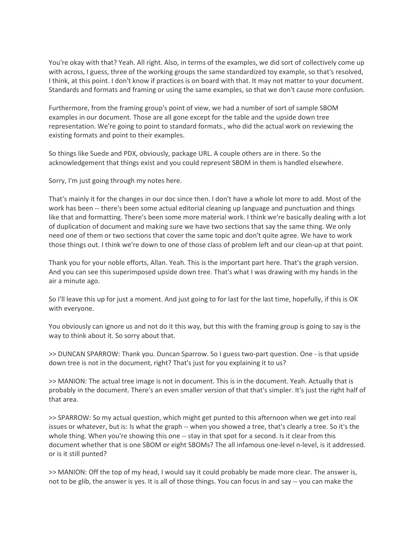You're okay with that? Yeah. All right. Also, in terms of the examples, we did sort of collectively come up with across, I guess, three of the working groups the same standardized toy example, so that's resolved, I think, at this point. I don't know if practices is on board with that. It may not matter to your document. Standards and formats and framing or using the same examples, so that we don't cause more confusion.

Furthermore, from the framing group's point of view, we had a number of sort of sample SBOM examples in our document. Those are all gone except for the table and the upside down tree representation. We're going to point to standard formats., who did the actual work on reviewing the existing formats and point to their examples.

So things like Suede and PDX, obviously, package URL. A couple others are in there. So the acknowledgement that things exist and you could represent SBOM in them is handled elsewhere.

Sorry, I'm just going through my notes here.

That's mainly it for the changes in our doc since then. I don't have a whole lot more to add. Most of the work has been -- there's been some actual editorial cleaning up language and punctuation and things like that and formatting. There's been some more material work. I think we're basically dealing with a lot of duplication of document and making sure we have two sections that say the same thing. We only need one of them or two sections that cover the same topic and don't quite agree. We have to work those things out. I think we're down to one of those class of problem left and our clean-up at that point.

Thank you for your noble efforts, Allan. Yeah. This is the important part here. That's the graph version. And you can see this superimposed upside down tree. That's what I was drawing with my hands in the air a minute ago.

So I'll leave this up for just a moment. And just going to for last for the last time, hopefully, if this is OK with everyone.

You obviously can ignore us and not do it this way, but this with the framing group is going to say is the way to think about it. So sorry about that.

>> DUNCAN SPARROW: Thank you. Duncan Sparrow. So I guess two-part question. One - is that upside down tree is not in the document, right? That's just for you explaining it to us?

>> MANION: The actual tree image is not in document. This is in the document. Yeah. Actually that is probably in the document. There's an even smaller version of that that's simpler. It's just the right half of that area.

>> SPARROW: So my actual question, which might get punted to this afternoon when we get into real issues or whatever, but is: Is what the graph -- when you showed a tree, that's clearly a tree. So it's the whole thing. When you're showing this one -- stay in that spot for a second. Is it clear from this document whether that is one SBOM or eight SBOMs? The all infamous one-level n-level, is it addressed. or is it still punted?

>> MANION: Off the top of my head, I would say it could probably be made more clear. The answer is, not to be glib, the answer is yes. It is all of those things. You can focus in and say -- you can make the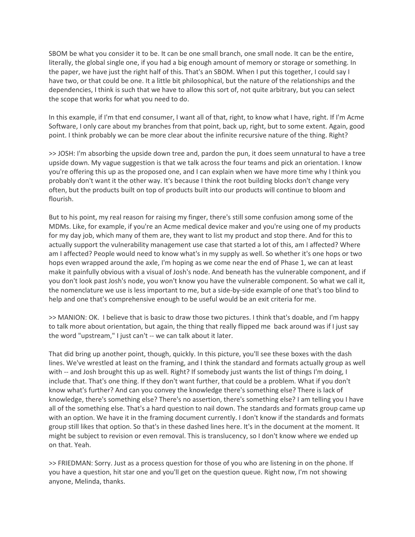SBOM be what you consider it to be. It can be one small branch, one small node. It can be the entire, literally, the global single one, if you had a big enough amount of memory or storage or something. In the paper, we have just the right half of this. That's an SBOM. When I put this together, I could say I have two, or that could be one. It a little bit philosophical, but the nature of the relationships and the dependencies, I think is such that we have to allow this sort of, not quite arbitrary, but you can select the scope that works for what you need to do.

In this example, if I'm that end consumer, I want all of that, right, to know what I have, right. If I'm Acme Software, I only care about my branches from that point, back up, right, but to some extent. Again, good point. I think probably we can be more clear about the infinite recursive nature of the thing. Right?

>> JOSH: I'm absorbing the upside down tree and, pardon the pun, it does seem unnatural to have a tree upside down. My vague suggestion is that we talk across the four teams and pick an orientation. I know you're offering this up as the proposed one, and I can explain when we have more time why I think you probably don't want it the other way. It's because I think the root building blocks don't change very often, but the products built on top of products built into our products will continue to bloom and flourish.

But to his point, my real reason for raising my finger, there's still some confusion among some of the MDMs. Like, for example, if you're an Acme medical device maker and you're using one of my products for my day job, which many of them are, they want to list my product and stop there. And for this to actually support the vulnerability management use case that started a lot of this, am I affected? Where am I affected? People would need to know what's in my supply as well. So whether it's one hops or two hops even wrapped around the axle, I'm hoping as we come near the end of Phase 1, we can at least make it painfully obvious with a visual of Josh's node. And beneath has the vulnerable component, and if you don't look past Josh's node, you won't know you have the vulnerable component. So what we call it, the nomenclature we use is less important to me, but a side-by-side example of one that's too blind to help and one that's comprehensive enough to be useful would be an exit criteria for me.

>> MANION: OK. I believe that is basic to draw those two pictures. I think that's doable, and I'm happy to talk more about orientation, but again, the thing that really flipped me back around was if I just say the word "upstream," I just can't -- we can talk about it later.

That did bring up another point, though, quickly. In this picture, you'll see these boxes with the dash lines. We've wrestled at least on the framing, and I think the standard and formats actually group as well with -- and Josh brought this up as well. Right? If somebody just wants the list of things I'm doing, I include that. That's one thing. If they don't want further, that could be a problem. What if you don't know what's further? And can you convey the knowledge there's something else? There is lack of knowledge, there's something else? There's no assertion, there's something else? I am telling you I have all of the something else. That's a hard question to nail down. The standards and formats group came up with an option. We have it in the framing document currently. I don't know if the standards and formats group still likes that option. So that's in these dashed lines here. It's in the document at the moment. It might be subject to revision or even removal. This is translucency, so I don't know where we ended up on that. Yeah.

>> FRIEDMAN: Sorry. Just as a process question for those of you who are listening in on the phone. If you have a question, hit star one and you'll get on the question queue. Right now, I'm not showing anyone, Melinda, thanks.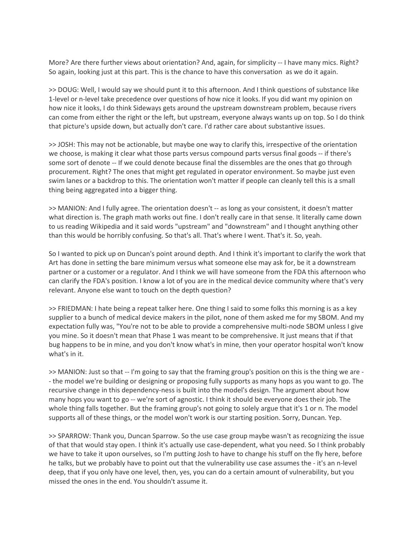More? Are there further views about orientation? And, again, for simplicity -- I have many mics. Right? So again, looking just at this part. This is the chance to have this conversation as we do it again.

>> DOUG: Well, I would say we should punt it to this afternoon. And I think questions of substance like 1-level or n-level take precedence over questions of how nice it looks. If you did want my opinion on how nice it looks, I do think Sideways gets around the upstream downstream problem, because rivers can come from either the right or the left, but upstream, everyone always wants up on top. So I do think that picture's upside down, but actually don't care. I'd rather care about substantive issues.

>> JOSH: This may not be actionable, but maybe one way to clarify this, irrespective of the orientation we choose, is making it clear what those parts versus compound parts versus final goods -- if there's some sort of denote -- If we could denote because final the dissembles are the ones that go through procurement. Right? The ones that might get regulated in operator environment. So maybe just even swim lanes or a backdrop to this. The orientation won't matter if people can cleanly tell this is a small thing being aggregated into a bigger thing.

>> MANION: And I fully agree. The orientation doesn't -- as long as your consistent, it doesn't matter what direction is. The graph math works out fine. I don't really care in that sense. It literally came down to us reading Wikipedia and it said words "upstream" and "downstream" and I thought anything other than this would be horribly confusing. So that's all. That's where I went. That's it. So, yeah.

So I wanted to pick up on Duncan's point around depth. And I think it's important to clarify the work that Art has done in setting the bare minimum versus what someone else may ask for, be it a downstream partner or a customer or a regulator. And I think we will have someone from the FDA this afternoon who can clarify the FDA's position. I know a lot of you are in the medical device community where that's very relevant. Anyone else want to touch on the depth question?

>> FRIEDMAN: I hate being a repeat talker here. One thing I said to some folks this morning is as a key supplier to a bunch of medical device makers in the pilot, none of them asked me for my SBOM. And my expectation fully was, "You're not to be able to provide a comprehensive multi-node SBOM unless I give you mine. So it doesn't mean that Phase 1 was meant to be comprehensive. It just means that if that bug happens to be in mine, and you don't know what's in mine, then your operator hospital won't know what's in it.

>> MANION: Just so that -- I'm going to say that the framing group's position on this is the thing we are - - the model we're building or designing or proposing fully supports as many hops as you want to go. The recursive change in this dependency-ness is built into the model's design. The argument about how many hops you want to go -- we're sort of agnostic. I think it should be everyone does their job. The whole thing falls together. But the framing group's not going to solely argue that it's 1 or n. The model supports all of these things, or the model won't work is our starting position. Sorry, Duncan. Yep.

>> SPARROW: Thank you, Duncan Sparrow. So the use case group maybe wasn't as recognizing the issue of that that would stay open. I think it's actually use case-dependent, what you need. So I think probably we have to take it upon ourselves, so I'm putting Josh to have to change his stuff on the fly here, before he talks, but we probably have to point out that the vulnerability use case assumes the - it's an n-level deep, that if you only have one level, then, yes, you can do a certain amount of vulnerability, but you missed the ones in the end. You shouldn't assume it.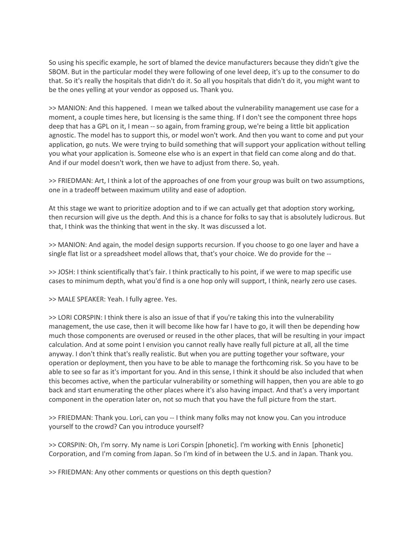So using his specific example, he sort of blamed the device manufacturers because they didn't give the SBOM. But in the particular model they were following of one level deep, it's up to the consumer to do that. So it's really the hospitals that didn't do it. So all you hospitals that didn't do it, you might want to be the ones yelling at your vendor as opposed us. Thank you.

>> MANION: And this happened. I mean we talked about the vulnerability management use case for a moment, a couple times here, but licensing is the same thing. If I don't see the component three hops deep that has a GPL on it, I mean -- so again, from framing group, we're being a little bit application agnostic. The model has to support this, or model won't work. And then you want to come and put your application, go nuts. We were trying to build something that will support your application without telling you what your application is. Someone else who is an expert in that field can come along and do that. And if our model doesn't work, then we have to adjust from there. So, yeah.

>> FRIEDMAN: Art, I think a lot of the approaches of one from your group was built on two assumptions, one in a tradeoff between maximum utility and ease of adoption.

At this stage we want to prioritize adoption and to if we can actually get that adoption story working, then recursion will give us the depth. And this is a chance for folks to say that is absolutely ludicrous. But that, I think was the thinking that went in the sky. It was discussed a lot.

>> MANION: And again, the model design supports recursion. If you choose to go one layer and have a single flat list or a spreadsheet model allows that, that's your choice. We do provide for the --

>> JOSH: I think scientifically that's fair. I think practically to his point, if we were to map specific use cases to minimum depth, what you'd find is a one hop only will support, I think, nearly zero use cases.

>> MALE SPEAKER: Yeah. I fully agree. Yes.

>> LORI CORSPIN: I think there is also an issue of that if you're taking this into the vulnerability management, the use case, then it will become like how far I have to go, it will then be depending how much those components are overused or reused in the other places, that will be resulting in your impact calculation. And at some point I envision you cannot really have really full picture at all, all the time anyway. I don't think that's really realistic. But when you are putting together your software, your operation or deployment, then you have to be able to manage the forthcoming risk. So you have to be able to see so far as it's important for you. And in this sense, I think it should be also included that when this becomes active, when the particular vulnerability or something will happen, then you are able to go back and start enumerating the other places where it's also having impact. And that's a very important component in the operation later on, not so much that you have the full picture from the start.

>> FRIEDMAN: Thank you. Lori, can you -- I think many folks may not know you. Can you introduce yourself to the crowd? Can you introduce yourself?

>> CORSPIN: Oh, I'm sorry. My name is Lori Corspin [phonetic]. I'm working with Ennis [phonetic] Corporation, and I'm coming from Japan. So I'm kind of in between the U.S. and in Japan. Thank you.

>> FRIEDMAN: Any other comments or questions on this depth question?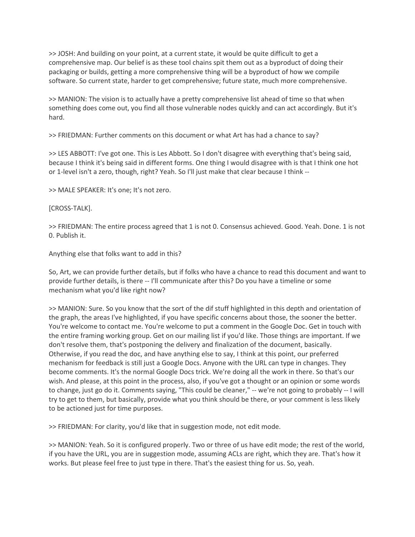>> JOSH: And building on your point, at a current state, it would be quite difficult to get a comprehensive map. Our belief is as these tool chains spit them out as a byproduct of doing their packaging or builds, getting a more comprehensive thing will be a byproduct of how we compile software. So current state, harder to get comprehensive; future state, much more comprehensive.

>> MANION: The vision is to actually have a pretty comprehensive list ahead of time so that when something does come out, you find all those vulnerable nodes quickly and can act accordingly. But it's hard.

>> FRIEDMAN: Further comments on this document or what Art has had a chance to say?

>> LES ABBOTT: I've got one. This is Les Abbott. So I don't disagree with everything that's being said, because I think it's being said in different forms. One thing I would disagree with is that I think one hot or 1-level isn't a zero, though, right? Yeah. So I'll just make that clear because I think --

>> MALE SPEAKER: It's one; It's not zero.

[CROSS-TALK].

>> FRIEDMAN: The entire process agreed that 1 is not 0. Consensus achieved. Good. Yeah. Done. 1 is not 0. Publish it.

Anything else that folks want to add in this?

So, Art, we can provide further details, but if folks who have a chance to read this document and want to provide further details, is there -- I'll communicate after this? Do you have a timeline or some mechanism what you'd like right now?

>> MANION: Sure. So you know that the sort of the dif stuff highlighted in this depth and orientation of the graph, the areas I've highlighted, if you have specific concerns about those, the sooner the better. You're welcome to contact me. You're welcome to put a comment in the Google Doc. Get in touch with the entire framing working group. Get on our mailing list if you'd like. Those things are important. If we don't resolve them, that's postponing the delivery and finalization of the document, basically. Otherwise, if you read the doc, and have anything else to say, I think at this point, our preferred mechanism for feedback is still just a Google Docs. Anyone with the URL can type in changes. They become comments. It's the normal Google Docs trick. We're doing all the work in there. So that's our wish. And please, at this point in the process, also, if you've got a thought or an opinion or some words to change, just go do it. Comments saying, "This could be cleaner," -- we're not going to probably -- I will try to get to them, but basically, provide what you think should be there, or your comment is less likely to be actioned just for time purposes.

>> FRIEDMAN: For clarity, you'd like that in suggestion mode, not edit mode.

>> MANION: Yeah. So it is configured properly. Two or three of us have edit mode; the rest of the world, if you have the URL, you are in suggestion mode, assuming ACLs are right, which they are. That's how it works. But please feel free to just type in there. That's the easiest thing for us. So, yeah.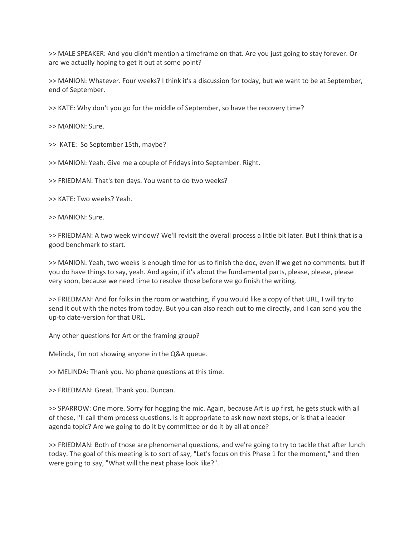>> MALE SPEAKER: And you didn't mention a timeframe on that. Are you just going to stay forever. Or are we actually hoping to get it out at some point?

>> MANION: Whatever. Four weeks? I think it's a discussion for today, but we want to be at September, end of September.

>> KATE: Why don't you go for the middle of September, so have the recovery time?

>> MANION: Sure.

>> KATE: So September 15th, maybe?

>> MANION: Yeah. Give me a couple of Fridays into September. Right.

>> FRIEDMAN: That's ten days. You want to do two weeks?

>> KATE: Two weeks? Yeah.

>> MANION: Sure.

>> FRIEDMAN: A two week window? We'll revisit the overall process a little bit later. But I think that is a good benchmark to start.

>> MANION: Yeah, two weeks is enough time for us to finish the doc, even if we get no comments. but if you do have things to say, yeah. And again, if it's about the fundamental parts, please, please, please very soon, because we need time to resolve those before we go finish the writing.

>> FRIEDMAN: And for folks in the room or watching, if you would like a copy of that URL, I will try to send it out with the notes from today. But you can also reach out to me directly, and I can send you the up-to date-version for that URL.

Any other questions for Art or the framing group?

Melinda, I'm not showing anyone in the Q&A queue.

>> MELINDA: Thank you. No phone questions at this time.

>> FRIEDMAN: Great. Thank you. Duncan.

>> SPARROW: One more. Sorry for hogging the mic. Again, because Art is up first, he gets stuck with all of these, I'll call them process questions. Is it appropriate to ask now next steps, or is that a leader agenda topic? Are we going to do it by committee or do it by all at once?

>> FRIEDMAN: Both of those are phenomenal questions, and we're going to try to tackle that after lunch today. The goal of this meeting is to sort of say, "Let's focus on this Phase 1 for the moment," and then were going to say, "What will the next phase look like?".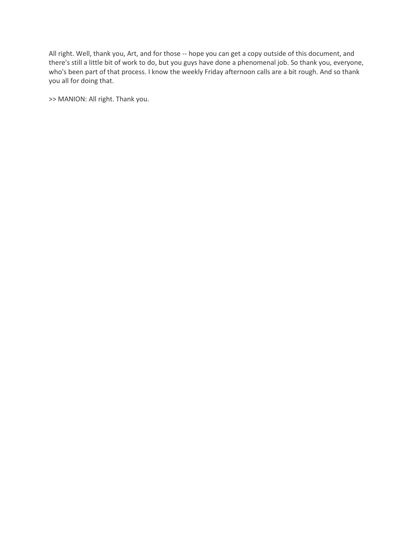All right. Well, thank you, Art, and for those -- hope you can get a copy outside of this document, and there's still a little bit of work to do, but you guys have done a phenomenal job. So thank you, everyone, who's been part of that process. I know the weekly Friday afternoon calls are a bit rough. And so thank you all for doing that.

>> MANION: All right. Thank you.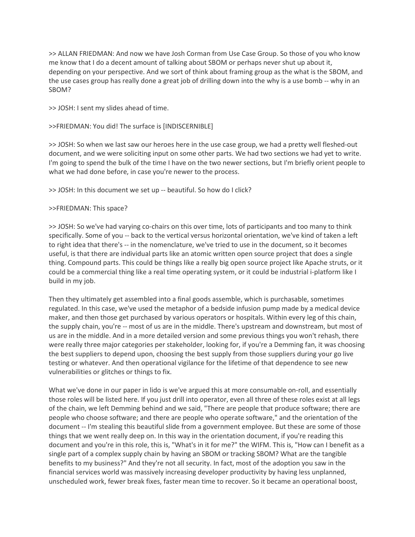>> ALLAN FRIEDMAN: And now we have Josh Corman from Use Case Group. So those of you who know me know that I do a decent amount of talking about SBOM or perhaps never shut up about it, depending on your perspective. And we sort of think about framing group as the what is the SBOM, and the use cases group has really done a great job of drilling down into the why is a use bomb -- why in an SBOM?

>> JOSH: I sent my slides ahead of time.

## >>FRIEDMAN: You did! The surface is [INDISCERNIBLE]

>> JOSH: So when we last saw our heroes here in the use case group, we had a pretty well fleshed-out document, and we were soliciting input on some other parts. We had two sections we had yet to write. I'm going to spend the bulk of the time I have on the two newer sections, but I'm briefly orient people to what we had done before, in case you're newer to the process.

>> JOSH: In this document we set up -- beautiful. So how do I click?

### >>FRIEDMAN: This space?

>> JOSH: So we've had varying co-chairs on this over time, lots of participants and too many to think specifically. Some of you -- back to the vertical versus horizontal orientation, we've kind of taken a left to right idea that there's -- in the nomenclature, we've tried to use in the document, so it becomes useful, is that there are individual parts like an atomic written open source project that does a single thing. Compound parts. This could be things like a really big open source project like Apache struts, or it could be a commercial thing like a real time operating system, or it could be industrial i-platform like I build in my job.

Then they ultimately get assembled into a final goods assemble, which is purchasable, sometimes regulated. In this case, we've used the metaphor of a bedside infusion pump made by a medical device maker, and then those get purchased by various operators or hospitals. Within every leg of this chain, the supply chain, you're -- most of us are in the middle. There's upstream and downstream, but most of us are in the middle. And in a more detailed version and some previous things you won't rehash, there were really three major categories per stakeholder, looking for, if you're a Demming fan, it was choosing the best suppliers to depend upon, choosing the best supply from those suppliers during your go live testing or whatever. And then operational vigilance for the lifetime of that dependence to see new vulnerabilities or glitches or things to fix.

What we've done in our paper in lido is we've argued this at more consumable on-roll, and essentially those roles will be listed here. If you just drill into operator, even all three of these roles exist at all legs of the chain, we left Demming behind and we said, "There are people that produce software; there are people who choose software; and there are people who operate software," and the orientation of the document -- I'm stealing this beautiful slide from a government employee. But these are some of those things that we went really deep on. In this way in the orientation document, if you're reading this document and you're in this role, this is, "What's in it for me?" the WIFM. This is, "How can I benefit as a single part of a complex supply chain by having an SBOM or tracking SBOM? What are the tangible benefits to my business?" And they're not all security. In fact, most of the adoption you saw in the financial services world was massively increasing developer productivity by having less unplanned, unscheduled work, fewer break fixes, faster mean time to recover. So it became an operational boost,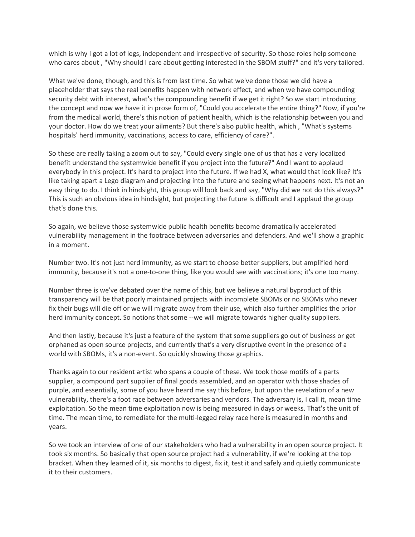which is why I got a lot of legs, independent and irrespective of security. So those roles help someone who cares about , "Why should I care about getting interested in the SBOM stuff?" and it's very tailored.

What we've done, though, and this is from last time. So what we've done those we did have a placeholder that says the real benefits happen with network effect, and when we have compounding security debt with interest, what's the compounding benefit if we get it right? So we start introducing the concept and now we have it in prose form of, "Could you accelerate the entire thing?" Now, if you're from the medical world, there's this notion of patient health, which is the relationship between you and your doctor. How do we treat your ailments? But there's also public health, which , "What's systems hospitals' herd immunity, vaccinations, access to care, efficiency of care?".

So these are really taking a zoom out to say, "Could every single one of us that has a very localized benefit understand the systemwide benefit if you project into the future?" And I want to applaud everybody in this project. It's hard to project into the future. If we had X, what would that look like? It's like taking apart a Lego diagram and projecting into the future and seeing what happens next. It's not an easy thing to do. I think in hindsight, this group will look back and say, "Why did we not do this always?" This is such an obvious idea in hindsight, but projecting the future is difficult and I applaud the group that's done this.

So again, we believe those systemwide public health benefits become dramatically accelerated vulnerability management in the footrace between adversaries and defenders. And we'll show a graphic in a moment.

Number two. It's not just herd immunity, as we start to choose better suppliers, but amplified herd immunity, because it's not a one-to-one thing, like you would see with vaccinations; it's one too many.

Number three is we've debated over the name of this, but we believe a natural byproduct of this transparency will be that poorly maintained projects with incomplete SBOMs or no SBOMs who never fix their bugs will die off or we will migrate away from their use, which also further amplifies the prior herd immunity concept. So notions that some --we will migrate towards higher quality suppliers.

And then lastly, because it's just a feature of the system that some suppliers go out of business or get orphaned as open source projects, and currently that's a very disruptive event in the presence of a world with SBOMs, it's a non-event. So quickly showing those graphics.

Thanks again to our resident artist who spans a couple of these. We took those motifs of a parts supplier, a compound part supplier of final goods assembled, and an operator with those shades of purple, and essentially, some of you have heard me say this before, but upon the revelation of a new vulnerability, there's a foot race between adversaries and vendors. The adversary is, I call it, mean time exploitation. So the mean time exploitation now is being measured in days or weeks. That's the unit of time. The mean time, to remediate for the multi-legged relay race here is measured in months and years.

So we took an interview of one of our stakeholders who had a vulnerability in an open source project. It took six months. So basically that open source project had a vulnerability, if we're looking at the top bracket. When they learned of it, six months to digest, fix it, test it and safely and quietly communicate it to their customers.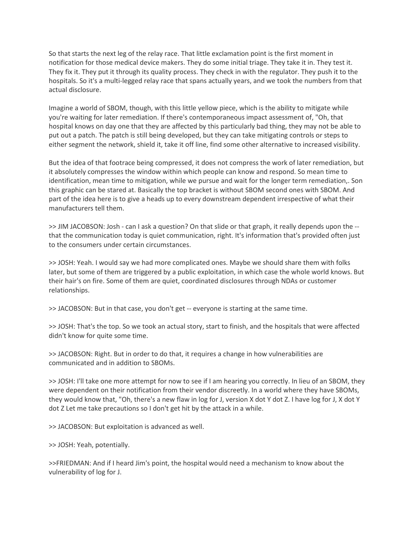So that starts the next leg of the relay race. That little exclamation point is the first moment in notification for those medical device makers. They do some initial triage. They take it in. They test it. They fix it. They put it through its quality process. They check in with the regulator. They push it to the hospitals. So it's a multi-legged relay race that spans actually years, and we took the numbers from that actual disclosure.

Imagine a world of SBOM, though, with this little yellow piece, which is the ability to mitigate while you're waiting for later remediation. If there's contemporaneous impact assessment of, "Oh, that hospital knows on day one that they are affected by this particularly bad thing, they may not be able to put out a patch. The patch is still being developed, but they can take mitigating controls or steps to either segment the network, shield it, take it off line, find some other alternative to increased visibility.

But the idea of that footrace being compressed, it does not compress the work of later remediation, but it absolutely compresses the window within which people can know and respond. So mean time to identification, mean time to mitigation, while we pursue and wait for the longer term remediation,. Son this graphic can be stared at. Basically the top bracket is without SBOM second ones with SBOM. And part of the idea here is to give a heads up to every downstream dependent irrespective of what their manufacturers tell them.

>> JIM JACOBSON: Josh - can I ask a question? On that slide or that graph, it really depends upon the - that the communication today is quiet communication, right. It's information that's provided often just to the consumers under certain circumstances.

>> JOSH: Yeah. I would say we had more complicated ones. Maybe we should share them with folks later, but some of them are triggered by a public exploitation, in which case the whole world knows. But their hair's on fire. Some of them are quiet, coordinated disclosures through NDAs or customer relationships.

>> JACOBSON: But in that case, you don't get -- everyone is starting at the same time.

>> JOSH: That's the top. So we took an actual story, start to finish, and the hospitals that were affected didn't know for quite some time.

>> JACOBSON: Right. But in order to do that, it requires a change in how vulnerabilities are communicated and in addition to SBOMs.

>> JOSH: I'll take one more attempt for now to see if I am hearing you correctly. In lieu of an SBOM, they were dependent on their notification from their vendor discreetly. In a world where they have SBOMs, they would know that, "Oh, there's a new flaw in log for J, version X dot Y dot Z. I have log for J, X dot Y dot Z Let me take precautions so I don't get hit by the attack in a while.

>> JACOBSON: But exploitation is advanced as well.

>> JOSH: Yeah, potentially.

>>FRIEDMAN: And if I heard Jim's point, the hospital would need a mechanism to know about the vulnerability of log for J.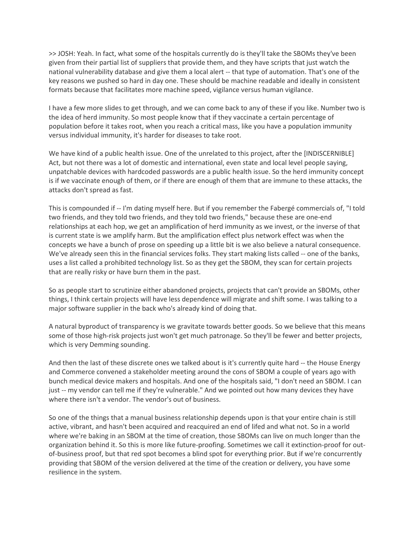>> JOSH: Yeah. In fact, what some of the hospitals currently do is they'll take the SBOMs they've been given from their partial list of suppliers that provide them, and they have scripts that just watch the national vulnerability database and give them a local alert -- that type of automation. That's one of the key reasons we pushed so hard in day one. These should be machine readable and ideally in consistent formats because that facilitates more machine speed, vigilance versus human vigilance.

I have a few more slides to get through, and we can come back to any of these if you like. Number two is the idea of herd immunity. So most people know that if they vaccinate a certain percentage of population before it takes root, when you reach a critical mass, like you have a population immunity versus individual immunity, it's harder for diseases to take root.

We have kind of a public health issue. One of the unrelated to this project, after the [INDISCERNIBLE] Act, but not there was a lot of domestic and international, even state and local level people saying, unpatchable devices with hardcoded passwords are a public health issue. So the herd immunity concept is if we vaccinate enough of them, or if there are enough of them that are immune to these attacks, the attacks don't spread as fast.

This is compounded if -- I'm dating myself here. But if you remember the Fabergé commercials of, "I told two friends, and they told two friends, and they told two friends," because these are one-end relationships at each hop, we get an amplification of herd immunity as we invest, or the inverse of that is current state is we amplify harm. But the amplification effect plus network effect was when the concepts we have a bunch of prose on speeding up a little bit is we also believe a natural consequence. We've already seen this in the financial services folks. They start making lists called -- one of the banks, uses a list called a prohibited technology list. So as they get the SBOM, they scan for certain projects that are really risky or have burn them in the past.

So as people start to scrutinize either abandoned projects, projects that can't provide an SBOMs, other things, I think certain projects will have less dependence will migrate and shift some. I was talking to a major software supplier in the back who's already kind of doing that.

A natural byproduct of transparency is we gravitate towards better goods. So we believe that this means some of those high-risk projects just won't get much patronage. So they'll be fewer and better projects, which is very Demming sounding.

And then the last of these discrete ones we talked about is it's currently quite hard -- the House Energy and Commerce convened a stakeholder meeting around the cons of SBOM a couple of years ago with bunch medical device makers and hospitals. And one of the hospitals said, "I don't need an SBOM. I can just -- my vendor can tell me if they're vulnerable." And we pointed out how many devices they have where there isn't a vendor. The vendor's out of business.

So one of the things that a manual business relationship depends upon is that your entire chain is still active, vibrant, and hasn't been acquired and reacquired an end of lifed and what not. So in a world where we're baking in an SBOM at the time of creation, those SBOMs can live on much longer than the organization behind it. So this is more like future-proofing. Sometimes we call it extinction-proof for outof-business proof, but that red spot becomes a blind spot for everything prior. But if we're concurrently providing that SBOM of the version delivered at the time of the creation or delivery, you have some resilience in the system.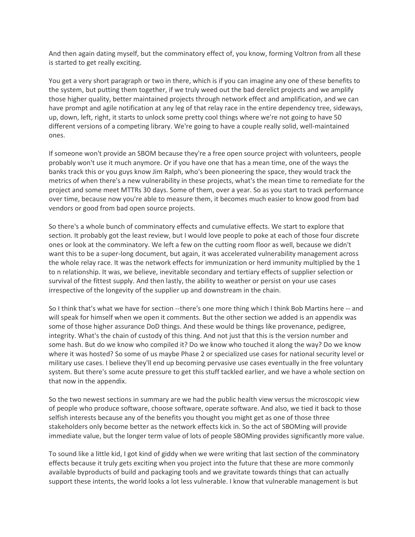And then again dating myself, but the comminatory effect of, you know, forming Voltron from all these is started to get really exciting.

You get a very short paragraph or two in there, which is if you can imagine any one of these benefits to the system, but putting them together, if we truly weed out the bad derelict projects and we amplify those higher quality, better maintained projects through network effect and amplification, and we can have prompt and agile notification at any leg of that relay race in the entire dependency tree, sideways, up, down, left, right, it starts to unlock some pretty cool things where we're not going to have 50 different versions of a competing library. We're going to have a couple really solid, well-maintained ones.

If someone won't provide an SBOM because they're a free open source project with volunteers, people probably won't use it much anymore. Or if you have one that has a mean time, one of the ways the banks track this or you guys know Jim Ralph, who's been pioneering the space, they would track the metrics of when there's a new vulnerability in these projects, what's the mean time to remediate for the project and some meet MTTRs 30 days. Some of them, over a year. So as you start to track performance over time, because now you're able to measure them, it becomes much easier to know good from bad vendors or good from bad open source projects.

So there's a whole bunch of comminatory effects and cumulative effects. We start to explore that section. It probably got the least review, but I would love people to poke at each of those four discrete ones or look at the comminatory. We left a few on the cutting room floor as well, because we didn't want this to be a super-long document, but again, it was accelerated vulnerability management across the whole relay race. It was the network effects for immunization or herd immunity multiplied by the 1 to n relationship. It was, we believe, inevitable secondary and tertiary effects of supplier selection or survival of the fittest supply. And then lastly, the ability to weather or persist on your use cases irrespective of the longevity of the supplier up and downstream in the chain.

So I think that's what we have for section --there's one more thing which I think Bob Martins here -- and will speak for himself when we open it comments. But the other section we added is an appendix was some of those higher assurance DoD things. And these would be things like provenance, pedigree, integrity. What's the chain of custody of this thing. And not just that this is the version number and some hash. But do we know who compiled it? Do we know who touched it along the way? Do we know where it was hosted? So some of us maybe Phase 2 or specialized use cases for national security level or military use cases. I believe they'll end up becoming pervasive use cases eventually in the free voluntary system. But there's some acute pressure to get this stuff tackled earlier, and we have a whole section on that now in the appendix.

So the two newest sections in summary are we had the public health view versus the microscopic view of people who produce software, choose software, operate software. And also, we tied it back to those selfish interests because any of the benefits you thought you might get as one of those three stakeholders only become better as the network effects kick in. So the act of SBOMing will provide immediate value, but the longer term value of lots of people SBOMing provides significantly more value.

To sound like a little kid, I got kind of giddy when we were writing that last section of the comminatory effects because it truly gets exciting when you project into the future that these are more commonly available byproducts of build and packaging tools and we gravitate towards things that can actually support these intents, the world looks a lot less vulnerable. I know that vulnerable management is but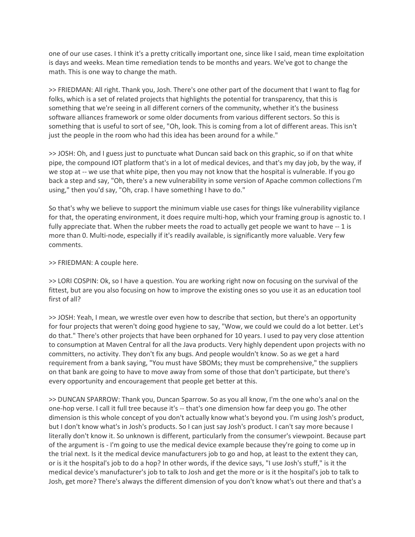one of our use cases. I think it's a pretty critically important one, since like I said, mean time exploitation is days and weeks. Mean time remediation tends to be months and years. We've got to change the math. This is one way to change the math.

>> FRIEDMAN: All right. Thank you, Josh. There's one other part of the document that I want to flag for folks, which is a set of related projects that highlights the potential for transparency, that this is something that we're seeing in all different corners of the community, whether it's the business software alliances framework or some older documents from various different sectors. So this is something that is useful to sort of see, "Oh, look. This is coming from a lot of different areas. This isn't just the people in the room who had this idea has been around for a while."

>> JOSH: Oh, and I guess just to punctuate what Duncan said back on this graphic, so if on that white pipe, the compound IOT platform that's in a lot of medical devices, and that's my day job, by the way, if we stop at -- we use that white pipe, then you may not know that the hospital is vulnerable. If you go back a step and say, "Oh, there's a new vulnerability in some version of Apache common collections I'm using," then you'd say, "Oh, crap. I have something I have to do."

So that's why we believe to support the minimum viable use cases for things like vulnerability vigilance for that, the operating environment, it does require multi-hop, which your framing group is agnostic to. I fully appreciate that. When the rubber meets the road to actually get people we want to have -- 1 is more than 0. Multi-node, especially if it's readily available, is significantly more valuable. Very few comments.

### >> FRIEDMAN: A couple here.

>> LORI COSPIN: Ok, so I have a question. You are working right now on focusing on the survival of the fittest, but are you also focusing on how to improve the existing ones so you use it as an education tool first of all?

>> JOSH: Yeah, I mean, we wrestle over even how to describe that section, but there's an opportunity for four projects that weren't doing good hygiene to say, "Wow, we could we could do a lot better. Let's do that." There's other projects that have been orphaned for 10 years. I used to pay very close attention to consumption at Maven Central for all the Java products. Very highly dependent upon projects with no committers, no activity. They don't fix any bugs. And people wouldn't know. So as we get a hard requirement from a bank saying, "You must have SBOMs; they must be comprehensive," the suppliers on that bank are going to have to move away from some of those that don't participate, but there's every opportunity and encouragement that people get better at this.

>> DUNCAN SPARROW: Thank you, Duncan Sparrow. So as you all know, I'm the one who's anal on the one-hop verse. I call it full tree because it's -- that's one dimension how far deep you go. The other dimension is this whole concept of you don't actually know what's beyond you. I'm using Josh's product, but I don't know what's in Josh's products. So I can just say Josh's product. I can't say more because I literally don't know it. So unknown is different, particularly from the consumer's viewpoint. Because part of the argument is - I'm going to use the medical device example because they're going to come up in the trial next. Is it the medical device manufacturers job to go and hop, at least to the extent they can, or is it the hospital's job to do a hop? In other words, if the device says, "I use Josh's stuff," is it the medical device's manufacturer's job to talk to Josh and get the more or is it the hospital's job to talk to Josh, get more? There's always the different dimension of you don't know what's out there and that's a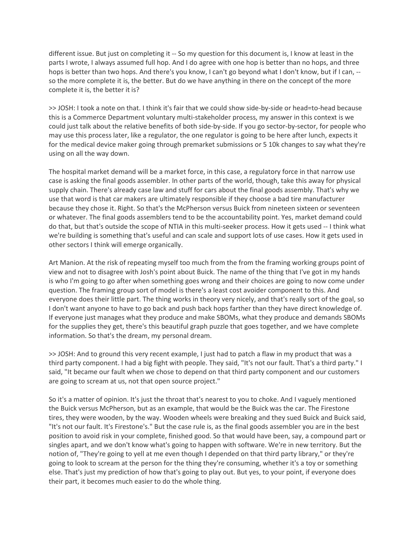different issue. But just on completing it -- So my question for this document is, I know at least in the parts I wrote, I always assumed full hop. And I do agree with one hop is better than no hops, and three hops is better than two hops. And there's you know, I can't go beyond what I don't know, but if I can, - so the more complete it is, the better. But do we have anything in there on the concept of the more complete it is, the better it is?

>> JOSH: I took a note on that. I think it's fair that we could show side-by-side or head=to-head because this is a Commerce Department voluntary multi-stakeholder process, my answer in this context is we could just talk about the relative benefits of both side-by-side. If you go sector-by-sector, for people who may use this process later, like a regulator, the one regulator is going to be here after lunch, expects it for the medical device maker going through premarket submissions or 5 10k changes to say what they're using on all the way down.

The hospital market demand will be a market force, in this case, a regulatory force in that narrow use case is asking the final goods assembler. In other parts of the world, though, take this away for physical supply chain. There's already case law and stuff for cars about the final goods assembly. That's why we use that word is that car makers are ultimately responsible if they choose a bad tire manufacturer because they chose it. Right. So that's the McPherson versus Buick from nineteen sixteen or seventeen or whatever. The final goods assemblers tend to be the accountability point. Yes, market demand could do that, but that's outside the scope of NTIA in this multi-seeker process. How it gets used -- I think what we're building is something that's useful and can scale and support lots of use cases. How it gets used in other sectors I think will emerge organically.

Art Manion. At the risk of repeating myself too much from the from the framing working groups point of view and not to disagree with Josh's point about Buick. The name of the thing that I've got in my hands is who I'm going to go after when something goes wrong and their choices are going to now come under question. The framing group sort of model is there's a least cost avoider component to this. And everyone does their little part. The thing works in theory very nicely, and that's really sort of the goal, so I don't want anyone to have to go back and push back hops farther than they have direct knowledge of. If everyone just manages what they produce and make SBOMs, what they produce and demands SBOMs for the supplies they get, there's this beautiful graph puzzle that goes together, and we have complete information. So that's the dream, my personal dream.

>> JOSH: And to ground this very recent example, I just had to patch a flaw in my product that was a third party component. I had a big fight with people. They said, "It's not our fault. That's a third party." I said, "It became our fault when we chose to depend on that third party component and our customers are going to scream at us, not that open source project."

So it's a matter of opinion. It's just the throat that's nearest to you to choke. And I vaguely mentioned the Buick versus McPherson, but as an example, that would be the Buick was the car. The Firestone tires, they were wooden, by the way. Wooden wheels were breaking and they sued Buick and Buick said, "It's not our fault. It's Firestone's." But the case rule is, as the final goods assembler you are in the best position to avoid risk in your complete, finished good. So that would have been, say, a compound part or singles apart, and we don't know what's going to happen with software. We're in new territory. But the notion of, "They're going to yell at me even though I depended on that third party library," or they're going to look to scream at the person for the thing they're consuming, whether it's a toy or something else. That's just my prediction of how that's going to play out. But yes, to your point, if everyone does their part, it becomes much easier to do the whole thing.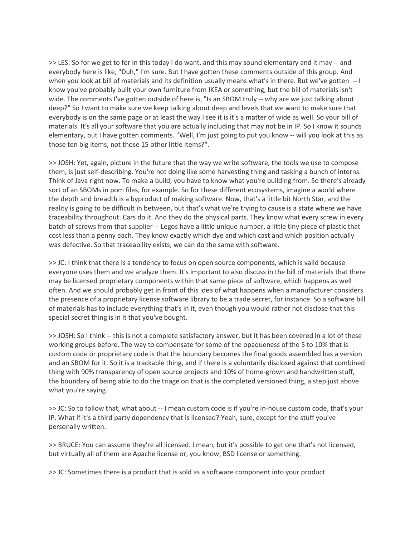>> LES: So for we get to for in this today I do want, and this may sound elementary and it may -- and everybody here is like, "Duh," I'm sure. But I have gotten these comments outside of this group. And when you look at bill of materials and its definition usually means what's in there. But we've gotten -- I know you've probably built your own furniture from IKEA or something, but the bill of materials isn't wide. The comments I've gotten outside of here is, "Is an SBOM truly -- why are we just talking about deep?" So I want to make sure we keep talking about deep and levels that we want to make sure that everybody is on the same page or at least the way I see it is it's a matter of wide as well. So your bill of materials. It's all your software that you are actually including that may not be in IP. So I know it sounds elementary, but I have gotten comments. "Well, I'm just going to put you know -- will you look at this as those ten big items, not those 15 other little items?".

>> JOSH: Yet, again, picture in the future that the way we write software, the tools we use to compose them, is just self-describing. You're not doing like some harvesting thing and tasking a bunch of interns. Think of Java right now. To make a build, you have to know what you're building from. So there's already sort of an SBOMs in pom files, for example. So for these different ecosystems, imagine a world where the depth and breadth is a byproduct of making software. Now, that's a little bit North Star, and the reality is going to be difficult in between, but that's what we're trying to cause is a state where we have traceability throughout. Cars do it. And they do the physical parts. They know what every screw in every batch of screws from that supplier -- Legos have a little unique number, a little tiny piece of plastic that cost less than a penny each. They know exactly which dye and which cast and which position actually was defective. So that traceability exists; we can do the same with software.

>> JC: I think that there is a tendency to focus on open source components, which is valid because everyone uses them and we analyze them. It's important to also discuss in the bill of materials that there may be licensed proprietary components within that same piece of software, which happens as well often. And we should probably get in front of this idea of what happens when a manufacturer considers the presence of a proprietary license software library to be a trade secret, for instance. So a software bill of materials has to include everything that's in it, even though you would rather not disclose that this special secret thing is in it that you've bought.

>> JOSH: So I think -- this is not a complete satisfactory answer, but it has been covered in a lot of these working groups before. The way to compensate for some of the opaqueness of the 5 to 10% that is custom code or proprietary code is that the boundary becomes the final goods assembled has a version and an SBOM for it. So it is a trackable thing, and if there is a voluntarily disclosed against that combined thing with 90% transparency of open source projects and 10% of home-grown and handwritten stuff, the boundary of being able to do the triage on that is the completed versioned thing, a step just above what you're saying.

>> JC: So to follow that, what about -- I mean custom code is if you're in-house custom code, that's your IP. What if it's a third party dependency that is licensed? Yeah, sure, except for the stuff you've personally written.

>> BRUCE: You can assume they're all licensed. I mean, but it's possible to get one that's not licensed, but virtually all of them are Apache license or, you know, BSD license or something.

>> JC: Sometimes there is a product that is sold as a software component into your product.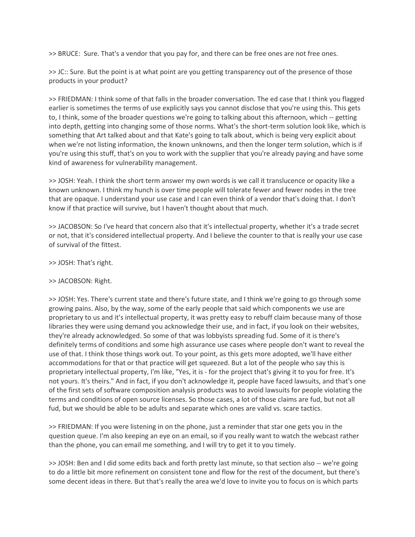>> BRUCE: Sure. That's a vendor that you pay for, and there can be free ones are not free ones.

>> JC:: Sure. But the point is at what point are you getting transparency out of the presence of those products in your product?

>> FRIEDMAN: I think some of that falls in the broader conversation. The ed case that I think you flagged earlier is sometimes the terms of use explicitly says you cannot disclose that you're using this. This gets to, I think, some of the broader questions we're going to talking about this afternoon, which -- getting into depth, getting into changing some of those norms. What's the short-term solution look like, which is something that Art talked about and that Kate's going to talk about, which is being very explicit about when we're not listing information, the known unknowns, and then the longer term solution, which is if you're using this stuff, that's on you to work with the supplier that you're already paying and have some kind of awareness for vulnerability management.

>> JOSH: Yeah. I think the short term answer my own words is we call it translucence or opacity like a known unknown. I think my hunch is over time people will tolerate fewer and fewer nodes in the tree that are opaque. I understand your use case and I can even think of a vendor that's doing that. I don't know if that practice will survive, but I haven't thought about that much.

>> JACOBSON: So I've heard that concern also that it's intellectual property, whether it's a trade secret or not, that it's considered intellectual property. And I believe the counter to that is really your use case of survival of the fittest.

>> JOSH: That's right.

# >> JACOBSON: Right.

>> JOSH: Yes. There's current state and there's future state, and I think we're going to go through some growing pains. Also, by the way, some of the early people that said which components we use are proprietary to us and it's intellectual property, it was pretty easy to rebuff claim because many of those libraries they were using demand you acknowledge their use, and in fact, if you look on their websites, they're already acknowledged. So some of that was lobbyists spreading fud. Some of it is there's definitely terms of conditions and some high assurance use cases where people don't want to reveal the use of that. I think those things work out. To your point, as this gets more adopted, we'll have either accommodations for that or that practice will get squeezed. But a lot of the people who say this is proprietary intellectual property, I'm like, "Yes, it is - for the project that's giving it to you for free. It's not yours. It's theirs." And in fact, if you don't acknowledge it, people have faced lawsuits, and that's one of the first sets of software composition analysis products was to avoid lawsuits for people violating the terms and conditions of open source licenses. So those cases, a lot of those claims are fud, but not all fud, but we should be able to be adults and separate which ones are valid vs. scare tactics.

>> FRIEDMAN: If you were listening in on the phone, just a reminder that star one gets you in the question queue. I'm also keeping an eye on an email, so if you really want to watch the webcast rather than the phone, you can email me something, and I will try to get it to you timely.

>> JOSH: Ben and I did some edits back and forth pretty last minute, so that section also -- we're going to do a little bit more refinement on consistent tone and flow for the rest of the document, but there's some decent ideas in there. But that's really the area we'd love to invite you to focus on is which parts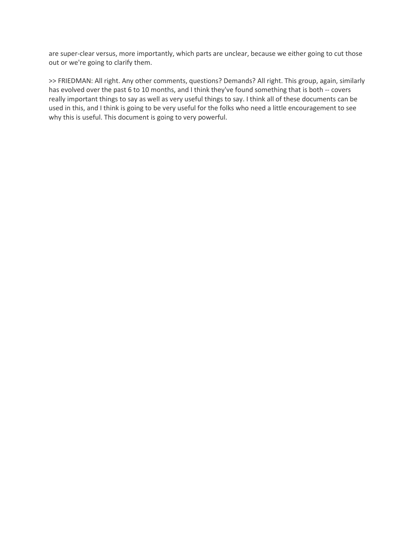are super-clear versus, more importantly, which parts are unclear, because we either going to cut those out or we're going to clarify them.

>> FRIEDMAN: All right. Any other comments, questions? Demands? All right. This group, again, similarly has evolved over the past 6 to 10 months, and I think they've found something that is both -- covers really important things to say as well as very useful things to say. I think all of these documents can be used in this, and I think is going to be very useful for the folks who need a little encouragement to see why this is useful. This document is going to very powerful.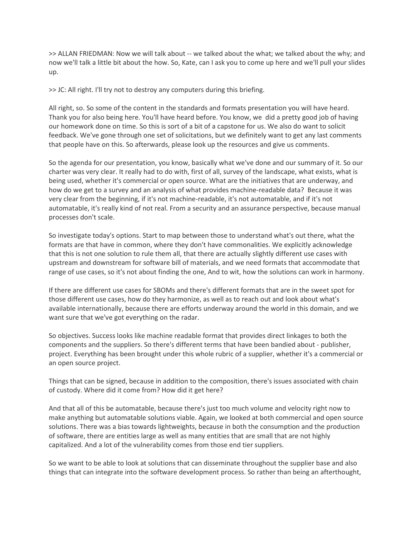>> ALLAN FRIEDMAN: Now we will talk about -- we talked about the what; we talked about the why; and now we'll talk a little bit about the how. So, Kate, can I ask you to come up here and we'll pull your slides up.

>> JC: All right. I'll try not to destroy any computers during this briefing.

All right, so. So some of the content in the standards and formats presentation you will have heard. Thank you for also being here. You'll have heard before. You know, we did a pretty good job of having our homework done on time. So this is sort of a bit of a capstone for us. We also do want to solicit feedback. We've gone through one set of solicitations, but we definitely want to get any last comments that people have on this. So afterwards, please look up the resources and give us comments.

So the agenda for our presentation, you know, basically what we've done and our summary of it. So our charter was very clear. It really had to do with, first of all, survey of the landscape, what exists, what is being used, whether it's commercial or open source. What are the initiatives that are underway, and how do we get to a survey and an analysis of what provides machine-readable data? Because it was very clear from the beginning, if it's not machine-readable, it's not automatable, and if it's not automatable, it's really kind of not real. From a security and an assurance perspective, because manual processes don't scale.

So investigate today's options. Start to map between those to understand what's out there, what the formats are that have in common, where they don't have commonalities. We explicitly acknowledge that this is not one solution to rule them all, that there are actually slightly different use cases with upstream and downstream for software bill of materials, and we need formats that accommodate that range of use cases, so it's not about finding the one, And to wit, how the solutions can work in harmony.

If there are different use cases for SBOMs and there's different formats that are in the sweet spot for those different use cases, how do they harmonize, as well as to reach out and look about what's available internationally, because there are efforts underway around the world in this domain, and we want sure that we've got everything on the radar.

So objectives. Success looks like machine readable format that provides direct linkages to both the components and the suppliers. So there's different terms that have been bandied about - publisher, project. Everything has been brought under this whole rubric of a supplier, whether it's a commercial or an open source project.

Things that can be signed, because in addition to the composition, there's issues associated with chain of custody. Where did it come from? How did it get here?

And that all of this be automatable, because there's just too much volume and velocity right now to make anything but automatable solutions viable. Again, we looked at both commercial and open source solutions. There was a bias towards lightweights, because in both the consumption and the production of software, there are entities large as well as many entities that are small that are not highly capitalized. And a lot of the vulnerability comes from those end tier suppliers.

So we want to be able to look at solutions that can disseminate throughout the supplier base and also things that can integrate into the software development process. So rather than being an afterthought,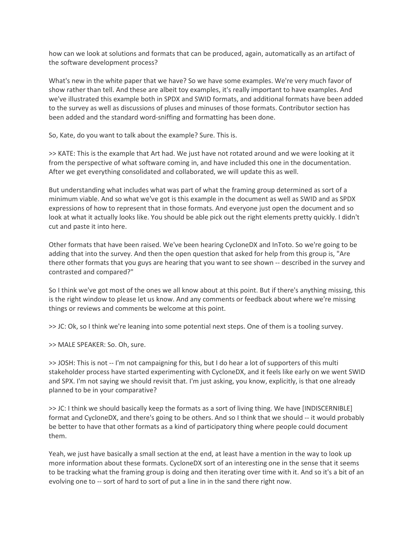how can we look at solutions and formats that can be produced, again, automatically as an artifact of the software development process?

What's new in the white paper that we have? So we have some examples. We're very much favor of show rather than tell. And these are albeit toy examples, it's really important to have examples. And we've illustrated this example both in SPDX and SWID formats, and additional formats have been added to the survey as well as discussions of pluses and minuses of those formats. Contributor section has been added and the standard word-sniffing and formatting has been done.

So, Kate, do you want to talk about the example? Sure. This is.

>> KATE: This is the example that Art had. We just have not rotated around and we were looking at it from the perspective of what software coming in, and have included this one in the documentation. After we get everything consolidated and collaborated, we will update this as well.

But understanding what includes what was part of what the framing group determined as sort of a minimum viable. And so what we've got is this example in the document as well as SWID and as SPDX expressions of how to represent that in those formats. And everyone just open the document and so look at what it actually looks like. You should be able pick out the right elements pretty quickly. I didn't cut and paste it into here.

Other formats that have been raised. We've been hearing CycloneDX and InToto. So we're going to be adding that into the survey. And then the open question that asked for help from this group is, "Are there other formats that you guys are hearing that you want to see shown -- described in the survey and contrasted and compared?"

So I think we've got most of the ones we all know about at this point. But if there's anything missing, this is the right window to please let us know. And any comments or feedback about where we're missing things or reviews and comments be welcome at this point.

>> JC: Ok, so I think we're leaning into some potential next steps. One of them is a tooling survey.

>> MALE SPEAKER: So. Oh, sure.

>> JOSH: This is not -- I'm not campaigning for this, but I do hear a lot of supporters of this multi stakeholder process have started experimenting with CycloneDX, and it feels like early on we went SWID and SPX. I'm not saying we should revisit that. I'm just asking, you know, explicitly, is that one already planned to be in your comparative?

>> JC: I think we should basically keep the formats as a sort of living thing. We have [INDISCERNIBLE] format and CycloneDX, and there's going to be others. And so I think that we should -- it would probably be better to have that other formats as a kind of participatory thing where people could document them.

Yeah, we just have basically a small section at the end, at least have a mention in the way to look up more information about these formats. CycloneDX sort of an interesting one in the sense that it seems to be tracking what the framing group is doing and then iterating over time with it. And so it's a bit of an evolving one to -- sort of hard to sort of put a line in in the sand there right now.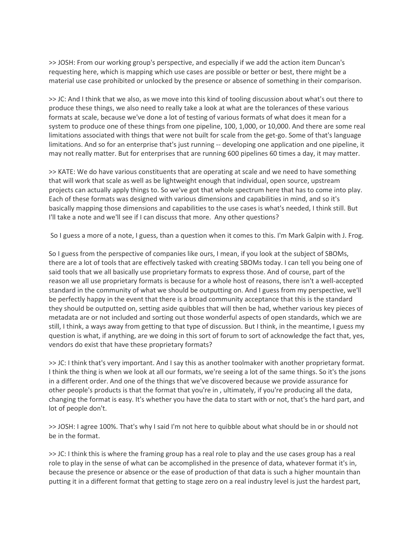>> JOSH: From our working group's perspective, and especially if we add the action item Duncan's requesting here, which is mapping which use cases are possible or better or best, there might be a material use case prohibited or unlocked by the presence or absence of something in their comparison.

>> JC: And I think that we also, as we move into this kind of tooling discussion about what's out there to produce these things, we also need to really take a look at what are the tolerances of these various formats at scale, because we've done a lot of testing of various formats of what does it mean for a system to produce one of these things from one pipeline, 100, 1,000, or 10,000. And there are some real limitations associated with things that were not built for scale from the get-go. Some of that's language limitations. And so for an enterprise that's just running -- developing one application and one pipeline, it may not really matter. But for enterprises that are running 600 pipelines 60 times a day, it may matter.

>> KATE: We do have various constituents that are operating at scale and we need to have something that will work that scale as well as be lightweight enough that individual, open source, upstream projects can actually apply things to. So we've got that whole spectrum here that has to come into play. Each of these formats was designed with various dimensions and capabilities in mind, and so it's basically mapping those dimensions and capabilities to the use cases is what's needed, I think still. But I'll take a note and we'll see if I can discuss that more. Any other questions?

So I guess a more of a note, I guess, than a question when it comes to this. I'm Mark Galpin with J. Frog.

So I guess from the perspective of companies like ours, I mean, if you look at the subject of SBOMs, there are a lot of tools that are effectively tasked with creating SBOMs today. I can tell you being one of said tools that we all basically use proprietary formats to express those. And of course, part of the reason we all use proprietary formats is because for a whole host of reasons, there isn't a well-accepted standard in the community of what we should be outputting on. And I guess from my perspective, we'll be perfectly happy in the event that there is a broad community acceptance that this is the standard they should be outputted on, setting aside quibbles that will then be had, whether various key pieces of metadata are or not included and sorting out those wonderful aspects of open standards, which we are still, I think, a ways away from getting to that type of discussion. But I think, in the meantime, I guess my question is what, if anything, are we doing in this sort of forum to sort of acknowledge the fact that, yes, vendors do exist that have these proprietary formats?

>> JC: I think that's very important. And I say this as another toolmaker with another proprietary format. I think the thing is when we look at all our formats, we're seeing a lot of the same things. So it's the jsons in a different order. And one of the things that we've discovered because we provide assurance for other people's products is that the format that you're in , ultimately, if you're producing all the data, changing the format is easy. It's whether you have the data to start with or not, that's the hard part, and lot of people don't.

>> JOSH: I agree 100%. That's why I said I'm not here to quibble about what should be in or should not be in the format.

>> JC: I think this is where the framing group has a real role to play and the use cases group has a real role to play in the sense of what can be accomplished in the presence of data, whatever format it's in, because the presence or absence or the ease of production of that data is such a higher mountain than putting it in a different format that getting to stage zero on a real industry level is just the hardest part,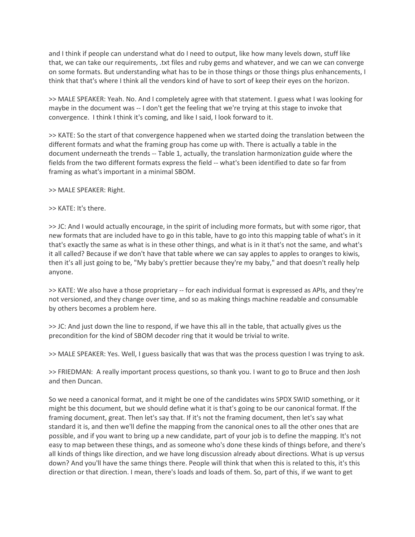and I think if people can understand what do I need to output, like how many levels down, stuff like that, we can take our requirements, .txt files and ruby gems and whatever, and we can we can converge on some formats. But understanding what has to be in those things or those things plus enhancements, I think that that's where I think all the vendors kind of have to sort of keep their eyes on the horizon.

>> MALE SPEAKER: Yeah. No. And I completely agree with that statement. I guess what I was looking for maybe in the document was -- I don't get the feeling that we're trying at this stage to invoke that convergence. I think I think it's coming, and like I said, I look forward to it.

>> KATE: So the start of that convergence happened when we started doing the translation between the different formats and what the framing group has come up with. There is actually a table in the document underneath the trends -- Table 1, actually, the translation harmonization guide where the fields from the two different formats express the field -- what's been identified to date so far from framing as what's important in a minimal SBOM.

>> MALE SPEAKER: Right.

### >> KATE: It's there.

>> JC: And I would actually encourage, in the spirit of including more formats, but with some rigor, that new formats that are included have to go in this table, have to go into this mapping table of what's in it that's exactly the same as what is in these other things, and what is in it that's not the same, and what's it all called? Because if we don't have that table where we can say apples to apples to oranges to kiwis, then it's all just going to be, "My baby's prettier because they're my baby," and that doesn't really help anyone.

>> KATE: We also have a those proprietary -- for each individual format is expressed as APIs, and they're not versioned, and they change over time, and so as making things machine readable and consumable by others becomes a problem here.

>> JC: And just down the line to respond, if we have this all in the table, that actually gives us the precondition for the kind of SBOM decoder ring that it would be trivial to write.

>> MALE SPEAKER: Yes. Well, I guess basically that was that was the process question I was trying to ask.

>> FRIEDMAN: A really important process questions, so thank you. I want to go to Bruce and then Josh and then Duncan.

So we need a canonical format, and it might be one of the candidates wins SPDX SWID something, or it might be this document, but we should define what it is that's going to be our canonical format. If the framing document, great. Then let's say that. If it's not the framing document, then let's say what standard it is, and then we'll define the mapping from the canonical ones to all the other ones that are possible, and if you want to bring up a new candidate, part of your job is to define the mapping. It's not easy to map between these things, and as someone who's done these kinds of things before, and there's all kinds of things like direction, and we have long discussion already about directions. What is up versus down? And you'll have the same things there. People will think that when this is related to this, it's this direction or that direction. I mean, there's loads and loads of them. So, part of this, if we want to get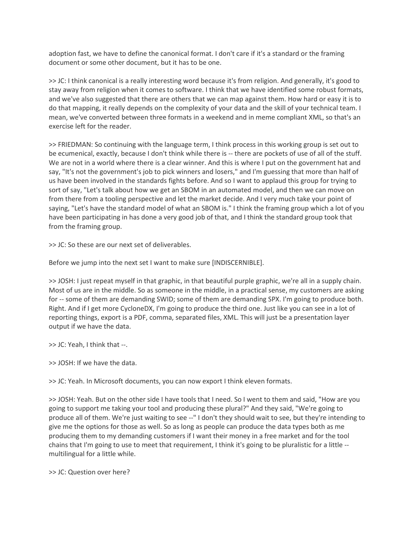adoption fast, we have to define the canonical format. I don't care if it's a standard or the framing document or some other document, but it has to be one.

>> JC: I think canonical is a really interesting word because it's from religion. And generally, it's good to stay away from religion when it comes to software. I think that we have identified some robust formats, and we've also suggested that there are others that we can map against them. How hard or easy it is to do that mapping, it really depends on the complexity of your data and the skill of your technical team. I mean, we've converted between three formats in a weekend and in meme compliant XML, so that's an exercise left for the reader.

>> FRIEDMAN: So continuing with the language term, I think process in this working group is set out to be ecumenical, exactly, because I don't think while there is -- there are pockets of use of all of the stuff. We are not in a world where there is a clear winner. And this is where I put on the government hat and say, "It's not the government's job to pick winners and losers," and I'm guessing that more than half of us have been involved in the standards fights before. And so I want to applaud this group for trying to sort of say, "Let's talk about how we get an SBOM in an automated model, and then we can move on from there from a tooling perspective and let the market decide. And I very much take your point of saying, "Let's have the standard model of what an SBOM is." I think the framing group which a lot of you have been participating in has done a very good job of that, and I think the standard group took that from the framing group.

>> JC: So these are our next set of deliverables.

Before we jump into the next set I want to make sure [INDISCERNIBLE].

>> JOSH: I just repeat myself in that graphic, in that beautiful purple graphic, we're all in a supply chain. Most of us are in the middle. So as someone in the middle, in a practical sense, my customers are asking for -- some of them are demanding SWID; some of them are demanding SPX. I'm going to produce both. Right. And if I get more CycloneDX, I'm going to produce the third one. Just like you can see in a lot of reporting things, export is a PDF, comma, separated files, XML. This will just be a presentation layer output if we have the data.

- >> JC: Yeah, I think that --.
- >> JOSH: If we have the data.

>> JC: Yeah. In Microsoft documents, you can now export I think eleven formats.

>> JOSH: Yeah. But on the other side I have tools that I need. So I went to them and said, "How are you going to support me taking your tool and producing these plural?" And they said, "We're going to produce all of them. We're just waiting to see --" I don't they should wait to see, but they're intending to give me the options for those as well. So as long as people can produce the data types both as me producing them to my demanding customers if I want their money in a free market and for the tool chains that I'm going to use to meet that requirement, I think it's going to be pluralistic for a little - multilingual for a little while.

>> JC: Question over here?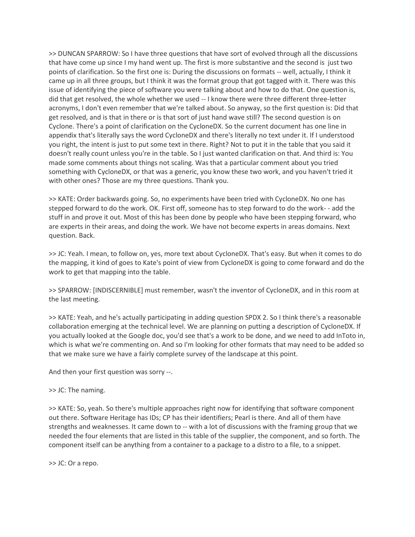>> DUNCAN SPARROW: So I have three questions that have sort of evolved through all the discussions that have come up since I my hand went up. The first is more substantive and the second is just two points of clarification. So the first one is: During the discussions on formats -- well, actually, I think it came up in all three groups, but I think it was the format group that got tagged with it. There was this issue of identifying the piece of software you were talking about and how to do that. One question is, did that get resolved, the whole whether we used -- I know there were three different three-letter acronyms, I don't even remember that we're talked about. So anyway, so the first question is: Did that get resolved, and is that in there or is that sort of just hand wave still? The second question is on Cyclone. There's a point of clarification on the CycloneDX. So the current document has one line in appendix that's literally says the word CycloneDX and there's literally no text under it. If I understood you right, the intent is just to put some text in there. Right? Not to put it in the table that you said it doesn't really count unless you're in the table. So I just wanted clarification on that. And third is: You made some comments about things not scaling. Was that a particular comment about you tried something with CycloneDX, or that was a generic, you know these two work, and you haven't tried it with other ones? Those are my three questions. Thank you.

>> KATE: Order backwards going. So, no experiments have been tried with CycloneDX. No one has stepped forward to do the work. OK. First off, someone has to step forward to do the work- - add the stuff in and prove it out. Most of this has been done by people who have been stepping forward, who are experts in their areas, and doing the work. We have not become experts in areas domains. Next question. Back.

>> JC: Yeah. I mean, to follow on, yes, more text about CycloneDX. That's easy. But when it comes to do the mapping, it kind of goes to Kate's point of view from CycloneDX is going to come forward and do the work to get that mapping into the table.

>> SPARROW: [INDISCERNIBLE] must remember, wasn't the inventor of CycloneDX, and in this room at the last meeting.

>> KATE: Yeah, and he's actually participating in adding question SPDX 2. So I think there's a reasonable collaboration emerging at the technical level. We are planning on putting a description of CycloneDX. If you actually looked at the Google doc, you'd see that's a work to be done, and we need to add InToto in, which is what we're commenting on. And so I'm looking for other formats that may need to be added so that we make sure we have a fairly complete survey of the landscape at this point.

And then your first question was sorry --.

#### >> JC: The naming.

>> KATE: So, yeah. So there's multiple approaches right now for identifying that software component out there. Software Heritage has IDs; CP has their identifiers; Pearl is there. And all of them have strengths and weaknesses. It came down to -- with a lot of discussions with the framing group that we needed the four elements that are listed in this table of the supplier, the component, and so forth. The component itself can be anything from a container to a package to a distro to a file, to a snippet.

>> JC: Or a repo.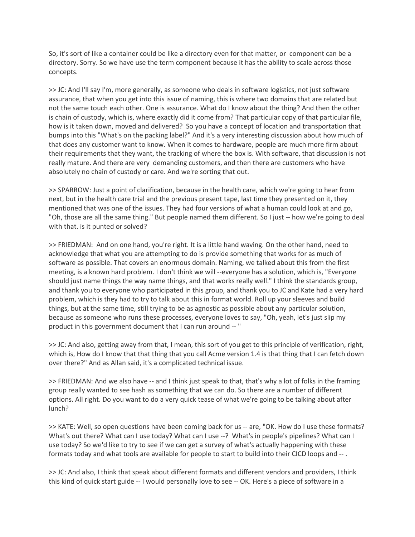So, it's sort of like a container could be like a directory even for that matter, or component can be a directory. Sorry. So we have use the term component because it has the ability to scale across those concepts.

>> JC: And I'll say I'm, more generally, as someone who deals in software logistics, not just software assurance, that when you get into this issue of naming, this is where two domains that are related but not the same touch each other. One is assurance. What do I know about the thing? And then the other is chain of custody, which is, where exactly did it come from? That particular copy of that particular file, how is it taken down, moved and delivered? So you have a concept of location and transportation that bumps into this "What's on the packing label?" And it's a very interesting discussion about how much of that does any customer want to know. When it comes to hardware, people are much more firm about their requirements that they want, the tracking of where the box is. With software, that discussion is not really mature. And there are very demanding customers, and then there are customers who have absolutely no chain of custody or care. And we're sorting that out.

>> SPARROW: Just a point of clarification, because in the health care, which we're going to hear from next, but in the health care trial and the previous present tape, last time they presented on it, they mentioned that was one of the issues. They had four versions of what a human could look at and go, "Oh, those are all the same thing." But people named them different. So I just -- how we're going to deal with that. is it punted or solved?

>> FRIEDMAN: And on one hand, you're right. It is a little hand waving. On the other hand, need to acknowledge that what you are attempting to do is provide something that works for as much of software as possible. That covers an enormous domain. Naming, we talked about this from the first meeting, is a known hard problem. I don't think we will --everyone has a solution, which is, "Everyone should just name things the way name things, and that works really well." I think the standards group, and thank you to everyone who participated in this group, and thank you to JC and Kate had a very hard problem, which is they had to try to talk about this in format world. Roll up your sleeves and build things, but at the same time, still trying to be as agnostic as possible about any particular solution, because as someone who runs these processes, everyone loves to say, "Oh, yeah, let's just slip my product in this government document that I can run around -- "

>> JC: And also, getting away from that, I mean, this sort of you get to this principle of verification, right, which is, How do I know that that thing that you call Acme version 1.4 is that thing that I can fetch down over there?" And as Allan said, it's a complicated technical issue.

>> FRIEDMAN: And we also have -- and I think just speak to that, that's why a lot of folks in the framing group really wanted to see hash as something that we can do. So there are a number of different options. All right. Do you want to do a very quick tease of what we're going to be talking about after lunch?

>> KATE: Well, so open questions have been coming back for us -- are, "OK. How do I use these formats? What's out there? What can I use today? What can I use --? What's in people's pipelines? What can I use today? So we'd like to try to see if we can get a survey of what's actually happening with these formats today and what tools are available for people to start to build into their CICD loops and -- .

>> JC: And also, I think that speak about different formats and different vendors and providers, I think this kind of quick start guide -- I would personally love to see -- OK. Here's a piece of software in a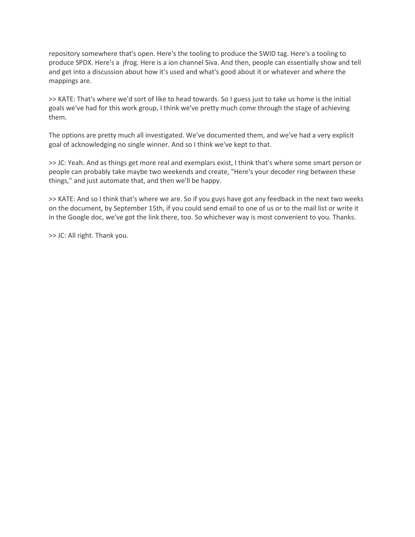repository somewhere that's open. Here's the tooling to produce the SWID tag. Here's a tooling to produce SPDX. Here's a jfrog. Here is a ion channel Siva. And then, people can essentially show and tell and get into a discussion about how it's used and what's good about it or whatever and where the mappings are.

>> KATE: That's where we'd sort of like to head towards. So I guess just to take us home is the initial goals we've had for this work group, I think we've pretty much come through the stage of achieving them.

The options are pretty much all investigated. We've documented them, and we've had a very explicit goal of acknowledging no single winner. And so I think we've kept to that.

>> JC: Yeah. And as things get more real and exemplars exist, I think that's where some smart person or people can probably take maybe two weekends and create, "Here's your decoder ring between these things," and just automate that, and then we'll be happy.

>> KATE: And so I think that's where we are. So if you guys have got any feedback in the next two weeks on the document, by September 15th, if you could send email to one of us or to the mail list or write it in the Google doc, we've got the link there, too. So whichever way is most convenient to you. Thanks.

>> JC: All right. Thank you.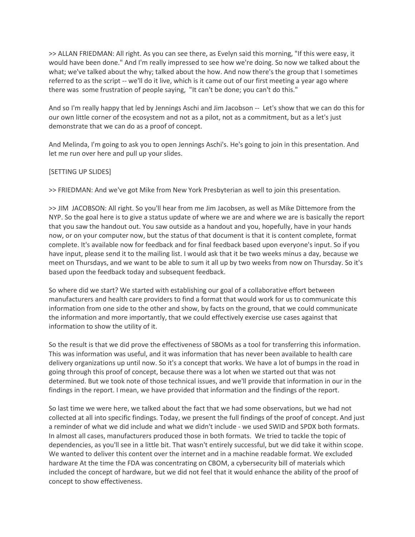>> ALLAN FRIEDMAN: All right. As you can see there, as Evelyn said this morning, "If this were easy, it would have been done." And I'm really impressed to see how we're doing. So now we talked about the what; we've talked about the why; talked about the how. And now there's the group that I sometimes referred to as the script -- we'll do it live, which is it came out of our first meeting a year ago where there was some frustration of people saying, "It can't be done; you can't do this."

And so I'm really happy that led by Jennings Aschi and Jim Jacobson -- Let's show that we can do this for our own little corner of the ecosystem and not as a pilot, not as a commitment, but as a let's just demonstrate that we can do as a proof of concept.

And Melinda, I'm going to ask you to open Jennings Aschi's. He's going to join in this presentation. And let me run over here and pull up your slides.

# [SETTING UP SLIDES]

>> FRIEDMAN: And we've got Mike from New York Presbyterian as well to join this presentation.

>> JIM JACOBSON: All right. So you'll hear from me Jim Jacobsen, as well as Mike Dittemore from the NYP. So the goal here is to give a status update of where we are and where we are is basically the report that you saw the handout out. You saw outside as a handout and you, hopefully, have in your hands now, or on your computer now, but the status of that document is that it is content complete, format complete. It's available now for feedback and for final feedback based upon everyone's input. So if you have input, please send it to the mailing list. I would ask that it be two weeks minus a day, because we meet on Thursdays, and we want to be able to sum it all up by two weeks from now on Thursday. So it's based upon the feedback today and subsequent feedback.

So where did we start? We started with establishing our goal of a collaborative effort between manufacturers and health care providers to find a format that would work for us to communicate this information from one side to the other and show, by facts on the ground, that we could communicate the information and more importantly, that we could effectively exercise use cases against that information to show the utility of it.

So the result is that we did prove the effectiveness of SBOMs as a tool for transferring this information. This was information was useful, and it was information that has never been available to health care delivery organizations up until now. So it's a concept that works. We have a lot of bumps in the road in going through this proof of concept, because there was a lot when we started out that was not determined. But we took note of those technical issues, and we'll provide that information in our in the findings in the report. I mean, we have provided that information and the findings of the report.

So last time we were here, we talked about the fact that we had some observations, but we had not collected at all into specific findings. Today, we present the full findings of the proof of concept. And just a reminder of what we did include and what we didn't include - we used SWID and SPDX both formats. In almost all cases, manufacturers produced those in both formats. We tried to tackle the topic of dependencies, as you'll see in a little bit. That wasn't entirely successful, but we did take it within scope. We wanted to deliver this content over the internet and in a machine readable format. We excluded hardware At the time the FDA was concentrating on CBOM, a cybersecurity bill of materials which included the concept of hardware, but we did not feel that it would enhance the ability of the proof of concept to show effectiveness.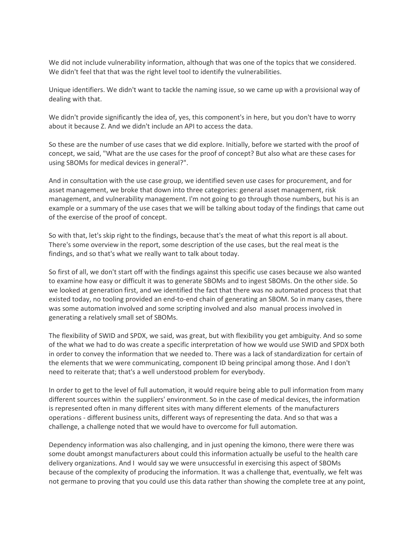We did not include vulnerability information, although that was one of the topics that we considered. We didn't feel that that was the right level tool to identify the vulnerabilities.

Unique identifiers. We didn't want to tackle the naming issue, so we came up with a provisional way of dealing with that.

We didn't provide significantly the idea of, yes, this component's in here, but you don't have to worry about it because Z. And we didn't include an API to access the data.

So these are the number of use cases that we did explore. Initially, before we started with the proof of concept, we said, "What are the use cases for the proof of concept? But also what are these cases for using SBOMs for medical devices in general?".

And in consultation with the use case group, we identified seven use cases for procurement, and for asset management, we broke that down into three categories: general asset management, risk management, and vulnerability management. I'm not going to go through those numbers, but his is an example or a summary of the use cases that we will be talking about today of the findings that came out of the exercise of the proof of concept.

So with that, let's skip right to the findings, because that's the meat of what this report is all about. There's some overview in the report, some description of the use cases, but the real meat is the findings, and so that's what we really want to talk about today.

So first of all, we don't start off with the findings against this specific use cases because we also wanted to examine how easy or difficult it was to generate SBOMs and to ingest SBOMs. On the other side. So we looked at generation first, and we identified the fact that there was no automated process that that existed today, no tooling provided an end-to-end chain of generating an SBOM. So in many cases, there was some automation involved and some scripting involved and also manual process involved in generating a relatively small set of SBOMs.

The flexibility of SWID and SPDX, we said, was great, but with flexibility you get ambiguity. And so some of the what we had to do was create a specific interpretation of how we would use SWID and SPDX both in order to convey the information that we needed to. There was a lack of standardization for certain of the elements that we were communicating, component ID being principal among those. And I don't need to reiterate that; that's a well understood problem for everybody.

In order to get to the level of full automation, it would require being able to pull information from many different sources within the suppliers' environment. So in the case of medical devices, the information is represented often in many different sites with many different elements of the manufacturers operations - different business units, different ways of representing the data. And so that was a challenge, a challenge noted that we would have to overcome for full automation.

Dependency information was also challenging, and in just opening the kimono, there were there was some doubt amongst manufacturers about could this information actually be useful to the health care delivery organizations. And I would say we were unsuccessful in exercising this aspect of SBOMs because of the complexity of producing the information. It was a challenge that, eventually, we felt was not germane to proving that you could use this data rather than showing the complete tree at any point,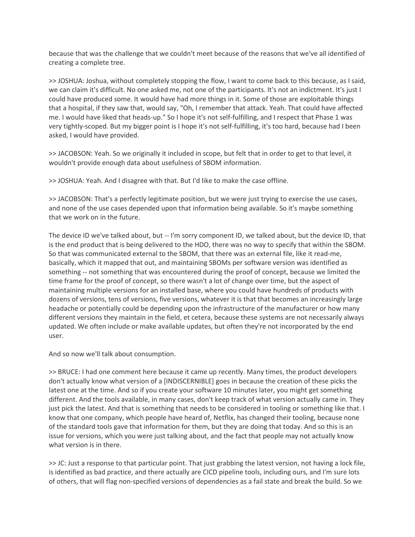because that was the challenge that we couldn't meet because of the reasons that we've all identified of creating a complete tree.

>> JOSHUA: Joshua, without completely stopping the flow, I want to come back to this because, as I said, we can claim it's difficult. No one asked me, not one of the participants. It's not an indictment. It's just I could have produced some. It would have had more things in it. Some of those are exploitable things that a hospital, if they saw that, would say, "Oh, I remember that attack. Yeah. That could have affected me. I would have liked that heads-up." So I hope it's not self-fulfilling, and I respect that Phase 1 was very tightly-scoped. But my bigger point is I hope it's not self-fulfilling, it's too hard, because had I been asked, I would have provided.

>> JACOBSON: Yeah. So we originally it included in scope, but felt that in order to get to that level, it wouldn't provide enough data about usefulness of SBOM information.

>> JOSHUA: Yeah. And I disagree with that. But I'd like to make the case offline.

>> JACOBSON: That's a perfectly legitimate position, but we were just trying to exercise the use cases, and none of the use cases depended upon that information being available. So it's maybe something that we work on in the future.

The device ID we've talked about, but -- I'm sorry component ID, we talked about, but the device ID, that is the end product that is being delivered to the HDO, there was no way to specify that within the SBOM. So that was communicated external to the SBOM, that there was an external file, like it read-me, basically, which it mapped that out, and maintaining SBOMs per software version was identified as something -- not something that was encountered during the proof of concept, because we limited the time frame for the proof of concept, so there wasn't a lot of change over time, but the aspect of maintaining multiple versions for an installed base, where you could have hundreds of products with dozens of versions, tens of versions, five versions, whatever it is that that becomes an increasingly large headache or potentially could be depending upon the infrastructure of the manufacturer or how many different versions they maintain in the field, et cetera, because these systems are not necessarily always updated. We often include or make available updates, but often they're not incorporated by the end user.

And so now we'll talk about consumption.

>> BRUCE: I had one comment here because it came up recently. Many times, the product developers don't actually know what version of a [INDISCERNIBLE] goes in because the creation of these picks the latest one at the time. And so if you create your software 10 minutes later, you might get something different. And the tools available, in many cases, don't keep track of what version actually came in. They just pick the latest. And that is something that needs to be considered in tooling or something like that. I know that one company, which people have heard of, Netflix, has changed their tooling, because none of the standard tools gave that information for them, but they are doing that today. And so this is an issue for versions, which you were just talking about, and the fact that people may not actually know what version is in there.

>> JC: Just a response to that particular point. That just grabbing the latest version, not having a lock file, is identified as bad practice, and there actually are CICD pipeline tools, including ours, and I'm sure lots of others, that will flag non-specified versions of dependencies as a fail state and break the build. So we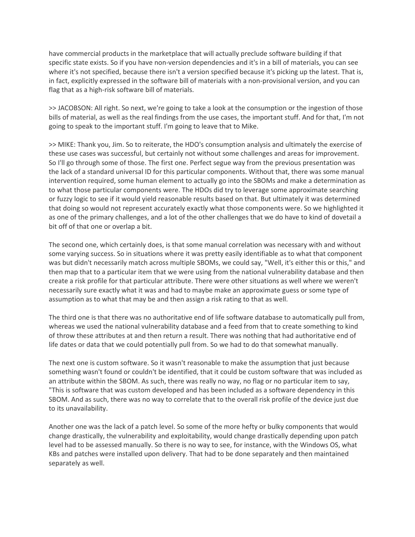have commercial products in the marketplace that will actually preclude software building if that specific state exists. So if you have non-version dependencies and it's in a bill of materials, you can see where it's not specified, because there isn't a version specified because it's picking up the latest. That is, in fact, explicitly expressed in the software bill of materials with a non-provisional version, and you can flag that as a high-risk software bill of materials.

>> JACOBSON: All right. So next, we're going to take a look at the consumption or the ingestion of those bills of material, as well as the real findings from the use cases, the important stuff. And for that, I'm not going to speak to the important stuff. I'm going to leave that to Mike.

>> MIKE: Thank you, Jim. So to reiterate, the HDO's consumption analysis and ultimately the exercise of these use cases was successful, but certainly not without some challenges and areas for improvement. So I'll go through some of those. The first one. Perfect segue way from the previous presentation was the lack of a standard universal ID for this particular components. Without that, there was some manual intervention required, some human element to actually go into the SBOMs and make a determination as to what those particular components were. The HDOs did try to leverage some approximate searching or fuzzy logic to see if it would yield reasonable results based on that. But ultimately it was determined that doing so would not represent accurately exactly what those components were. So we highlighted it as one of the primary challenges, and a lot of the other challenges that we do have to kind of dovetail a bit off of that one or overlap a bit.

The second one, which certainly does, is that some manual correlation was necessary with and without some varying success. So in situations where it was pretty easily identifiable as to what that component was but didn't necessarily match across multiple SBOMs, we could say, "Well, it's either this or this," and then map that to a particular item that we were using from the national vulnerability database and then create a risk profile for that particular attribute. There were other situations as well where we weren't necessarily sure exactly what it was and had to maybe make an approximate guess or some type of assumption as to what that may be and then assign a risk rating to that as well.

The third one is that there was no authoritative end of life software database to automatically pull from, whereas we used the national vulnerability database and a feed from that to create something to kind of throw these attributes at and then return a result. There was nothing that had authoritative end of life dates or data that we could potentially pull from. So we had to do that somewhat manually.

The next one is custom software. So it wasn't reasonable to make the assumption that just because something wasn't found or couldn't be identified, that it could be custom software that was included as an attribute within the SBOM. As such, there was really no way, no flag or no particular item to say, "This is software that was custom developed and has been included as a software dependency in this SBOM. And as such, there was no way to correlate that to the overall risk profile of the device just due to its unavailability.

Another one was the lack of a patch level. So some of the more hefty or bulky components that would change drastically, the vulnerability and exploitability, would change drastically depending upon patch level had to be assessed manually. So there is no way to see, for instance, with the Windows OS, what KBs and patches were installed upon delivery. That had to be done separately and then maintained separately as well.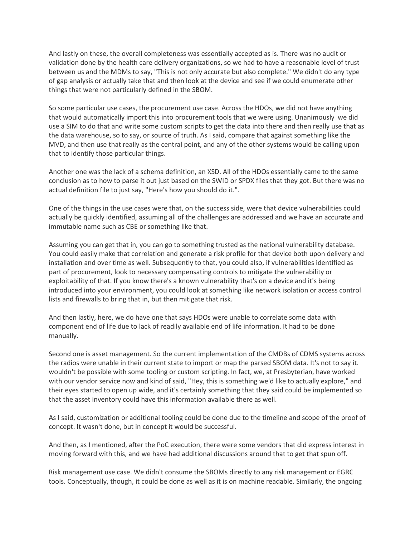And lastly on these, the overall completeness was essentially accepted as is. There was no audit or validation done by the health care delivery organizations, so we had to have a reasonable level of trust between us and the MDMs to say, "This is not only accurate but also complete." We didn't do any type of gap analysis or actually take that and then look at the device and see if we could enumerate other things that were not particularly defined in the SBOM.

So some particular use cases, the procurement use case. Across the HDOs, we did not have anything that would automatically import this into procurement tools that we were using. Unanimously we did use a SIM to do that and write some custom scripts to get the data into there and then really use that as the data warehouse, so to say, or source of truth. As I said, compare that against something like the MVD, and then use that really as the central point, and any of the other systems would be calling upon that to identify those particular things.

Another one was the lack of a schema definition, an XSD. All of the HDOs essentially came to the same conclusion as to how to parse it out just based on the SWID or SPDX files that they got. But there was no actual definition file to just say, "Here's how you should do it.".

One of the things in the use cases were that, on the success side, were that device vulnerabilities could actually be quickly identified, assuming all of the challenges are addressed and we have an accurate and immutable name such as CBE or something like that.

Assuming you can get that in, you can go to something trusted as the national vulnerability database. You could easily make that correlation and generate a risk profile for that device both upon delivery and installation and over time as well. Subsequently to that, you could also, if vulnerabilities identified as part of procurement, look to necessary compensating controls to mitigate the vulnerability or exploitability of that. If you know there's a known vulnerability that's on a device and it's being introduced into your environment, you could look at something like network isolation or access control lists and firewalls to bring that in, but then mitigate that risk.

And then lastly, here, we do have one that says HDOs were unable to correlate some data with component end of life due to lack of readily available end of life information. It had to be done manually.

Second one is asset management. So the current implementation of the CMDBs of CDMS systems across the radios were unable in their current state to import or map the parsed SBOM data. It's not to say it. wouldn't be possible with some tooling or custom scripting. In fact, we, at Presbyterian, have worked with our vendor service now and kind of said, "Hey, this is something we'd like to actually explore," and their eyes started to open up wide, and it's certainly something that they said could be implemented so that the asset inventory could have this information available there as well.

As I said, customization or additional tooling could be done due to the timeline and scope of the proof of concept. It wasn't done, but in concept it would be successful.

And then, as I mentioned, after the PoC execution, there were some vendors that did express interest in moving forward with this, and we have had additional discussions around that to get that spun off.

Risk management use case. We didn't consume the SBOMs directly to any risk management or EGRC tools. Conceptually, though, it could be done as well as it is on machine readable. Similarly, the ongoing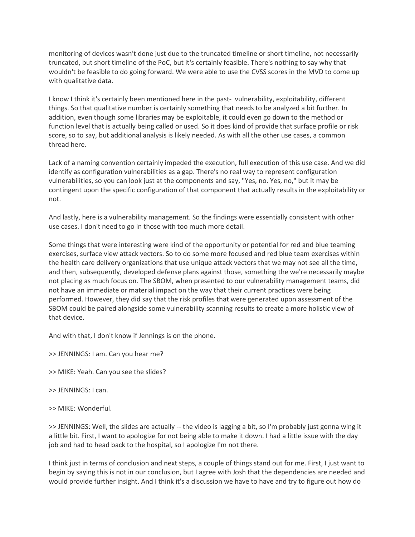monitoring of devices wasn't done just due to the truncated timeline or short timeline, not necessarily truncated, but short timeline of the PoC, but it's certainly feasible. There's nothing to say why that wouldn't be feasible to do going forward. We were able to use the CVSS scores in the MVD to come up with qualitative data.

I know I think it's certainly been mentioned here in the past- vulnerability, exploitability, different things. So that qualitative number is certainly something that needs to be analyzed a bit further. In addition, even though some libraries may be exploitable, it could even go down to the method or function level that is actually being called or used. So it does kind of provide that surface profile or risk score, so to say, but additional analysis is likely needed. As with all the other use cases, a common thread here.

Lack of a naming convention certainly impeded the execution, full execution of this use case. And we did identify as configuration vulnerabilities as a gap. There's no real way to represent configuration vulnerabilities, so you can look just at the components and say, "Yes, no. Yes, no," but it may be contingent upon the specific configuration of that component that actually results in the exploitability or not.

And lastly, here is a vulnerability management. So the findings were essentially consistent with other use cases. I don't need to go in those with too much more detail.

Some things that were interesting were kind of the opportunity or potential for red and blue teaming exercises, surface view attack vectors. So to do some more focused and red blue team exercises within the health care delivery organizations that use unique attack vectors that we may not see all the time, and then, subsequently, developed defense plans against those, something the we're necessarily maybe not placing as much focus on. The SBOM, when presented to our vulnerability management teams, did not have an immediate or material impact on the way that their current practices were being performed. However, they did say that the risk profiles that were generated upon assessment of the SBOM could be paired alongside some vulnerability scanning results to create a more holistic view of that device.

And with that, I don't know if Jennings is on the phone.

>> JENNINGS: I am. Can you hear me?

- >> MIKE: Yeah. Can you see the slides?
- >> JENNINGS: I can.
- >> MIKE: Wonderful.

>> JENNINGS: Well, the slides are actually -- the video is lagging a bit, so I'm probably just gonna wing it a little bit. First, I want to apologize for not being able to make it down. I had a little issue with the day job and had to head back to the hospital, so I apologize I'm not there.

I think just in terms of conclusion and next steps, a couple of things stand out for me. First, I just want to begin by saying this is not in our conclusion, but I agree with Josh that the dependencies are needed and would provide further insight. And I think it's a discussion we have to have and try to figure out how do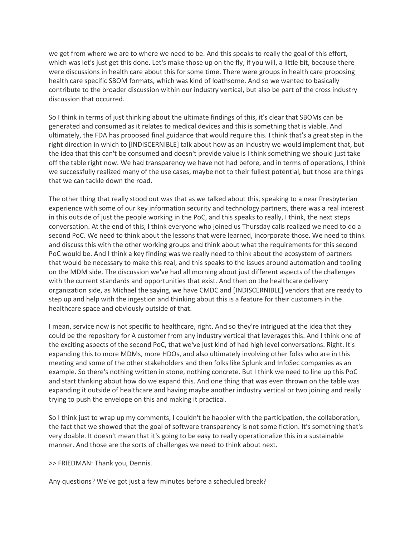we get from where we are to where we need to be. And this speaks to really the goal of this effort, which was let's just get this done. Let's make those up on the fly, if you will, a little bit, because there were discussions in health care about this for some time. There were groups in health care proposing health care specific SBOM formats, which was kind of loathsome. And so we wanted to basically contribute to the broader discussion within our industry vertical, but also be part of the cross industry discussion that occurred.

So I think in terms of just thinking about the ultimate findings of this, it's clear that SBOMs can be generated and consumed as it relates to medical devices and this is something that is viable. And ultimately, the FDA has proposed final guidance that would require this. I think that's a great step in the right direction in which to [INDISCERNIBLE] talk about how as an industry we would implement that, but the idea that this can't be consumed and doesn't provide value is I think something we should just take off the table right now. We had transparency we have not had before, and in terms of operations, I think we successfully realized many of the use cases, maybe not to their fullest potential, but those are things that we can tackle down the road.

The other thing that really stood out was that as we talked about this, speaking to a near Presbyterian experience with some of our key information security and technology partners, there was a real interest in this outside of just the people working in the PoC, and this speaks to really, I think, the next steps conversation. At the end of this, I think everyone who joined us Thursday calls realized we need to do a second PoC. We need to think about the lessons that were learned, incorporate those. We need to think and discuss this with the other working groups and think about what the requirements for this second PoC would be. And I think a key finding was we really need to think about the ecosystem of partners that would be necessary to make this real, and this speaks to the issues around automation and tooling on the MDM side. The discussion we've had all morning about just different aspects of the challenges with the current standards and opportunities that exist. And then on the healthcare delivery organization side, as Michael the saying, we have CMDC and [INDISCERNIBLE] vendors that are ready to step up and help with the ingestion and thinking about this is a feature for their customers in the healthcare space and obviously outside of that.

I mean, service now is not specific to healthcare, right. And so they're intrigued at the idea that they could be the repository for A customer from any industry vertical that leverages this. And I think one of the exciting aspects of the second PoC, that we've just kind of had high level conversations. Right. It's expanding this to more MDMs, more HDOs, and also ultimately involving other folks who are in this meeting and some of the other stakeholders and then folks like Splunk and InfoSec companies as an example. So there's nothing written in stone, nothing concrete. But I think we need to line up this PoC and start thinking about how do we expand this. And one thing that was even thrown on the table was expanding it outside of healthcare and having maybe another industry vertical or two joining and really trying to push the envelope on this and making it practical.

So I think just to wrap up my comments, I couldn't be happier with the participation, the collaboration, the fact that we showed that the goal of software transparency is not some fiction. It's something that's very doable. It doesn't mean that it's going to be easy to really operationalize this in a sustainable manner. And those are the sorts of challenges we need to think about next.

>> FRIEDMAN: Thank you, Dennis.

Any questions? We've got just a few minutes before a scheduled break?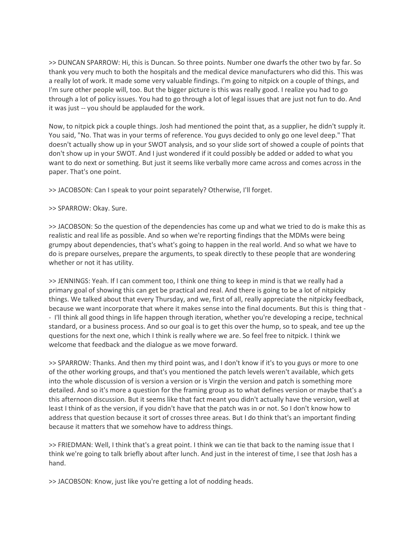>> DUNCAN SPARROW: Hi, this is Duncan. So three points. Number one dwarfs the other two by far. So thank you very much to both the hospitals and the medical device manufacturers who did this. This was a really lot of work. It made some very valuable findings. I'm going to nitpick on a couple of things, and I'm sure other people will, too. But the bigger picture is this was really good. I realize you had to go through a lot of policy issues. You had to go through a lot of legal issues that are just not fun to do. And it was just -- you should be applauded for the work.

Now, to nitpick pick a couple things. Josh had mentioned the point that, as a supplier, he didn't supply it. You said, "No. That was in your terms of reference. You guys decided to only go one level deep." That doesn't actually show up in your SWOT analysis, and so your slide sort of showed a couple of points that don't show up in your SWOT. And I just wondered if it could possibly be added or added to what you want to do next or something. But just it seems like verbally more came across and comes across in the paper. That's one point.

>> JACOBSON: Can I speak to your point separately? Otherwise, I'll forget.

>> SPARROW: Okay. Sure.

>> JACOBSON: So the question of the dependencies has come up and what we tried to do is make this as realistic and real life as possible. And so when we're reporting findings that the MDMs were being grumpy about dependencies, that's what's going to happen in the real world. And so what we have to do is prepare ourselves, prepare the arguments, to speak directly to these people that are wondering whether or not it has utility.

>> JENNINGS: Yeah. If I can comment too, I think one thing to keep in mind is that we really had a primary goal of showing this can get be practical and real. And there is going to be a lot of nitpicky things. We talked about that every Thursday, and we, first of all, really appreciate the nitpicky feedback, because we want incorporate that where it makes sense into the final documents. But this is thing that - - I'll think all good things in life happen through iteration, whether you're developing a recipe, technical standard, or a business process. And so our goal is to get this over the hump, so to speak, and tee up the questions for the next one, which I think is really where we are. So feel free to nitpick. I think we welcome that feedback and the dialogue as we move forward.

>> SPARROW: Thanks. And then my third point was, and I don't know if it's to you guys or more to one of the other working groups, and that's you mentioned the patch levels weren't available, which gets into the whole discussion of is version a version or is Virgin the version and patch is something more detailed. And so it's more a question for the framing group as to what defines version or maybe that's a this afternoon discussion. But it seems like that fact meant you didn't actually have the version, well at least I think of as the version, if you didn't have that the patch was in or not. So I don't know how to address that question because it sort of crosses three areas. But I do think that's an important finding because it matters that we somehow have to address things.

>> FRIEDMAN: Well, I think that's a great point. I think we can tie that back to the naming issue that I think we're going to talk briefly about after lunch. And just in the interest of time, I see that Josh has a hand.

>> JACOBSON: Know, just like you're getting a lot of nodding heads.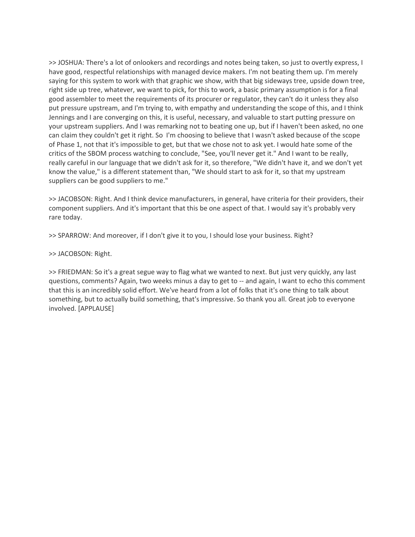>> JOSHUA: There's a lot of onlookers and recordings and notes being taken, so just to overtly express, I have good, respectful relationships with managed device makers. I'm not beating them up. I'm merely saying for this system to work with that graphic we show, with that big sideways tree, upside down tree, right side up tree, whatever, we want to pick, for this to work, a basic primary assumption is for a final good assembler to meet the requirements of its procurer or regulator, they can't do it unless they also put pressure upstream, and I'm trying to, with empathy and understanding the scope of this, and I think Jennings and I are converging on this, it is useful, necessary, and valuable to start putting pressure on your upstream suppliers. And I was remarking not to beating one up, but if I haven't been asked, no one can claim they couldn't get it right. So I'm choosing to believe that I wasn't asked because of the scope of Phase 1, not that it's impossible to get, but that we chose not to ask yet. I would hate some of the critics of the SBOM process watching to conclude, "See, you'll never get it." And I want to be really, really careful in our language that we didn't ask for it, so therefore, "We didn't have it, and we don't yet know the value," is a different statement than, "We should start to ask for it, so that my upstream suppliers can be good suppliers to me."

>> JACOBSON: Right. And I think device manufacturers, in general, have criteria for their providers, their component suppliers. And it's important that this be one aspect of that. I would say it's probably very rare today.

>> SPARROW: And moreover, if I don't give it to you, I should lose your business. Right?

#### >> JACOBSON: Right.

>> FRIEDMAN: So it's a great segue way to flag what we wanted to next. But just very quickly, any last questions, comments? Again, two weeks minus a day to get to -- and again, I want to echo this comment that this is an incredibly solid effort. We've heard from a lot of folks that it's one thing to talk about something, but to actually build something, that's impressive. So thank you all. Great job to everyone involved. [APPLAUSE]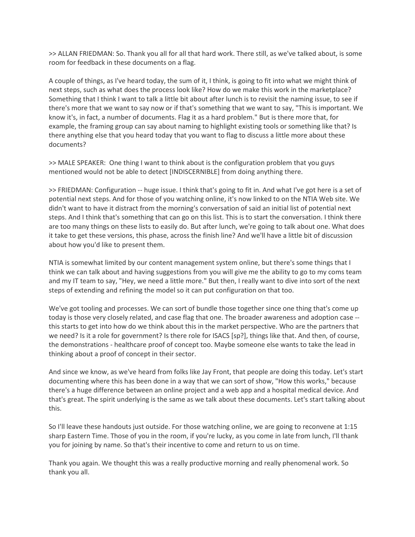>> ALLAN FRIEDMAN: So. Thank you all for all that hard work. There still, as we've talked about, is some room for feedback in these documents on a flag.

A couple of things, as I've heard today, the sum of it, I think, is going to fit into what we might think of next steps, such as what does the process look like? How do we make this work in the marketplace? Something that I think I want to talk a little bit about after lunch is to revisit the naming issue, to see if there's more that we want to say now or if that's something that we want to say, "This is important. We know it's, in fact, a number of documents. Flag it as a hard problem." But is there more that, for example, the framing group can say about naming to highlight existing tools or something like that? Is there anything else that you heard today that you want to flag to discuss a little more about these documents?

>> MALE SPEAKER: One thing I want to think about is the configuration problem that you guys mentioned would not be able to detect [INDISCERNIBLE] from doing anything there.

>> FRIEDMAN: Configuration -- huge issue. I think that's going to fit in. And what I've got here is a set of potential next steps. And for those of you watching online, it's now linked to on the NTIA Web site. We didn't want to have it distract from the morning's conversation of said an initial list of potential next steps. And I think that's something that can go on this list. This is to start the conversation. I think there are too many things on these lists to easily do. But after lunch, we're going to talk about one. What does it take to get these versions, this phase, across the finish line? And we'll have a little bit of discussion about how you'd like to present them.

NTIA is somewhat limited by our content management system online, but there's some things that I think we can talk about and having suggestions from you will give me the ability to go to my coms team and my IT team to say, "Hey, we need a little more." But then, I really want to dive into sort of the next steps of extending and refining the model so it can put configuration on that too.

We've got tooling and processes. We can sort of bundle those together since one thing that's come up today is those very closely related, and case flag that one. The broader awareness and adoption case - this starts to get into how do we think about this in the market perspective. Who are the partners that we need? Is it a role for government? Is there role for ISACS [sp?], things like that. And then, of course, the demonstrations - healthcare proof of concept too. Maybe someone else wants to take the lead in thinking about a proof of concept in their sector.

And since we know, as we've heard from folks like Jay Front, that people are doing this today. Let's start documenting where this has been done in a way that we can sort of show, "How this works," because there's a huge difference between an online project and a web app and a hospital medical device. And that's great. The spirit underlying is the same as we talk about these documents. Let's start talking about this.

So I'll leave these handouts just outside. For those watching online, we are going to reconvene at 1:15 sharp Eastern Time. Those of you in the room, if you're lucky, as you come in late from lunch, I'll thank you for joining by name. So that's their incentive to come and return to us on time.

Thank you again. We thought this was a really productive morning and really phenomenal work. So thank you all.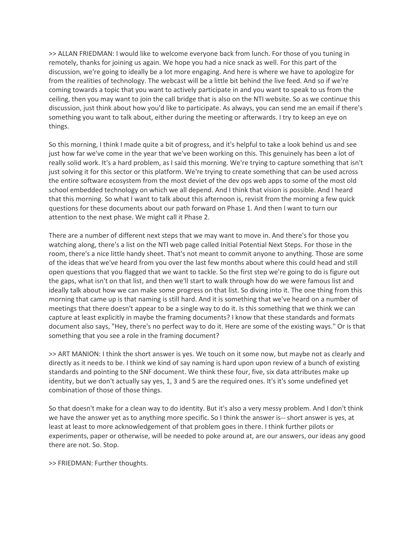>> ALLAN FRIEDMAN: I would like to welcome everyone back from lunch. For those of you tuning in remotely, thanks for joining us again. We hope you had a nice snack as well. For this part of the discussion, we're going to ideally be a lot more engaging. And here is where we have to apologize for from the realities of technology. The webcast will be a little bit behind the live feed. And so if we're coming towards a topic that you want to actively participate in and you want to speak to us from the ceiling, then you may want to join the call bridge that is also on the NTI website. So as we continue this discussion, just think about how you'd like to participate. As always, you can send me an email if there's something you want to talk about, either during the meeting or afterwards. I try to keep an eye on things.

So this morning, I think I made quite a bit of progress, and it's helpful to take a look behind us and see just how far we've come in the year that we've been working on this. This genuinely has been a lot of really solid work. It's a hard problem, as I said this morning. We're trying to capture something that isn't just solving it for this sector or this platform. We're trying to create something that can be used across the entire software ecosystem from the most deviet of the dev ops web apps to some of the most old school embedded technology on which we all depend. And I think that vision is possible. And I heard that this morning. So what I want to talk about this afternoon is, revisit from the morning a few quick questions for these documents about our path forward on Phase 1. And then I want to turn our attention to the next phase. We might call it Phase 2.

There are a number of different next steps that we may want to move in. And there's for those you watching along, there's a list on the NTI web page called Initial Potential Next Steps. For those in the room, there's a nice little handy sheet. That's not meant to commit anyone to anything. Those are some of the ideas that we've heard from you over the last few months about where this could head and still open questions that you flagged that we want to tackle. So the first step we're going to do is figure out the gaps, what isn't on that list, and then we'll start to walk through how do we were famous list and ideally talk about how we can make some progress on that list. So diving into it. The one thing from this morning that came up is that naming is still hard. And it is something that we've heard on a number of meetings that there doesn't appear to be a single way to do it. Is this something that we think we can capture at least explicitly in maybe the framing documents? I know that these standards and formats document also says, "Hey, there's no perfect way to do it. Here are some of the existing ways." Or is that something that you see a role in the framing document?

>> ART MANION: I think the short answer is yes. We touch on it some now, but maybe not as clearly and directly as it needs to be. I think we kind of say naming is hard upon upon review of a bunch of existing standards and pointing to the SNF document. We think these four, five, six data attributes make up identity, but we don't actually say yes, 1, 3 and 5 are the required ones. It's it's some undefined yet combination of those of those things.

So that doesn't make for a clean way to do identity. But it's also a very messy problem. And I don't think we have the answer yet as to anything more specific. So I think the answer is-- short answer is yes, at least at least to more acknowledgement of that problem goes in there. I think further pilots or experiments, paper or otherwise, will be needed to poke around at, are our answers, our ideas any good there are not. So. Stop.

>> FRIEDMAN: Further thoughts.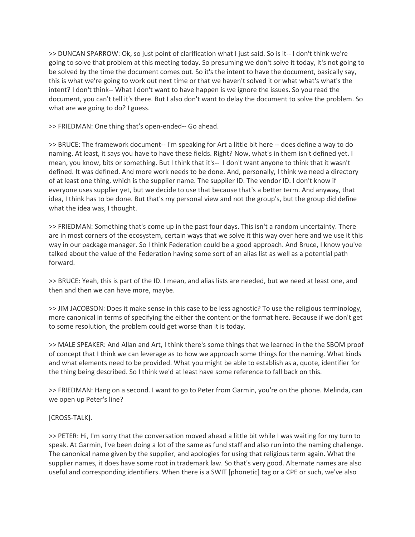>> DUNCAN SPARROW: Ok, so just point of clarification what I just said. So is it-- I don't think we're going to solve that problem at this meeting today. So presuming we don't solve it today, it's not going to be solved by the time the document comes out. So it's the intent to have the document, basically say, this is what we're going to work out next time or that we haven't solved it or what what's what's the intent? I don't think-- What I don't want to have happen is we ignore the issues. So you read the document, you can't tell it's there. But I also don't want to delay the document to solve the problem. So what are we going to do? I guess.

>> FRIEDMAN: One thing that's open-ended-- Go ahead.

>> BRUCE: The framework document-- I'm speaking for Art a little bit here -- does define a way to do naming. At least, it says you have to have these fields. Right? Now, what's in them isn't defined yet. I mean, you know, bits or something. But I think that it's-- I don't want anyone to think that it wasn't defined. It was defined. And more work needs to be done. And, personally, I think we need a directory of at least one thing, which is the supplier name. The supplier ID. The vendor ID. I don't know if everyone uses supplier yet, but we decide to use that because that's a better term. And anyway, that idea, I think has to be done. But that's my personal view and not the group's, but the group did define what the idea was, I thought.

>> FRIEDMAN: Something that's come up in the past four days. This isn't a random uncertainty. There are in most corners of the ecosystem, certain ways that we solve it this way over here and we use it this way in our package manager. So I think Federation could be a good approach. And Bruce, I know you've talked about the value of the Federation having some sort of an alias list as well as a potential path forward.

>> BRUCE: Yeah, this is part of the ID. I mean, and alias lists are needed, but we need at least one, and then and then we can have more, maybe.

>> JIM JACOBSON: Does it make sense in this case to be less agnostic? To use the religious terminology, more canonical in terms of specifying the either the content or the format here. Because if we don't get to some resolution, the problem could get worse than it is today.

>> MALE SPEAKER: And Allan and Art, I think there's some things that we learned in the the SBOM proof of concept that I think we can leverage as to how we approach some things for the naming. What kinds and what elements need to be provided. What you might be able to establish as a, quote, identifier for the thing being described. So I think we'd at least have some reference to fall back on this.

>> FRIEDMAN: Hang on a second. I want to go to Peter from Garmin, you're on the phone. Melinda, can we open up Peter's line?

## [CROSS-TALK].

>> PETER: Hi, I'm sorry that the conversation moved ahead a little bit while I was waiting for my turn to speak. At Garmin, I've been doing a lot of the same as fund staff and also run into the naming challenge. The canonical name given by the supplier, and apologies for using that religious term again. What the supplier names, it does have some root in trademark law. So that's very good. Alternate names are also useful and corresponding identifiers. When there is a SWIT [phonetic] tag or a CPE or such, we've also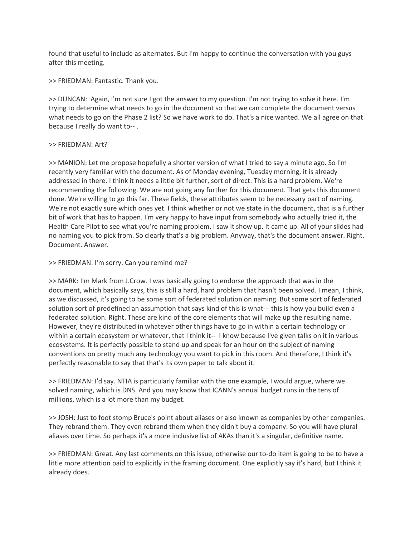found that useful to include as alternates. But I'm happy to continue the conversation with you guys after this meeting.

>> FRIEDMAN: Fantastic. Thank you.

>> DUNCAN: Again, I'm not sure I got the answer to my question. I'm not trying to solve it here. I'm trying to determine what needs to go in the document so that we can complete the document versus what needs to go on the Phase 2 list? So we have work to do. That's a nice wanted. We all agree on that because I really do want to-- .

## >> FRIEDMAN: Art?

>> MANION: Let me propose hopefully a shorter version of what I tried to say a minute ago. So I'm recently very familiar with the document. As of Monday evening, Tuesday morning, it is already addressed in there. I think it needs a little bit further, sort of direct. This is a hard problem. We're recommending the following. We are not going any further for this document. That gets this document done. We're willing to go this far. These fields, these attributes seem to be necessary part of naming. We're not exactly sure which ones yet. I think whether or not we state in the document, that is a further bit of work that has to happen. I'm very happy to have input from somebody who actually tried it, the Health Care Pilot to see what you're naming problem. I saw it show up. It came up. All of your slides had no naming you to pick from. So clearly that's a big problem. Anyway, that's the document answer. Right. Document. Answer.

#### >> FRIEDMAN: I'm sorry. Can you remind me?

>> MARK: I'm Mark from J.Crow. I was basically going to endorse the approach that was in the document, which basically says, this is still a hard, hard problem that hasn't been solved. I mean, I think, as we discussed, it's going to be some sort of federated solution on naming. But some sort of federated solution sort of predefined an assumption that says kind of this is what-- this is how you build even a federated solution. Right. These are kind of the core elements that will make up the resulting name. However, they're distributed in whatever other things have to go in within a certain technology or within a certain ecosystem or whatever, that I think it-- I know because I've given talks on it in various ecosystems. It is perfectly possible to stand up and speak for an hour on the subject of naming conventions on pretty much any technology you want to pick in this room. And therefore, I think it's perfectly reasonable to say that that's its own paper to talk about it.

>> FRIEDMAN: I'd say. NTIA is particularly familiar with the one example, I would argue, where we solved naming, which is DNS. And you may know that ICANN's annual budget runs in the tens of millions, which is a lot more than my budget.

>> JOSH: Just to foot stomp Bruce's point about aliases or also known as companies by other companies. They rebrand them. They even rebrand them when they didn't buy a company. So you will have plural aliases over time. So perhaps it's a more inclusive list of AKAs than it's a singular, definitive name.

>> FRIEDMAN: Great. Any last comments on this issue, otherwise our to-do item is going to be to have a little more attention paid to explicitly in the framing document. One explicitly say it's hard, but I think it already does.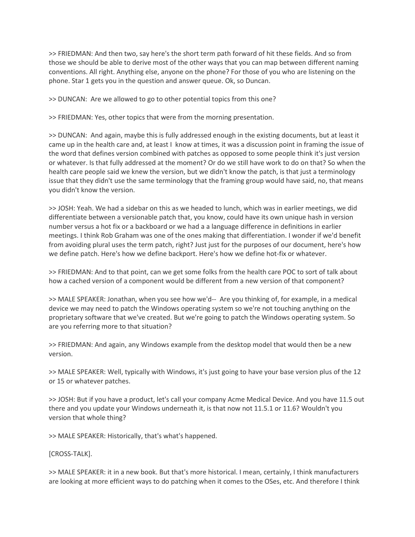>> FRIEDMAN: And then two, say here's the short term path forward of hit these fields. And so from those we should be able to derive most of the other ways that you can map between different naming conventions. All right. Anything else, anyone on the phone? For those of you who are listening on the phone. Star 1 gets you in the question and answer queue. Ok, so Duncan.

>> DUNCAN: Are we allowed to go to other potential topics from this one?

>> FRIEDMAN: Yes, other topics that were from the morning presentation.

>> DUNCAN: And again, maybe this is fully addressed enough in the existing documents, but at least it came up in the health care and, at least I know at times, it was a discussion point in framing the issue of the word that defines version combined with patches as opposed to some people think it's just version or whatever. Is that fully addressed at the moment? Or do we still have work to do on that? So when the health care people said we knew the version, but we didn't know the patch, is that just a terminology issue that they didn't use the same terminology that the framing group would have said, no, that means you didn't know the version.

>> JOSH: Yeah. We had a sidebar on this as we headed to lunch, which was in earlier meetings, we did differentiate between a versionable patch that, you know, could have its own unique hash in version number versus a hot fix or a backboard or we had a a language difference in definitions in earlier meetings. I think Rob Graham was one of the ones making that differentiation. I wonder if we'd benefit from avoiding plural uses the term patch, right? Just just for the purposes of our document, here's how we define patch. Here's how we define backport. Here's how we define hot-fix or whatever.

>> FRIEDMAN: And to that point, can we get some folks from the health care POC to sort of talk about how a cached version of a component would be different from a new version of that component?

>> MALE SPEAKER: Jonathan, when you see how we'd-- Are you thinking of, for example, in a medical device we may need to patch the Windows operating system so we're not touching anything on the proprietary software that we've created. But we're going to patch the Windows operating system. So are you referring more to that situation?

>> FRIEDMAN: And again, any Windows example from the desktop model that would then be a new version.

>> MALE SPEAKER: Well, typically with Windows, it's just going to have your base version plus of the 12 or 15 or whatever patches.

>> JOSH: But if you have a product, let's call your company Acme Medical Device. And you have 11.5 out there and you update your Windows underneath it, is that now not 11.5.1 or 11.6? Wouldn't you version that whole thing?

>> MALE SPEAKER: Historically, that's what's happened.

[CROSS-TALK].

>> MALE SPEAKER: it in a new book. But that's more historical. I mean, certainly, I think manufacturers are looking at more efficient ways to do patching when it comes to the OSes, etc. And therefore I think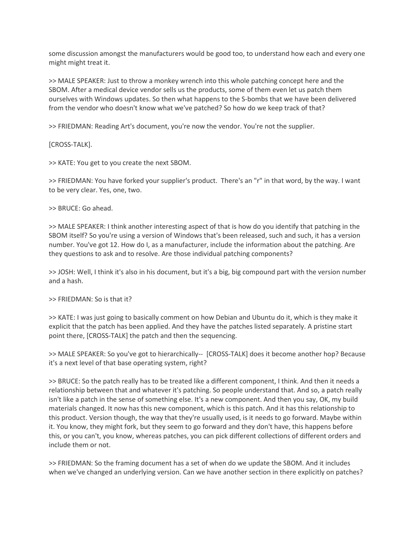some discussion amongst the manufacturers would be good too, to understand how each and every one might might treat it.

>> MALE SPEAKER: Just to throw a monkey wrench into this whole patching concept here and the SBOM. After a medical device vendor sells us the products, some of them even let us patch them ourselves with Windows updates. So then what happens to the S-bombs that we have been delivered from the vendor who doesn't know what we've patched? So how do we keep track of that?

>> FRIEDMAN: Reading Art's document, you're now the vendor. You're not the supplier.

[CROSS-TALK].

>> KATE: You get to you create the next SBOM.

>> FRIEDMAN: You have forked your supplier's product. There's an "r" in that word, by the way. I want to be very clear. Yes, one, two.

>> BRUCE: Go ahead.

>> MALE SPEAKER: I think another interesting aspect of that is how do you identify that patching in the SBOM itself? So you're using a version of Windows that's been released, such and such, it has a version number. You've got 12. How do I, as a manufacturer, include the information about the patching. Are they questions to ask and to resolve. Are those individual patching components?

>> JOSH: Well, I think it's also in his document, but it's a big, big compound part with the version number and a hash.

>> FRIEDMAN: So is that it?

>> KATE: I was just going to basically comment on how Debian and Ubuntu do it, which is they make it explicit that the patch has been applied. And they have the patches listed separately. A pristine start point there, [CROSS-TALK] the patch and then the sequencing.

>> MALE SPEAKER: So you've got to hierarchically-- [CROSS-TALK] does it become another hop? Because it's a next level of that base operating system, right?

>> BRUCE: So the patch really has to be treated like a different component, I think. And then it needs a relationship between that and whatever it's patching. So people understand that. And so, a patch really isn't like a patch in the sense of something else. It's a new component. And then you say, OK, my build materials changed. It now has this new component, which is this patch. And it has this relationship to this product. Version though, the way that they're usually used, is it needs to go forward. Maybe within it. You know, they might fork, but they seem to go forward and they don't have, this happens before this, or you can't, you know, whereas patches, you can pick different collections of different orders and include them or not.

>> FRIEDMAN: So the framing document has a set of when do we update the SBOM. And it includes when we've changed an underlying version. Can we have another section in there explicitly on patches?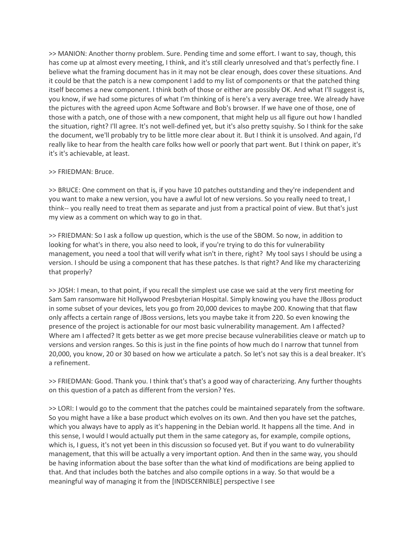>> MANION: Another thorny problem. Sure. Pending time and some effort. I want to say, though, this has come up at almost every meeting, I think, and it's still clearly unresolved and that's perfectly fine. I believe what the framing document has in it may not be clear enough, does cover these situations. And it could be that the patch is a new component I add to my list of components or that the patched thing itself becomes a new component. I think both of those or either are possibly OK. And what I'll suggest is, you know, if we had some pictures of what I'm thinking of is here's a very average tree. We already have the pictures with the agreed upon Acme Software and Bob's browser. If we have one of those, one of those with a patch, one of those with a new component, that might help us all figure out how I handled the situation, right? I'll agree. It's not well-defined yet, but it's also pretty squishy. So I think for the sake the document, we'll probably try to be little more clear about it. But I think it is unsolved. And again, I'd really like to hear from the health care folks how well or poorly that part went. But I think on paper, it's it's it's achievable, at least.

#### >> FRIEDMAN: Bruce.

>> BRUCE: One comment on that is, if you have 10 patches outstanding and they're independent and you want to make a new version, you have a awful lot of new versions. So you really need to treat, I think-- you really need to treat them as separate and just from a practical point of view. But that's just my view as a comment on which way to go in that.

>> FRIEDMAN: So I ask a follow up question, which is the use of the SBOM. So now, in addition to looking for what's in there, you also need to look, if you're trying to do this for vulnerability management, you need a tool that will verify what isn't in there, right? My tool says I should be using a version. I should be using a component that has these patches. Is that right? And like my characterizing that properly?

>> JOSH: I mean, to that point, if you recall the simplest use case we said at the very first meeting for Sam Sam ransomware hit Hollywood Presbyterian Hospital. Simply knowing you have the JBoss product in some subset of your devices, lets you go from 20,000 devices to maybe 200. Knowing that that flaw only affects a certain range of JBoss versions, lets you maybe take it from 220. So even knowing the presence of the project is actionable for our most basic vulnerability management. Am I affected? Where am I affected? It gets better as we get more precise because vulnerabilities cleave or match up to versions and version ranges. So this is just in the fine points of how much do I narrow that tunnel from 20,000, you know, 20 or 30 based on how we articulate a patch. So let's not say this is a deal breaker. It's a refinement.

>> FRIEDMAN: Good. Thank you. I think that's that's a good way of characterizing. Any further thoughts on this question of a patch as different from the version? Yes.

>> LORI: I would go to the comment that the patches could be maintained separately from the software. So you might have a like a base product which evolves on its own. And then you have set the patches, which you always have to apply as it's happening in the Debian world. It happens all the time. And in this sense, I would I would actually put them in the same category as, for example, compile options, which is, I guess, it's not yet been in this discussion so focused yet. But if you want to do vulnerability management, that this will be actually a very important option. And then in the same way, you should be having information about the base softer than the what kind of modifications are being applied to that. And that includes both the batches and also compile options in a way. So that would be a meaningful way of managing it from the [INDISCERNIBLE] perspective I see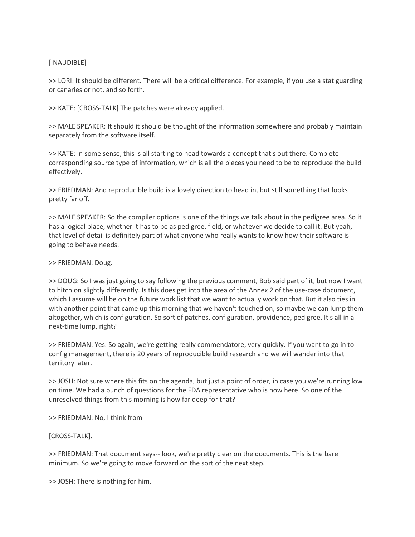## [INAUDIBLE]

>> LORI: It should be different. There will be a critical difference. For example, if you use a stat guarding or canaries or not, and so forth.

>> KATE: [CROSS-TALK] The patches were already applied.

>> MALE SPEAKER: It should it should be thought of the information somewhere and probably maintain separately from the software itself.

>> KATE: In some sense, this is all starting to head towards a concept that's out there. Complete corresponding source type of information, which is all the pieces you need to be to reproduce the build effectively.

>> FRIEDMAN: And reproducible build is a lovely direction to head in, but still something that looks pretty far off.

>> MALE SPEAKER: So the compiler options is one of the things we talk about in the pedigree area. So it has a logical place, whether it has to be as pedigree, field, or whatever we decide to call it. But yeah, that level of detail is definitely part of what anyone who really wants to know how their software is going to behave needs.

## >> FRIEDMAN: Doug.

>> DOUG: So I was just going to say following the previous comment, Bob said part of it, but now I want to hitch on slightly differently. Is this does get into the area of the Annex 2 of the use-case document, which I assume will be on the future work list that we want to actually work on that. But it also ties in with another point that came up this morning that we haven't touched on, so maybe we can lump them altogether, which is configuration. So sort of patches, configuration, providence, pedigree. It's all in a next-time lump, right?

>> FRIEDMAN: Yes. So again, we're getting really commendatore, very quickly. If you want to go in to config management, there is 20 years of reproducible build research and we will wander into that territory later.

>> JOSH: Not sure where this fits on the agenda, but just a point of order, in case you we're running low on time. We had a bunch of questions for the FDA representative who is now here. So one of the unresolved things from this morning is how far deep for that?

>> FRIEDMAN: No, I think from

## [CROSS-TALK].

>> FRIEDMAN: That document says-- look, we're pretty clear on the documents. This is the bare minimum. So we're going to move forward on the sort of the next step.

>> JOSH: There is nothing for him.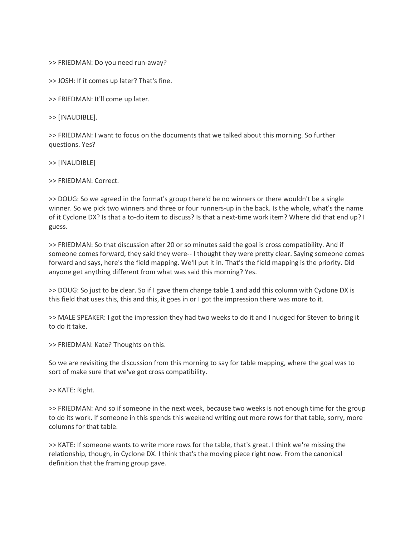>> FRIEDMAN: Do you need run-away?

>> JOSH: If it comes up later? That's fine.

>> FRIEDMAN: It'll come up later.

>> [INAUDIBLE].

>> FRIEDMAN: I want to focus on the documents that we talked about this morning. So further questions. Yes?

>> [INAUDIBLE]

>> FRIEDMAN: Correct.

>> DOUG: So we agreed in the format's group there'd be no winners or there wouldn't be a single winner. So we pick two winners and three or four runners-up in the back. Is the whole, what's the name of it Cyclone DX? Is that a to-do item to discuss? Is that a next-time work item? Where did that end up? I guess.

>> FRIEDMAN: So that discussion after 20 or so minutes said the goal is cross compatibility. And if someone comes forward, they said they were-- I thought they were pretty clear. Saying someone comes forward and says, here's the field mapping. We'll put it in. That's the field mapping is the priority. Did anyone get anything different from what was said this morning? Yes.

>> DOUG: So just to be clear. So if I gave them change table 1 and add this column with Cyclone DX is this field that uses this, this and this, it goes in or I got the impression there was more to it.

>> MALE SPEAKER: I got the impression they had two weeks to do it and I nudged for Steven to bring it to do it take.

>> FRIEDMAN: Kate? Thoughts on this.

So we are revisiting the discussion from this morning to say for table mapping, where the goal was to sort of make sure that we've got cross compatibility.

>> KATE: Right.

>> FRIEDMAN: And so if someone in the next week, because two weeks is not enough time for the group to do its work. If someone in this spends this weekend writing out more rows for that table, sorry, more columns for that table.

>> KATE: If someone wants to write more rows for the table, that's great. I think we're missing the relationship, though, in Cyclone DX. I think that's the moving piece right now. From the canonical definition that the framing group gave.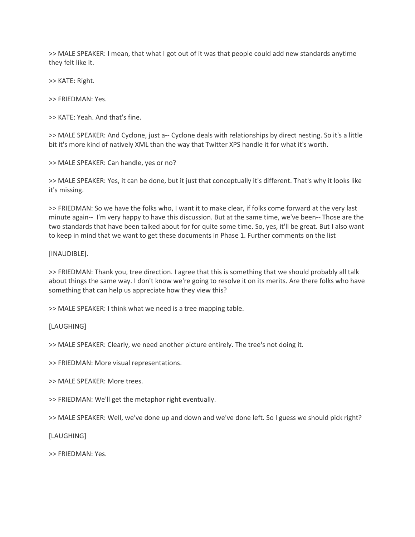>> MALE SPEAKER: I mean, that what I got out of it was that people could add new standards anytime they felt like it.

>> KATE: Right.

>> FRIEDMAN: Yes.

>> KATE: Yeah. And that's fine.

>> MALE SPEAKER: And Cyclone, just a-- Cyclone deals with relationships by direct nesting. So it's a little bit it's more kind of natively XML than the way that Twitter XPS handle it for what it's worth.

>> MALE SPEAKER: Can handle, yes or no?

>> MALE SPEAKER: Yes, it can be done, but it just that conceptually it's different. That's why it looks like it's missing.

>> FRIEDMAN: So we have the folks who, I want it to make clear, if folks come forward at the very last minute again-- I'm very happy to have this discussion. But at the same time, we've been-- Those are the two standards that have been talked about for for quite some time. So, yes, it'll be great. But I also want to keep in mind that we want to get these documents in Phase 1. Further comments on the list

[INAUDIBLE].

>> FRIEDMAN: Thank you, tree direction. I agree that this is something that we should probably all talk about things the same way. I don't know we're going to resolve it on its merits. Are there folks who have something that can help us appreciate how they view this?

>> MALE SPEAKER: I think what we need is a tree mapping table.

[LAUGHING]

>> MALE SPEAKER: Clearly, we need another picture entirely. The tree's not doing it.

>> FRIEDMAN: More visual representations.

>> MALE SPEAKER: More trees.

>> FRIEDMAN: We'll get the metaphor right eventually.

>> MALE SPEAKER: Well, we've done up and down and we've done left. So I guess we should pick right?

[LAUGHING]

>> FRIEDMAN: Yes.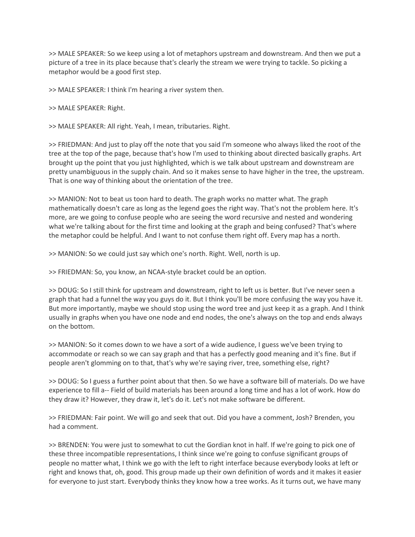>> MALE SPEAKER: So we keep using a lot of metaphors upstream and downstream. And then we put a picture of a tree in its place because that's clearly the stream we were trying to tackle. So picking a metaphor would be a good first step.

>> MALE SPEAKER: I think I'm hearing a river system then.

>> MALE SPEAKER: Right.

>> MALE SPEAKER: All right. Yeah, I mean, tributaries. Right.

>> FRIEDMAN: And just to play off the note that you said I'm someone who always liked the root of the tree at the top of the page, because that's how I'm used to thinking about directed basically graphs. Art brought up the point that you just highlighted, which is we talk about upstream and downstream are pretty unambiguous in the supply chain. And so it makes sense to have higher in the tree, the upstream. That is one way of thinking about the orientation of the tree.

>> MANION: Not to beat us toon hard to death. The graph works no matter what. The graph mathematically doesn't care as long as the legend goes the right way. That's not the problem here. It's more, are we going to confuse people who are seeing the word recursive and nested and wondering what we're talking about for the first time and looking at the graph and being confused? That's where the metaphor could be helpful. And I want to not confuse them right off. Every map has a north.

>> MANION: So we could just say which one's north. Right. Well, north is up.

>> FRIEDMAN: So, you know, an NCAA-style bracket could be an option.

>> DOUG: So I still think for upstream and downstream, right to left us is better. But I've never seen a graph that had a funnel the way you guys do it. But I think you'll be more confusing the way you have it. But more importantly, maybe we should stop using the word tree and just keep it as a graph. And I think usually in graphs when you have one node and end nodes, the one's always on the top and ends always on the bottom.

>> MANION: So it comes down to we have a sort of a wide audience, I guess we've been trying to accommodate or reach so we can say graph and that has a perfectly good meaning and it's fine. But if people aren't glomming on to that, that's why we're saying river, tree, something else, right?

>> DOUG: So I guess a further point about that then. So we have a software bill of materials. Do we have experience to fill a-- Field of build materials has been around a long time and has a lot of work. How do they draw it? However, they draw it, let's do it. Let's not make software be different.

>> FRIEDMAN: Fair point. We will go and seek that out. Did you have a comment, Josh? Brenden, you had a comment.

>> BRENDEN: You were just to somewhat to cut the Gordian knot in half. If we're going to pick one of these three incompatible representations, I think since we're going to confuse significant groups of people no matter what, I think we go with the left to right interface because everybody looks at left or right and knows that, oh, good. This group made up their own definition of words and it makes it easier for everyone to just start. Everybody thinks they know how a tree works. As it turns out, we have many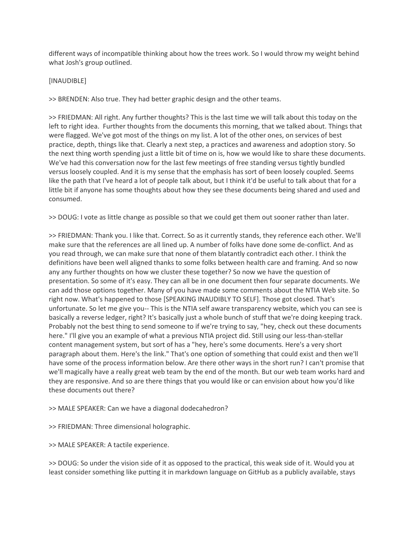different ways of incompatible thinking about how the trees work. So I would throw my weight behind what Josh's group outlined.

#### [INAUDIBLE]

>> BRENDEN: Also true. They had better graphic design and the other teams.

>> FRIEDMAN: All right. Any further thoughts? This is the last time we will talk about this today on the left to right idea. Further thoughts from the documents this morning, that we talked about. Things that were flagged. We've got most of the things on my list. A lot of the other ones, on services of best practice, depth, things like that. Clearly a next step, a practices and awareness and adoption story. So the next thing worth spending just a little bit of time on is, how we would like to share these documents. We've had this conversation now for the last few meetings of free standing versus tightly bundled versus loosely coupled. And it is my sense that the emphasis has sort of been loosely coupled. Seems like the path that I've heard a lot of people talk about, but I think it'd be useful to talk about that for a little bit if anyone has some thoughts about how they see these documents being shared and used and consumed.

>> DOUG: I vote as little change as possible so that we could get them out sooner rather than later.

>> FRIEDMAN: Thank you. I like that. Correct. So as it currently stands, they reference each other. We'll make sure that the references are all lined up. A number of folks have done some de-conflict. And as you read through, we can make sure that none of them blatantly contradict each other. I think the definitions have been well aligned thanks to some folks between health care and framing. And so now any any further thoughts on how we cluster these together? So now we have the question of presentation. So some of it's easy. They can all be in one document then four separate documents. We can add those options together. Many of you have made some comments about the NTIA Web site. So right now. What's happened to those [SPEAKING INAUDIBLY TO SELF]. Those got closed. That's unfortunate. So let me give you-- This is the NTIA self aware transparency website, which you can see is basically a reverse ledger, right? It's basically just a whole bunch of stuff that we're doing keeping track. Probably not the best thing to send someone to if we're trying to say, "hey, check out these documents here." I'll give you an example of what a previous NTIA project did. Still using our less-than-stellar content management system, but sort of has a "hey, here's some documents. Here's a very short paragraph about them. Here's the link." That's one option of something that could exist and then we'll have some of the process information below. Are there other ways in the short run? I can't promise that we'll magically have a really great web team by the end of the month. But our web team works hard and they are responsive. And so are there things that you would like or can envision about how you'd like these documents out there?

>> MALE SPEAKER: Can we have a diagonal dodecahedron?

>> FRIEDMAN: Three dimensional holographic.

>> MALE SPEAKER: A tactile experience.

>> DOUG: So under the vision side of it as opposed to the practical, this weak side of it. Would you at least consider something like putting it in markdown language on GitHub as a publicly available, stays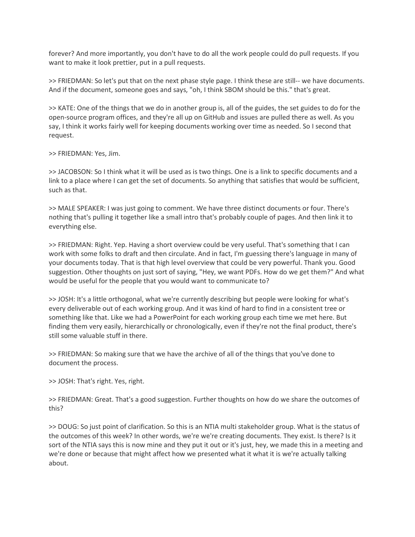forever? And more importantly, you don't have to do all the work people could do pull requests. If you want to make it look prettier, put in a pull requests.

>> FRIEDMAN: So let's put that on the next phase style page. I think these are still-- we have documents. And if the document, someone goes and says, "oh, I think SBOM should be this." that's great.

>> KATE: One of the things that we do in another group is, all of the guides, the set guides to do for the open-source program offices, and they're all up on GitHub and issues are pulled there as well. As you say, I think it works fairly well for keeping documents working over time as needed. So I second that request.

>> FRIEDMAN: Yes, Jim.

>> JACOBSON: So I think what it will be used as is two things. One is a link to specific documents and a link to a place where I can get the set of documents. So anything that satisfies that would be sufficient, such as that.

>> MALE SPEAKER: I was just going to comment. We have three distinct documents or four. There's nothing that's pulling it together like a small intro that's probably couple of pages. And then link it to everything else.

>> FRIEDMAN: Right. Yep. Having a short overview could be very useful. That's something that I can work with some folks to draft and then circulate. And in fact, I'm guessing there's language in many of your documents today. That is that high level overview that could be very powerful. Thank you. Good suggestion. Other thoughts on just sort of saying, "Hey, we want PDFs. How do we get them?" And what would be useful for the people that you would want to communicate to?

>> JOSH: It's a little orthogonal, what we're currently describing but people were looking for what's every deliverable out of each working group. And it was kind of hard to find in a consistent tree or something like that. Like we had a PowerPoint for each working group each time we met here. But finding them very easily, hierarchically or chronologically, even if they're not the final product, there's still some valuable stuff in there.

>> FRIEDMAN: So making sure that we have the archive of all of the things that you've done to document the process.

>> JOSH: That's right. Yes, right.

>> FRIEDMAN: Great. That's a good suggestion. Further thoughts on how do we share the outcomes of this?

>> DOUG: So just point of clarification. So this is an NTIA multi stakeholder group. What is the status of the outcomes of this week? In other words, we're we're creating documents. They exist. Is there? Is it sort of the NTIA says this is now mine and they put it out or it's just, hey, we made this in a meeting and we're done or because that might affect how we presented what it what it is we're actually talking about.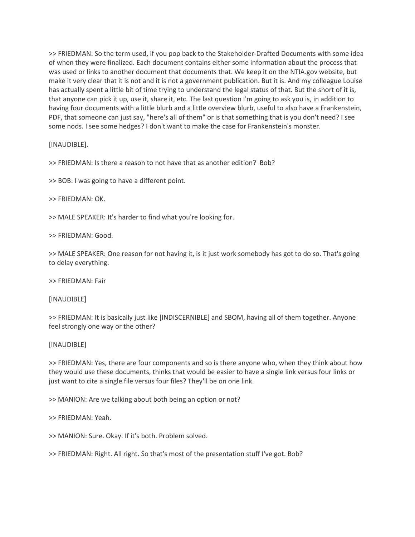>> FRIEDMAN: So the term used, if you pop back to the Stakeholder-Drafted Documents with some idea of when they were finalized. Each document contains either some information about the process that was used or links to another document that documents that. We keep it on the NTIA.gov website, but make it very clear that it is not and it is not a government publication. But it is. And my colleague Louise has actually spent a little bit of time trying to understand the legal status of that. But the short of it is, that anyone can pick it up, use it, share it, etc. The last question I'm going to ask you is, in addition to having four documents with a little blurb and a little overview blurb, useful to also have a Frankenstein, PDF, that someone can just say, "here's all of them" or is that something that is you don't need? I see some nods. I see some hedges? I don't want to make the case for Frankenstein's monster.

[INAUDIBLE].

>> FRIEDMAN: Is there a reason to not have that as another edition? Bob?

>> BOB: I was going to have a different point.

>> FRIEDMAN: OK.

>> MALE SPEAKER: It's harder to find what you're looking for.

>> FRIEDMAN: Good.

>> MALE SPEAKER: One reason for not having it, is it just work somebody has got to do so. That's going to delay everything.

>> FRIEDMAN: Fair

[INAUDIBLE]

>> FRIEDMAN: It is basically just like [INDISCERNIBLE] and SBOM, having all of them together. Anyone feel strongly one way or the other?

[INAUDIBLE]

>> FRIEDMAN: Yes, there are four components and so is there anyone who, when they think about how they would use these documents, thinks that would be easier to have a single link versus four links or just want to cite a single file versus four files? They'll be on one link.

>> MANION: Are we talking about both being an option or not?

>> FRIEDMAN: Yeah.

>> MANION: Sure. Okay. If it's both. Problem solved.

>> FRIEDMAN: Right. All right. So that's most of the presentation stuff I've got. Bob?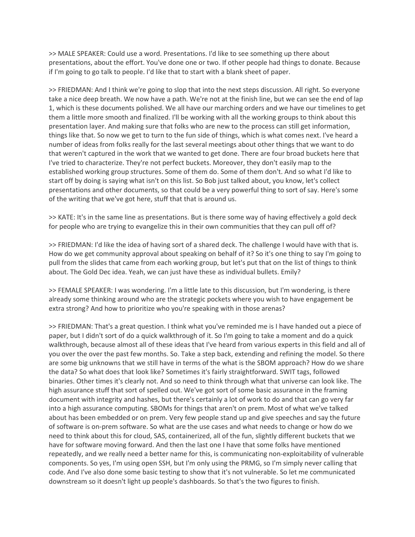>> MALE SPEAKER: Could use a word. Presentations. I'd like to see something up there about presentations, about the effort. You've done one or two. If other people had things to donate. Because if I'm going to go talk to people. I'd like that to start with a blank sheet of paper.

>> FRIEDMAN: And I think we're going to slop that into the next steps discussion. All right. So everyone take a nice deep breath. We now have a path. We're not at the finish line, but we can see the end of lap 1, which is these documents polished. We all have our marching orders and we have our timelines to get them a little more smooth and finalized. I'll be working with all the working groups to think about this presentation layer. And making sure that folks who are new to the process can still get information, things like that. So now we get to turn to the fun side of things, which is what comes next. I've heard a number of ideas from folks really for the last several meetings about other things that we want to do that weren't captured in the work that we wanted to get done. There are four broad buckets here that I've tried to characterize. They're not perfect buckets. Moreover, they don't easily map to the established working group structures. Some of them do. Some of them don't. And so what I'd like to start off by doing is saying what isn't on this list. So Bob just talked about, you know, let's collect presentations and other documents, so that could be a very powerful thing to sort of say. Here's some of the writing that we've got here, stuff that that is around us.

>> KATE: It's in the same line as presentations. But is there some way of having effectively a gold deck for people who are trying to evangelize this in their own communities that they can pull off of?

>> FRIEDMAN: I'd like the idea of having sort of a shared deck. The challenge I would have with that is. How do we get community approval about speaking on behalf of it? So it's one thing to say I'm going to pull from the slides that came from each working group, but let's put that on the list of things to think about. The Gold Dec idea. Yeah, we can just have these as individual bullets. Emily?

>> FEMALE SPEAKER: I was wondering. I'm a little late to this discussion, but I'm wondering, is there already some thinking around who are the strategic pockets where you wish to have engagement be extra strong? And how to prioritize who you're speaking with in those arenas?

>> FRIEDMAN: That's a great question. I think what you've reminded me is I have handed out a piece of paper, but I didn't sort of do a quick walkthrough of it. So I'm going to take a moment and do a quick walkthrough, because almost all of these ideas that I've heard from various experts in this field and all of you over the over the past few months. So. Take a step back, extending and refining the model. So there are some big unknowns that we still have in terms of the what is the SBOM approach? How do we share the data? So what does that look like? Sometimes it's fairly straightforward. SWIT tags, followed binaries. Other times it's clearly not. And so need to think through what that universe can look like. The high assurance stuff that sort of spelled out. We've got sort of some basic assurance in the framing document with integrity and hashes, but there's certainly a lot of work to do and that can go very far into a high assurance computing. SBOMs for things that aren't on prem. Most of what we've talked about has been embedded or on prem. Very few people stand up and give speeches and say the future of software is on-prem software. So what are the use cases and what needs to change or how do we need to think about this for cloud, SAS, containerized, all of the fun, slightly different buckets that we have for software moving forward. And then the last one I have that some folks have mentioned repeatedly, and we really need a better name for this, is communicating non-exploitability of vulnerable components. So yes, I'm using open SSH, but I'm only using the PRMG, so I'm simply never calling that code. And I've also done some basic testing to show that it's not vulnerable. So let me communicated downstream so it doesn't light up people's dashboards. So that's the two figures to finish.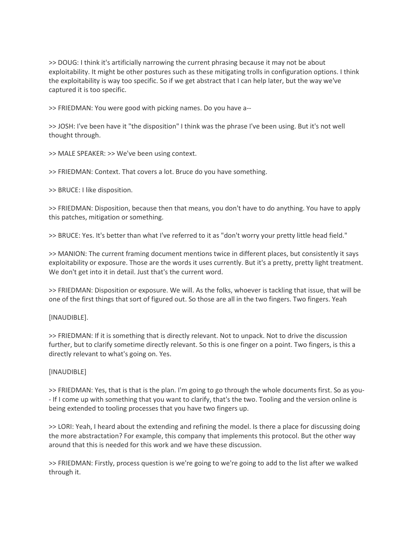>> DOUG: I think it's artificially narrowing the current phrasing because it may not be about exploitability. It might be other postures such as these mitigating trolls in configuration options. I think the exploitability is way too specific. So if we get abstract that I can help later, but the way we've captured it is too specific.

>> FRIEDMAN: You were good with picking names. Do you have a--

>> JOSH: I've been have it "the disposition" I think was the phrase I've been using. But it's not well thought through.

>> MALE SPEAKER: >> We've been using context.

>> FRIEDMAN: Context. That covers a lot. Bruce do you have something.

>> BRUCE: I like disposition.

>> FRIEDMAN: Disposition, because then that means, you don't have to do anything. You have to apply this patches, mitigation or something.

>> BRUCE: Yes. It's better than what I've referred to it as "don't worry your pretty little head field."

>> MANION: The current framing document mentions twice in different places, but consistently it says exploitability or exposure. Those are the words it uses currently. But it's a pretty, pretty light treatment. We don't get into it in detail. Just that's the current word.

>> FRIEDMAN: Disposition or exposure. We will. As the folks, whoever is tackling that issue, that will be one of the first things that sort of figured out. So those are all in the two fingers. Two fingers. Yeah

## [INAUDIBLE].

>> FRIEDMAN: If it is something that is directly relevant. Not to unpack. Not to drive the discussion further, but to clarify sometime directly relevant. So this is one finger on a point. Two fingers, is this a directly relevant to what's going on. Yes.

#### [INAUDIBLE]

>> FRIEDMAN: Yes, that is that is the plan. I'm going to go through the whole documents first. So as you- - If I come up with something that you want to clarify, that's the two. Tooling and the version online is being extended to tooling processes that you have two fingers up.

>> LORI: Yeah, I heard about the extending and refining the model. Is there a place for discussing doing the more abstractation? For example, this company that implements this protocol. But the other way around that this is needed for this work and we have these discussion.

>> FRIEDMAN: Firstly, process question is we're going to we're going to add to the list after we walked through it.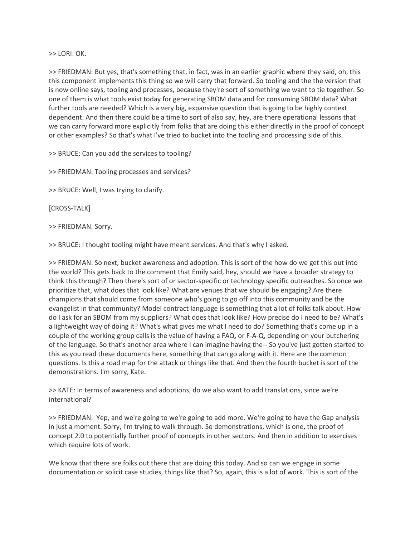>> LORI: OK.

>> FRIEDMAN: But yes, that's something that, in fact, was in an earlier graphic where they said, oh, this this component implements this thing so we will carry that forward. So tooling and the the version that is now online says, tooling and processes, because they're sort of something we want to tie together. So one of them is what tools exist today for generating SBOM data and for consuming SBOM data? What further tools are needed? Which is a very big, expansive question that is going to be highly context dependent. And then there could be a time to sort of also say, hey, are there operational lessons that we can carry forward more explicitly from folks that are doing this either directly in the proof of concept or other examples? So that's what I've tried to bucket into the tooling and processing side of this.

>> BRUCE: Can you add the services to tooling?

>> FRIEDMAN: Tooling processes and services?

>> BRUCE: Well, I was trying to clarify.

[CROSS-TALK]

>> FRIEDMAN: Sorry.

>> BRUCE: I thought tooling might have meant services. And that's why I asked.

>> FRIEDMAN: So next, bucket awareness and adoption. This is sort of the how do we get this out into the world? This gets back to the comment that Emily said, hey, should we have a broader strategy to think this through? Then there's sort of or sector-specific or technology specific outreaches. So once we prioritize that, what does that look like? What are venues that we should be engaging? Are there champions that should come from someone who's going to go off into this community and be the evangelist in that community? Model contract language is something that a lot of folks talk about. How do I ask for an SBOM from my suppliers? What does that look like? How precise do I need to be? What's a lightweight way of doing it? What's what gives me what I need to do? Something that's come up in a couple of the working group calls is the value of having a FAQ, or F-A-Q, depending on your butchering of the language. So that's another area where I can imagine having the-- So you've just gotten started to this as you read these documents here, something that can go along with it. Here are the common questions. Is this a road map for the attack or things like that. And then the fourth bucket is sort of the demonstrations. I'm sorry, Kate.

>> KATE: In terms of awareness and adoptions, do we also want to add translations, since we're international?

>> FRIEDMAN: Yep, and we're going to we're going to add more. We're going to have the Gap analysis in just a moment. Sorry, I'm trying to walk through. So demonstrations, which is one, the proof of concept 2.0 to potentially further proof of concepts in other sectors. And then in addition to exercises which require lots of work.

We know that there are folks out there that are doing this today. And so can we engage in some documentation or solicit case studies, things like that? So, again, this is a lot of work. This is sort of the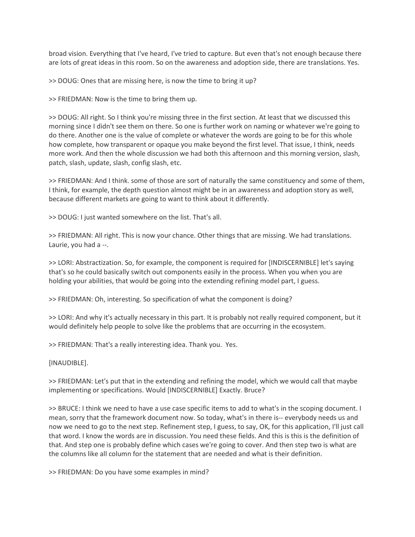broad vision. Everything that I've heard, I've tried to capture. But even that's not enough because there are lots of great ideas in this room. So on the awareness and adoption side, there are translations. Yes.

>> DOUG: Ones that are missing here, is now the time to bring it up?

>> FRIEDMAN: Now is the time to bring them up.

>> DOUG: All right. So I think you're missing three in the first section. At least that we discussed this morning since I didn't see them on there. So one is further work on naming or whatever we're going to do there. Another one is the value of complete or whatever the words are going to be for this whole how complete, how transparent or opaque you make beyond the first level. That issue, I think, needs more work. And then the whole discussion we had both this afternoon and this morning version, slash, patch, slash, update, slash, config slash, etc.

>> FRIEDMAN: And I think. some of those are sort of naturally the same constituency and some of them, I think, for example, the depth question almost might be in an awareness and adoption story as well, because different markets are going to want to think about it differently.

>> DOUG: I just wanted somewhere on the list. That's all.

>> FRIEDMAN: All right. This is now your chance. Other things that are missing. We had translations. Laurie, you had a --.

>> LORI: Abstractization. So, for example, the component is required for [INDISCERNIBLE] let's saying that's so he could basically switch out components easily in the process. When you when you are holding your abilities, that would be going into the extending refining model part, I guess.

>> FRIEDMAN: Oh, interesting. So specification of what the component is doing?

>> LORI: And why it's actually necessary in this part. It is probably not really required component, but it would definitely help people to solve like the problems that are occurring in the ecosystem.

>> FRIEDMAN: That's a really interesting idea. Thank you. Yes.

[INAUDIBLE].

>> FRIEDMAN: Let's put that in the extending and refining the model, which we would call that maybe implementing or specifications. Would [INDISCERNIBLE] Exactly. Bruce?

>> BRUCE: I think we need to have a use case specific items to add to what's in the scoping document. I mean, sorry that the framework document now. So today, what's in there is-- everybody needs us and now we need to go to the next step. Refinement step, I guess, to say, OK, for this application, I'll just call that word. I know the words are in discussion. You need these fields. And this is this is the definition of that. And step one is probably define which cases we're going to cover. And then step two is what are the columns like all column for the statement that are needed and what is their definition.

>> FRIEDMAN: Do you have some examples in mind?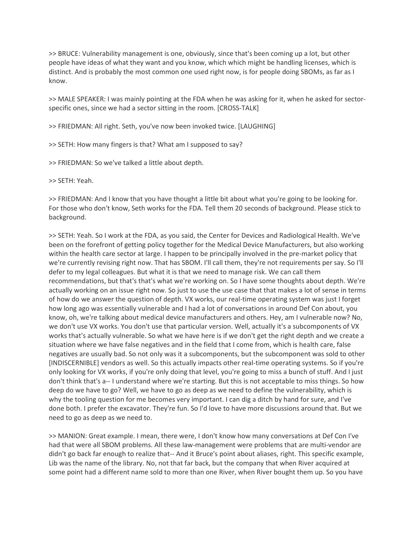>> BRUCE: Vulnerability management is one, obviously, since that's been coming up a lot, but other people have ideas of what they want and you know, which which might be handling licenses, which is distinct. And is probably the most common one used right now, is for people doing SBOMs, as far as I know.

>> MALE SPEAKER: I was mainly pointing at the FDA when he was asking for it, when he asked for sectorspecific ones, since we had a sector sitting in the room. [CROSS-TALK]

>> FRIEDMAN: All right. Seth, you've now been invoked twice. [LAUGHING]

>> SETH: How many fingers is that? What am I supposed to say?

>> FRIEDMAN: So we've talked a little about depth.

>> SETH: Yeah.

>> FRIEDMAN: And I know that you have thought a little bit about what you're going to be looking for. For those who don't know, Seth works for the FDA. Tell them 20 seconds of background. Please stick to background.

>> SETH: Yeah. So I work at the FDA, as you said, the Center for Devices and Radiological Health. We've been on the forefront of getting policy together for the Medical Device Manufacturers, but also working within the health care sector at large. I happen to be principally involved in the pre-market policy that we're currently revising right now. That has SBOM. I'll call them, they're not requirements per say. So I'll defer to my legal colleagues. But what it is that we need to manage risk. We can call them recommendations, but that's that's what we're working on. So I have some thoughts about depth. We're actually working on an issue right now. So just to use the use case that that makes a lot of sense in terms of how do we answer the question of depth. VX works, our real-time operating system was just I forget how long ago was essentially vulnerable and I had a lot of conversations in around Def Con about, you know, oh, we're talking about medical device manufacturers and others. Hey, am I vulnerable now? No, we don't use VX works. You don't use that particular version. Well, actually it's a subcomponents of VX works that's actually vulnerable. So what we have here is if we don't get the right depth and we create a situation where we have false negatives and in the field that I come from, which is health care, false negatives are usually bad. So not only was it a subcomponents, but the subcomponent was sold to other [INDISCERNIBLE] vendors as well. So this actually impacts other real-time operating systems. So if you're only looking for VX works, if you're only doing that level, you're going to miss a bunch of stuff. And I just don't think that's a-- I understand where we're starting. But this is not acceptable to miss things. So how deep do we have to go? Well, we have to go as deep as we need to define the vulnerability, which is why the tooling question for me becomes very important. I can dig a ditch by hand for sure, and I've done both. I prefer the excavator. They're fun. So I'd love to have more discussions around that. But we need to go as deep as we need to.

>> MANION: Great example. I mean, there were, I don't know how many conversations at Def Con I've had that were all SBOM problems. All these law-management were problems that are multi-vendor are didn't go back far enough to realize that-- And it Bruce's point about aliases, right. This specific example, Lib was the name of the library. No, not that far back, but the company that when River acquired at some point had a different name sold to more than one River, when River bought them up. So you have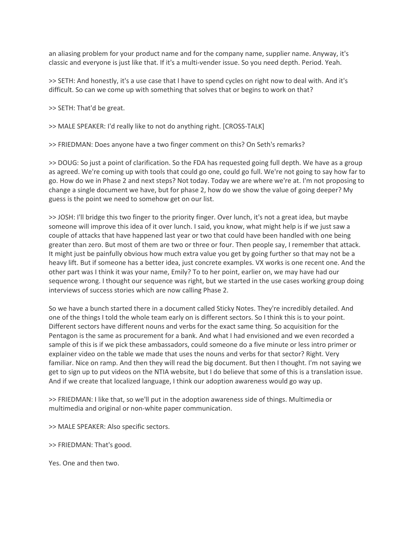an aliasing problem for your product name and for the company name, supplier name. Anyway, it's classic and everyone is just like that. If it's a multi-vender issue. So you need depth. Period. Yeah.

>> SETH: And honestly, it's a use case that I have to spend cycles on right now to deal with. And it's difficult. So can we come up with something that solves that or begins to work on that?

>> SETH: That'd be great.

>> MALE SPEAKER: I'd really like to not do anything right. [CROSS-TALK]

>> FRIEDMAN: Does anyone have a two finger comment on this? On Seth's remarks?

>> DOUG: So just a point of clarification. So the FDA has requested going full depth. We have as a group as agreed. We're coming up with tools that could go one, could go full. We're not going to say how far to go. How do we in Phase 2 and next steps? Not today. Today we are where we're at. I'm not proposing to change a single document we have, but for phase 2, how do we show the value of going deeper? My guess is the point we need to somehow get on our list.

>> JOSH: I'll bridge this two finger to the priority finger. Over lunch, it's not a great idea, but maybe someone will improve this idea of it over lunch. I said, you know, what might help is if we just saw a couple of attacks that have happened last year or two that could have been handled with one being greater than zero. But most of them are two or three or four. Then people say, I remember that attack. It might just be painfully obvious how much extra value you get by going further so that may not be a heavy lift. But if someone has a better idea, just concrete examples. VX works is one recent one. And the other part was I think it was your name, Emily? To to her point, earlier on, we may have had our sequence wrong. I thought our sequence was right, but we started in the use cases working group doing interviews of success stories which are now calling Phase 2.

So we have a bunch started there in a document called Sticky Notes. They're incredibly detailed. And one of the things I told the whole team early on is different sectors. So I think this is to your point. Different sectors have different nouns and verbs for the exact same thing. So acquisition for the Pentagon is the same as procurement for a bank. And what I had envisioned and we even recorded a sample of this is if we pick these ambassadors, could someone do a five minute or less intro primer or explainer video on the table we made that uses the nouns and verbs for that sector? Right. Very familiar. Nice on ramp. And then they will read the big document. But then I thought. I'm not saying we get to sign up to put videos on the NTIA website, but I do believe that some of this is a translation issue. And if we create that localized language, I think our adoption awareness would go way up.

>> FRIEDMAN: I like that, so we'll put in the adoption awareness side of things. Multimedia or multimedia and original or non-white paper communication.

>> MALE SPEAKER: Also specific sectors.

>> FRIEDMAN: That's good.

Yes. One and then two.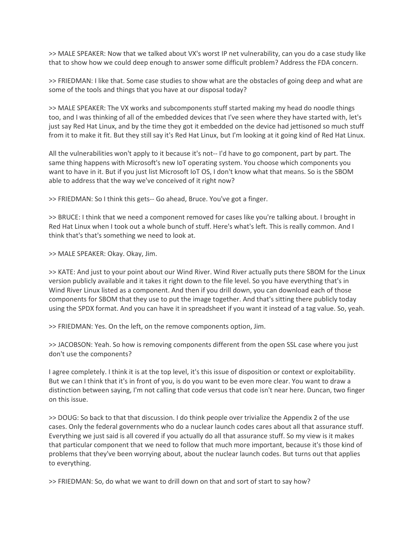>> MALE SPEAKER: Now that we talked about VX's worst IP net vulnerability, can you do a case study like that to show how we could deep enough to answer some difficult problem? Address the FDA concern.

>> FRIEDMAN: I like that. Some case studies to show what are the obstacles of going deep and what are some of the tools and things that you have at our disposal today?

>> MALE SPEAKER: The VX works and subcomponents stuff started making my head do noodle things too, and I was thinking of all of the embedded devices that I've seen where they have started with, let's just say Red Hat Linux, and by the time they got it embedded on the device had jettisoned so much stuff from it to make it fit. But they still say it's Red Hat Linux, but I'm looking at it going kind of Red Hat Linux.

All the vulnerabilities won't apply to it because it's not-- I'd have to go component, part by part. The same thing happens with Microsoft's new IoT operating system. You choose which components you want to have in it. But if you just list Microsoft IoT OS, I don't know what that means. So is the SBOM able to address that the way we've conceived of it right now?

>> FRIEDMAN: So I think this gets-- Go ahead, Bruce. You've got a finger.

>> BRUCE: I think that we need a component removed for cases like you're talking about. I brought in Red Hat Linux when I took out a whole bunch of stuff. Here's what's left. This is really common. And I think that's that's something we need to look at.

>> MALE SPEAKER: Okay. Okay, Jim.

>> KATE: And just to your point about our Wind River. Wind River actually puts there SBOM for the Linux version publicly available and it takes it right down to the file level. So you have everything that's in Wind River Linux listed as a component. And then if you drill down, you can download each of those components for SBOM that they use to put the image together. And that's sitting there publicly today using the SPDX format. And you can have it in spreadsheet if you want it instead of a tag value. So, yeah.

>> FRIEDMAN: Yes. On the left, on the remove components option, Jim.

>> JACOBSON: Yeah. So how is removing components different from the open SSL case where you just don't use the components?

I agree completely. I think it is at the top level, it's this issue of disposition or context or exploitability. But we can I think that it's in front of you, is do you want to be even more clear. You want to draw a distinction between saying, I'm not calling that code versus that code isn't near here. Duncan, two finger on this issue.

>> DOUG: So back to that that discussion. I do think people over trivialize the Appendix 2 of the use cases. Only the federal governments who do a nuclear launch codes cares about all that assurance stuff. Everything we just said is all covered if you actually do all that assurance stuff. So my view is it makes that particular component that we need to follow that much more important, because it's those kind of problems that they've been worrying about, about the nuclear launch codes. But turns out that applies to everything.

>> FRIEDMAN: So, do what we want to drill down on that and sort of start to say how?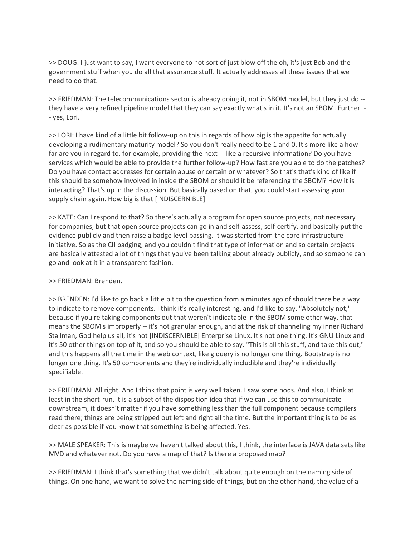>> DOUG: I just want to say, I want everyone to not sort of just blow off the oh, it's just Bob and the government stuff when you do all that assurance stuff. It actually addresses all these issues that we need to do that.

>> FRIEDMAN: The telecommunications sector is already doing it, not in SBOM model, but they just do -they have a very refined pipeline model that they can say exactly what's in it. It's not an SBOM. Further - - yes, Lori.

>> LORI: I have kind of a little bit follow-up on this in regards of how big is the appetite for actually developing a rudimentary maturity model? So you don't really need to be 1 and 0. It's more like a how far are you in regard to, for example, providing the next -- like a recursive information? Do you have services which would be able to provide the further follow-up? How fast are you able to do the patches? Do you have contact addresses for certain abuse or certain or whatever? So that's that's kind of like if this should be somehow involved in inside the SBOM or should it be referencing the SBOM? How it is interacting? That's up in the discussion. But basically based on that, you could start assessing your supply chain again. How big is that [INDISCERNIBLE]

>> KATE: Can I respond to that? So there's actually a program for open source projects, not necessary for companies, but that open source projects can go in and self-assess, self-certify, and basically put the evidence publicly and then raise a badge level passing. It was started from the core infrastructure initiative. So as the CII badging, and you couldn't find that type of information and so certain projects are basically attested a lot of things that you've been talking about already publicly, and so someone can go and look at it in a transparent fashion.

## >> FRIEDMAN: Brenden.

>> BRENDEN: I'd like to go back a little bit to the question from a minutes ago of should there be a way to indicate to remove components. I think it's really interesting, and I'd like to say, "Absolutely not," because if you're taking components out that weren't indicatable in the SBOM some other way, that means the SBOM's improperly -- it's not granular enough, and at the risk of channeling my inner Richard Stallman, God help us all, it's not [INDISCERNIBLE] Enterprise Linux. It's not one thing. It's GNU Linux and it's 50 other things on top of it, and so you should be able to say. "This is all this stuff, and take this out," and this happens all the time in the web context, like g query is no longer one thing. Bootstrap is no longer one thing. It's 50 components and they're individually includible and they're individually specifiable.

>> FRIEDMAN: All right. And I think that point is very well taken. I saw some nods. And also, I think at least in the short-run, it is a subset of the disposition idea that if we can use this to communicate downstream, it doesn't matter if you have something less than the full component because compilers read there; things are being stripped out left and right all the time. But the important thing is to be as clear as possible if you know that something is being affected. Yes.

>> MALE SPEAKER: This is maybe we haven't talked about this, I think, the interface is JAVA data sets like MVD and whatever not. Do you have a map of that? Is there a proposed map?

>> FRIEDMAN: I think that's something that we didn't talk about quite enough on the naming side of things. On one hand, we want to solve the naming side of things, but on the other hand, the value of a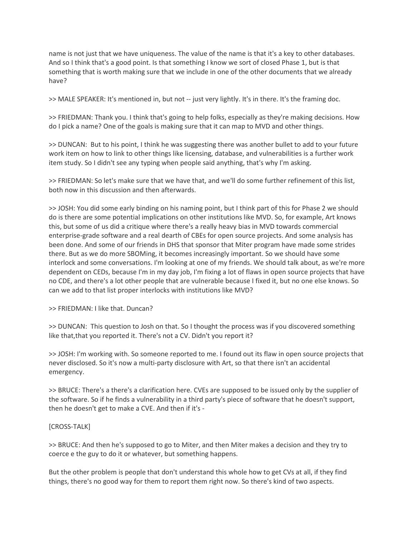name is not just that we have uniqueness. The value of the name is that it's a key to other databases. And so I think that's a good point. Is that something I know we sort of closed Phase 1, but is that something that is worth making sure that we include in one of the other documents that we already have?

>> MALE SPEAKER: It's mentioned in, but not -- just very lightly. It's in there. It's the framing doc.

>> FRIEDMAN: Thank you. I think that's going to help folks, especially as they're making decisions. How do I pick a name? One of the goals is making sure that it can map to MVD and other things.

>> DUNCAN: But to his point, I think he was suggesting there was another bullet to add to your future work item on how to link to other things like licensing, database, and vulnerabilities is a further work item study. So I didn't see any typing when people said anything, that's why I'm asking.

>> FRIEDMAN: So let's make sure that we have that, and we'll do some further refinement of this list, both now in this discussion and then afterwards.

>> JOSH: You did some early binding on his naming point, but I think part of this for Phase 2 we should do is there are some potential implications on other institutions like MVD. So, for example, Art knows this, but some of us did a critique where there's a really heavy bias in MVD towards commercial enterprise-grade software and a real dearth of CBEs for open source projects. And some analysis has been done. And some of our friends in DHS that sponsor that Miter program have made some strides there. But as we do more SBOMing, it becomes increasingly important. So we should have some interlock and some conversations. I'm looking at one of my friends. We should talk about, as we're more dependent on CEDs, because I'm in my day job, I'm fixing a lot of flaws in open source projects that have no CDE, and there's a lot other people that are vulnerable because I fixed it, but no one else knows. So can we add to that list proper interlocks with institutions like MVD?

>> FRIEDMAN: I like that. Duncan?

>> DUNCAN: This question to Josh on that. So I thought the process was if you discovered something like that,that you reported it. There's not a CV. Didn't you report it?

>> JOSH: I'm working with. So someone reported to me. I found out its flaw in open source projects that never disclosed. So it's now a multi-party disclosure with Art, so that there isn't an accidental emergency.

>> BRUCE: There's a there's a clarification here. CVEs are supposed to be issued only by the supplier of the software. So if he finds a vulnerability in a third party's piece of software that he doesn't support, then he doesn't get to make a CVE. And then if it's -

#### [CROSS-TALK]

>> BRUCE: And then he's supposed to go to Miter, and then Miter makes a decision and they try to coerce e the guy to do it or whatever, but something happens.

But the other problem is people that don't understand this whole how to get CVs at all, if they find things, there's no good way for them to report them right now. So there's kind of two aspects.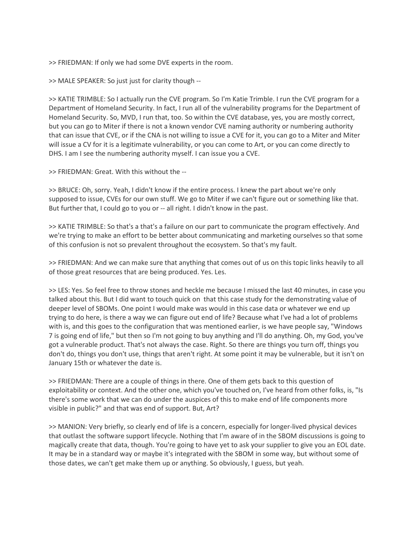>> FRIEDMAN: If only we had some DVE experts in the room.

>> MALE SPEAKER: So just just for clarity though --

>> KATIE TRIMBLE: So I actually run the CVE program. So I'm Katie Trimble. I run the CVE program for a Department of Homeland Security. In fact, I run all of the vulnerability programs for the Department of Homeland Security. So, MVD, I run that, too. So within the CVE database, yes, you are mostly correct, but you can go to Miter if there is not a known vendor CVE naming authority or numbering authority that can issue that CVE, or if the CNA is not willing to issue a CVE for it, you can go to a Miter and Miter will issue a CV for it is a legitimate vulnerability, or you can come to Art, or you can come directly to DHS. I am I see the numbering authority myself. I can issue you a CVE.

>> FRIEDMAN: Great. With this without the --

>> BRUCE: Oh, sorry. Yeah, I didn't know if the entire process. I knew the part about we're only supposed to issue, CVEs for our own stuff. We go to Miter if we can't figure out or something like that. But further that, I could go to you or -- all right. I didn't know in the past.

>> KATIE TRIMBLE: So that's a that's a failure on our part to communicate the program effectively. And we're trying to make an effort to be better about communicating and marketing ourselves so that some of this confusion is not so prevalent throughout the ecosystem. So that's my fault.

>> FRIEDMAN: And we can make sure that anything that comes out of us on this topic links heavily to all of those great resources that are being produced. Yes. Les.

>> LES: Yes. So feel free to throw stones and heckle me because I missed the last 40 minutes, in case you talked about this. But I did want to touch quick on that this case study for the demonstrating value of deeper level of SBOMs. One point I would make was would in this case data or whatever we end up trying to do here, is there a way we can figure out end of life? Because what I've had a lot of problems with is, and this goes to the configuration that was mentioned earlier, is we have people say, "Windows 7 is going end of life," but then so I'm not going to buy anything and I'll do anything. Oh, my God, you've got a vulnerable product. That's not always the case. Right. So there are things you turn off, things you don't do, things you don't use, things that aren't right. At some point it may be vulnerable, but it isn't on January 15th or whatever the date is.

>> FRIEDMAN: There are a couple of things in there. One of them gets back to this question of exploitability or context. And the other one, which you've touched on, I've heard from other folks, is, "Is there's some work that we can do under the auspices of this to make end of life components more visible in public?" and that was end of support. But, Art?

>> MANION: Very briefly, so clearly end of life is a concern, especially for longer-lived physical devices that outlast the software support lifecycle. Nothing that I'm aware of in the SBOM discussions is going to magically create that data, though. You're going to have yet to ask your supplier to give you an EOL date. It may be in a standard way or maybe it's integrated with the SBOM in some way, but without some of those dates, we can't get make them up or anything. So obviously, I guess, but yeah.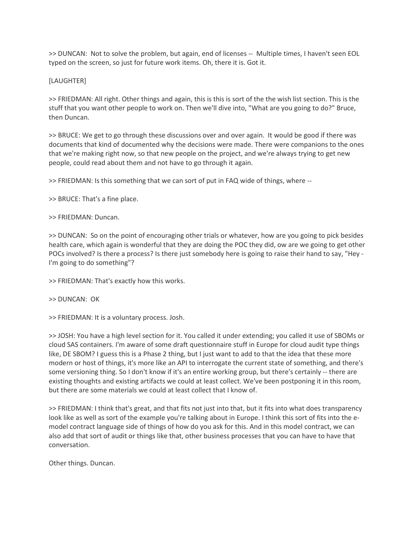>> DUNCAN: Not to solve the problem, but again, end of licenses -- Multiple times, I haven't seen EOL typed on the screen, so just for future work items. Oh, there it is. Got it.

# [LAUGHTER]

>> FRIEDMAN: All right. Other things and again, this is this is sort of the the wish list section. This is the stuff that you want other people to work on. Then we'll dive into, "What are you going to do?" Bruce, then Duncan.

>> BRUCE: We get to go through these discussions over and over again. It would be good if there was documents that kind of documented why the decisions were made. There were companions to the ones that we're making right now, so that new people on the project, and we're always trying to get new people, could read about them and not have to go through it again.

>> FRIEDMAN: Is this something that we can sort of put in FAQ wide of things, where --

>> BRUCE: That's a fine place.

## >> FRIEDMAN: Duncan.

>> DUNCAN: So on the point of encouraging other trials or whatever, how are you going to pick besides health care, which again is wonderful that they are doing the POC they did, ow are we going to get other POCs involved? Is there a process? Is there just somebody here is going to raise their hand to say, "Hey - I'm going to do something"?

>> FRIEDMAN: That's exactly how this works.

## >> DUNCAN: OK

>> FRIEDMAN: It is a voluntary process. Josh.

>> JOSH: You have a high level section for it. You called it under extending; you called it use of SBOMs or cloud SAS containers. I'm aware of some draft questionnaire stuff in Europe for cloud audit type things like, DE SBOM? I guess this is a Phase 2 thing, but I just want to add to that the idea that these more modern or host of things, it's more like an API to interrogate the current state of something, and there's some versioning thing. So I don't know if it's an entire working group, but there's certainly -- there are existing thoughts and existing artifacts we could at least collect. We've been postponing it in this room, but there are some materials we could at least collect that I know of.

>> FRIEDMAN: I think that's great, and that fits not just into that, but it fits into what does transparency look like as well as sort of the example you're talking about in Europe. I think this sort of fits into the emodel contract language side of things of how do you ask for this. And in this model contract, we can also add that sort of audit or things like that, other business processes that you can have to have that conversation.

Other things. Duncan.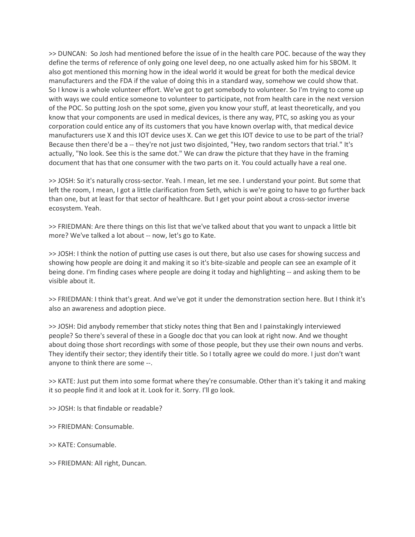>> DUNCAN: So Josh had mentioned before the issue of in the health care POC. because of the way they define the terms of reference of only going one level deep, no one actually asked him for his SBOM. It also got mentioned this morning how in the ideal world it would be great for both the medical device manufacturers and the FDA if the value of doing this in a standard way, somehow we could show that. So I know is a whole volunteer effort. We've got to get somebody to volunteer. So I'm trying to come up with ways we could entice someone to volunteer to participate, not from health care in the next version of the POC. So putting Josh on the spot some, given you know your stuff, at least theoretically, and you know that your components are used in medical devices, is there any way, PTC, so asking you as your corporation could entice any of its customers that you have known overlap with, that medical device manufacturers use X and this IOT device uses X. Can we get this IOT device to use to be part of the trial? Because then there'd be a -- they're not just two disjointed, "Hey, two random sectors that trial." It's actually, "No look. See this is the same dot." We can draw the picture that they have in the framing document that has that one consumer with the two parts on it. You could actually have a real one.

>> JOSH: So it's naturally cross-sector. Yeah. I mean, let me see. I understand your point. But some that left the room, I mean, I got a little clarification from Seth, which is we're going to have to go further back than one, but at least for that sector of healthcare. But I get your point about a cross-sector inverse ecosystem. Yeah.

>> FRIEDMAN: Are there things on this list that we've talked about that you want to unpack a little bit more? We've talked a lot about -- now, let's go to Kate.

>> JOSH: I think the notion of putting use cases is out there, but also use cases for showing success and showing how people are doing it and making it so it's bite-sizable and people can see an example of it being done. I'm finding cases where people are doing it today and highlighting -- and asking them to be visible about it.

>> FRIEDMAN: I think that's great. And we've got it under the demonstration section here. But I think it's also an awareness and adoption piece.

>> JOSH: Did anybody remember that sticky notes thing that Ben and I painstakingly interviewed people? So there's several of these in a Google doc that you can look at right now. And we thought about doing those short recordings with some of those people, but they use their own nouns and verbs. They identify their sector; they identify their title. So I totally agree we could do more. I just don't want anyone to think there are some --.

>> KATE: Just put them into some format where they're consumable. Other than it's taking it and making it so people find it and look at it. Look for it. Sorry. I'll go look.

>> JOSH: Is that findable or readable?

>> FRIEDMAN: Consumable.

>> KATE: Consumable.

>> FRIEDMAN: All right, Duncan.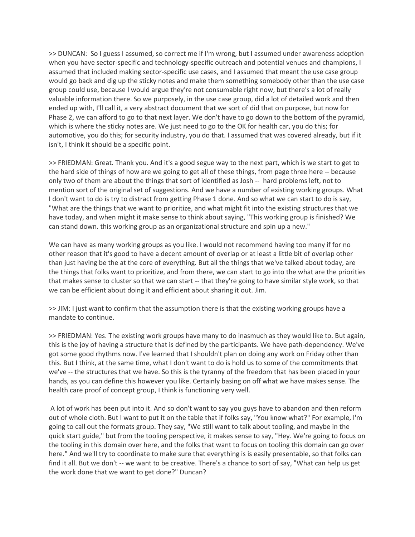>> DUNCAN: So I guess I assumed, so correct me if I'm wrong, but I assumed under awareness adoption when you have sector-specific and technology-specific outreach and potential venues and champions, I assumed that included making sector-specific use cases, and I assumed that meant the use case group would go back and dig up the sticky notes and make them something somebody other than the use case group could use, because I would argue they're not consumable right now, but there's a lot of really valuable information there. So we purposely, in the use case group, did a lot of detailed work and then ended up with, I'll call it, a very abstract document that we sort of did that on purpose, but now for Phase 2, we can afford to go to that next layer. We don't have to go down to the bottom of the pyramid, which is where the sticky notes are. We just need to go to the OK for health car, you do this; for automotive, you do this; for security industry, you do that. I assumed that was covered already, but if it isn't, I think it should be a specific point.

>> FRIEDMAN: Great. Thank you. And it's a good segue way to the next part, which is we start to get to the hard side of things of how are we going to get all of these things, from page three here -- because only two of them are about the things that sort of identified as Josh -- hard problems left, not to mention sort of the original set of suggestions. And we have a number of existing working groups. What I don't want to do is try to distract from getting Phase 1 done. And so what we can start to do is say, "What are the things that we want to prioritize, and what might fit into the existing structures that we have today, and when might it make sense to think about saying, "This working group is finished? We can stand down. this working group as an organizational structure and spin up a new."

We can have as many working groups as you like. I would not recommend having too many if for no other reason that it's good to have a decent amount of overlap or at least a little bit of overlap other than just having be the at the core of everything. But all the things that we've talked about today, are the things that folks want to prioritize, and from there, we can start to go into the what are the priorities that makes sense to cluster so that we can start -- that they're going to have similar style work, so that we can be efficient about doing it and efficient about sharing it out. Jim.

>> JIM: I just want to confirm that the assumption there is that the existing working groups have a mandate to continue.

>> FRIEDMAN: Yes. The existing work groups have many to do inasmuch as they would like to. But again, this is the joy of having a structure that is defined by the participants. We have path-dependency. We've got some good rhythms now. I've learned that I shouldn't plan on doing any work on Friday other than this. But I think, at the same time, what I don't want to do is hold us to some of the commitments that we've -- the structures that we have. So this is the tyranny of the freedom that has been placed in your hands, as you can define this however you like. Certainly basing on off what we have makes sense. The health care proof of concept group, I think is functioning very well.

A lot of work has been put into it. And so don't want to say you guys have to abandon and then reform out of whole cloth. But I want to put it on the table that if folks say, "You know what?" For example, I'm going to call out the formats group. They say, "We still want to talk about tooling, and maybe in the quick start guide," but from the tooling perspective, it makes sense to say, "Hey. We're going to focus on the tooling in this domain over here, and the folks that want to focus on tooling this domain can go over here." And we'll try to coordinate to make sure that everything is is easily presentable, so that folks can find it all. But we don't -- we want to be creative. There's a chance to sort of say, "What can help us get the work done that we want to get done?" Duncan?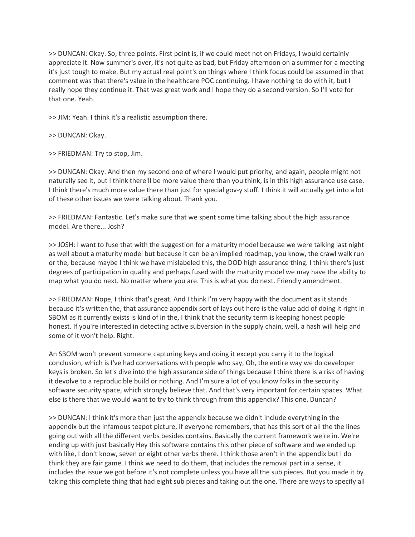>> DUNCAN: Okay. So, three points. First point is, if we could meet not on Fridays, I would certainly appreciate it. Now summer's over, it's not quite as bad, but Friday afternoon on a summer for a meeting it's just tough to make. But my actual real point's on things where I think focus could be assumed in that comment was that there's value in the healthcare POC continuing. I have nothing to do with it, but I really hope they continue it. That was great work and I hope they do a second version. So I'll vote for that one. Yeah.

>> JIM: Yeah. I think it's a realistic assumption there.

>> DUNCAN: Okay.

>> FRIEDMAN: Try to stop, Jim.

>> DUNCAN: Okay. And then my second one of where I would put priority, and again, people might not naturally see it, but I think there'll be more value there than you think, is in this high assurance use case. I think there's much more value there than just for special gov-y stuff. I think it will actually get into a lot of these other issues we were talking about. Thank you.

>> FRIEDMAN: Fantastic. Let's make sure that we spent some time talking about the high assurance model. Are there... Josh?

>> JOSH: I want to fuse that with the suggestion for a maturity model because we were talking last night as well about a maturity model but because it can be an implied roadmap, you know, the crawl walk run or the, because maybe I think we have mislabeled this, the DOD high assurance thing. I think there's just degrees of participation in quality and perhaps fused with the maturity model we may have the ability to map what you do next. No matter where you are. This is what you do next. Friendly amendment.

>> FRIEDMAN: Nope, I think that's great. And I think I'm very happy with the document as it stands because it's written the, that assurance appendix sort of lays out here is the value add of doing it right in SBOM as it currently exists is kind of in the, I think that the security term is keeping honest people honest. If you're interested in detecting active subversion in the supply chain, well, a hash will help and some of it won't help. Right.

An SBOM won't prevent someone capturing keys and doing it except you carry it to the logical conclusion, which is I've had conversations with people who say, Oh, the entire way we do developer keys is broken. So let's dive into the high assurance side of things because I think there is a risk of having it devolve to a reproducible build or nothing. And I'm sure a lot of you know folks in the security software security space, which strongly believe that. And that's very important for certain spaces. What else is there that we would want to try to think through from this appendix? This one. Duncan?

>> DUNCAN: I think it's more than just the appendix because we didn't include everything in the appendix but the infamous teapot picture, if everyone remembers, that has this sort of all the the lines going out with all the different verbs besides contains. Basically the current framework we're in. We're ending up with just basically Hey this software contains this other piece of software and we ended up with like, I don't know, seven or eight other verbs there. I think those aren't in the appendix but I do think they are fair game. I think we need to do them, that includes the removal part in a sense, it includes the issue we got before it's not complete unless you have all the sub pieces. But you made it by taking this complete thing that had eight sub pieces and taking out the one. There are ways to specify all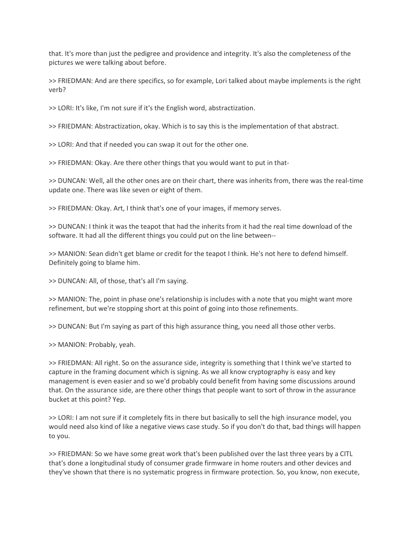that. It's more than just the pedigree and providence and integrity. It's also the completeness of the pictures we were talking about before.

>> FRIEDMAN: And are there specifics, so for example, Lori talked about maybe implements is the right verb?

>> LORI: It's like, I'm not sure if it's the English word, abstractization.

>> FRIEDMAN: Abstractization, okay. Which is to say this is the implementation of that abstract.

>> LORI: And that if needed you can swap it out for the other one.

>> FRIEDMAN: Okay. Are there other things that you would want to put in that-

>> DUNCAN: Well, all the other ones are on their chart, there was inherits from, there was the real-time update one. There was like seven or eight of them.

>> FRIEDMAN: Okay. Art, I think that's one of your images, if memory serves.

>> DUNCAN: I think it was the teapot that had the inherits from it had the real time download of the software. It had all the different things you could put on the line between--

>> MANION: Sean didn't get blame or credit for the teapot I think. He's not here to defend himself. Definitely going to blame him.

>> DUNCAN: All, of those, that's all I'm saying.

>> MANION: The, point in phase one's relationship is includes with a note that you might want more refinement, but we're stopping short at this point of going into those refinements.

>> DUNCAN: But I'm saying as part of this high assurance thing, you need all those other verbs.

>> MANION: Probably, yeah.

>> FRIEDMAN: All right. So on the assurance side, integrity is something that I think we've started to capture in the framing document which is signing. As we all know cryptography is easy and key management is even easier and so we'd probably could benefit from having some discussions around that. On the assurance side, are there other things that people want to sort of throw in the assurance bucket at this point? Yep.

>> LORI: I am not sure if it completely fits in there but basically to sell the high insurance model, you would need also kind of like a negative views case study. So if you don't do that, bad things will happen to you.

>> FRIEDMAN: So we have some great work that's been published over the last three years by a CITL that's done a longitudinal study of consumer grade firmware in home routers and other devices and they've shown that there is no systematic progress in firmware protection. So, you know, non execute,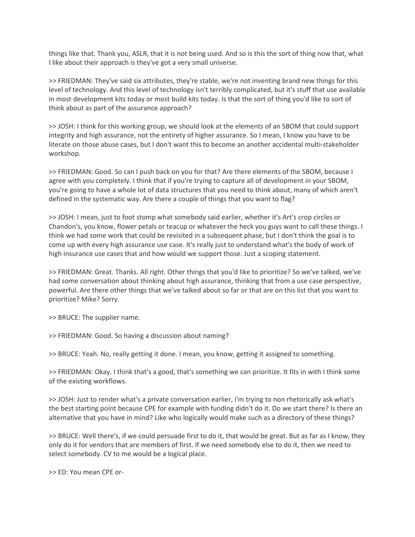things like that. Thank you, ASLR, that it is not being used. And so is this the sort of thing now that, what I like about their approach is they've got a very small universe.

>> FRIEDMAN: They've said six attributes, they're stable, we're not inventing brand new things for this level of technology. And this level of technology isn't terribly complicated, but it's stuff that use available in most development kits today or most build kits today. Is that the sort of thing you'd like to sort of think about as part of the assurance approach?

>> JOSH: I think for this working group, we should look at the elements of an SBOM that could support integrity and high assurance, not the entirety of higher assurance. So I mean, I know you have to be literate on those abuse cases, but I don't want this to become an another accidental multi-stakeholder workshop.

>> FRIEDMAN: Good. So can I push back on you for that? Are there elements of the SBOM, because I agree with you completely. I think that if you're trying to capture all of development in your SBOM, you're going to have a whole lot of data structures that you need to think about, many of which aren't defined in the systematic way. Are there a couple of things that you want to flag?

>> JOSH: I mean, just to foot stomp what somebody said earlier, whether it's Art's crop circles or Chandon's, you know, flower petals or teacup or whatever the heck you guys want to call these things. I think we had some work that could be revisited in a subsequent phase, but I don't think the goal is to come up with every high assurance use case. It's really just to understand what's the body of work of high insurance use cases that and how would we support those. Just a scoping statement.

>> FRIEDMAN: Great. Thanks. All right. Other things that you'd like to prioritize? So we've talked, we've had some conversation about thinking about high assurance, thinking that from a use case perspective, powerful. Are there other things that we've talked about so far or that are on this list that you want to prioritize? Mike? Sorry.

>> BRUCE: The supplier name.

>> FRIEDMAN: Good. So having a discussion about naming?

>> BRUCE: Yeah. No, really getting it done. I mean, you know, getting it assigned to something.

>> FRIEDMAN: Okay. I think that's a good, that's something we can prioritize. It fits in with I think some of the existing workflows.

>> JOSH: Just to render what's a private conversation earlier, I'm trying to non rhetorically ask what's the best starting point because CPE for example with funding didn't do it. Do we start there? Is there an alternative that you have in mind? Like who logically would make such as a directory of these things?

>> BRUCE: Well there's, if we could persuade first to do it, that would be great. But as far as I know, they only do it for vendors that are members of first. If we need somebody else to do it, then we need to select somebody. CV to me would be a logical place.

>> ED: You mean CPE or-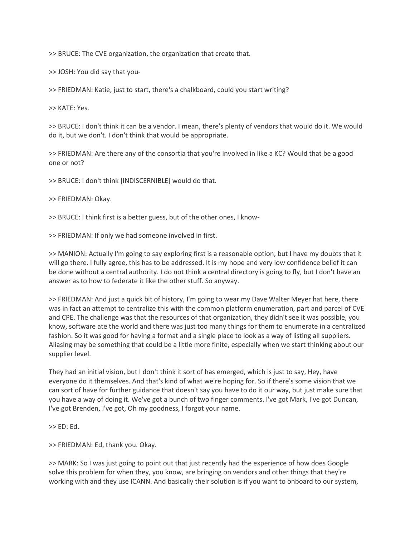>> BRUCE: The CVE organization, the organization that create that.

>> JOSH: You did say that you-

>> FRIEDMAN: Katie, just to start, there's a chalkboard, could you start writing?

>> KATE: Yes.

>> BRUCE: I don't think it can be a vendor. I mean, there's plenty of vendors that would do it. We would do it, but we don't. I don't think that would be appropriate.

>> FRIEDMAN: Are there any of the consortia that you're involved in like a KC? Would that be a good one or not?

>> BRUCE: I don't think [INDISCERNIBLE] would do that.

>> FRIEDMAN: Okay.

>> BRUCE: I think first is a better guess, but of the other ones, I know-

>> FRIEDMAN: If only we had someone involved in first.

>> MANION: Actually I'm going to say exploring first is a reasonable option, but I have my doubts that it will go there. I fully agree, this has to be addressed. It is my hope and very low confidence belief it can be done without a central authority. I do not think a central directory is going to fly, but I don't have an answer as to how to federate it like the other stuff. So anyway.

>> FRIEDMAN: And just a quick bit of history, I'm going to wear my Dave Walter Meyer hat here, there was in fact an attempt to centralize this with the common platform enumeration, part and parcel of CVE and CPE. The challenge was that the resources of that organization, they didn't see it was possible, you know, software ate the world and there was just too many things for them to enumerate in a centralized fashion. So it was good for having a format and a single place to look as a way of listing all suppliers. Aliasing may be something that could be a little more finite, especially when we start thinking about our supplier level.

They had an initial vision, but I don't think it sort of has emerged, which is just to say, Hey, have everyone do it themselves. And that's kind of what we're hoping for. So if there's some vision that we can sort of have for further guidance that doesn't say you have to do it our way, but just make sure that you have a way of doing it. We've got a bunch of two finger comments. I've got Mark, I've got Duncan, I've got Brenden, I've got, Oh my goodness, I forgot your name.

 $>>$  ED: Ed.

>> FRIEDMAN: Ed, thank you. Okay.

>> MARK: So I was just going to point out that just recently had the experience of how does Google solve this problem for when they, you know, are bringing on vendors and other things that they're working with and they use ICANN. And basically their solution is if you want to onboard to our system,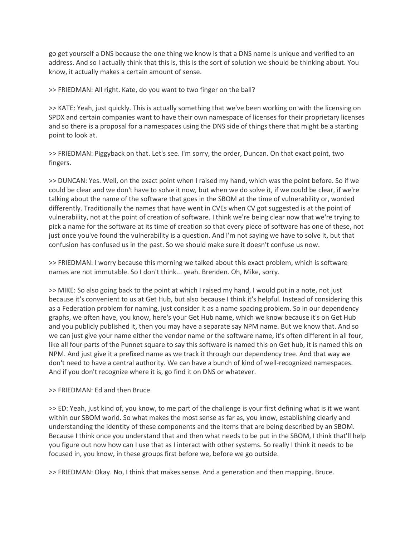go get yourself a DNS because the one thing we know is that a DNS name is unique and verified to an address. And so I actually think that this is, this is the sort of solution we should be thinking about. You know, it actually makes a certain amount of sense.

>> FRIEDMAN: All right. Kate, do you want to two finger on the ball?

>> KATE: Yeah, just quickly. This is actually something that we've been working on with the licensing on SPDX and certain companies want to have their own namespace of licenses for their proprietary licenses and so there is a proposal for a namespaces using the DNS side of things there that might be a starting point to look at.

>> FRIEDMAN: Piggyback on that. Let's see. I'm sorry, the order, Duncan. On that exact point, two fingers.

>> DUNCAN: Yes. Well, on the exact point when I raised my hand, which was the point before. So if we could be clear and we don't have to solve it now, but when we do solve it, if we could be clear, if we're talking about the name of the software that goes in the SBOM at the time of vulnerability or, worded differently. Traditionally the names that have went in CVEs when CV got suggested is at the point of vulnerability, not at the point of creation of software. I think we're being clear now that we're trying to pick a name for the software at its time of creation so that every piece of software has one of these, not just once you've found the vulnerability is a question. And I'm not saying we have to solve it, but that confusion has confused us in the past. So we should make sure it doesn't confuse us now.

>> FRIEDMAN: I worry because this morning we talked about this exact problem, which is software names are not immutable. So I don't think... yeah. Brenden. Oh, Mike, sorry.

>> MIKE: So also going back to the point at which I raised my hand, I would put in a note, not just because it's convenient to us at Get Hub, but also because I think it's helpful. Instead of considering this as a Federation problem for naming, just consider it as a name spacing problem. So in our dependency graphs, we often have, you know, here's your Get Hub name, which we know because it's on Get Hub and you publicly published it, then you may have a separate say NPM name. But we know that. And so we can just give your name either the vendor name or the software name, it's often different in all four, like all four parts of the Punnet square to say this software is named this on Get hub, it is named this on NPM. And just give it a prefixed name as we track it through our dependency tree. And that way we don't need to have a central authority. We can have a bunch of kind of well-recognized namespaces. And if you don't recognize where it is, go find it on DNS or whatever.

>> FRIEDMAN: Ed and then Bruce.

>> ED: Yeah, just kind of, you know, to me part of the challenge is your first defining what is it we want within our SBOM world. So what makes the most sense as far as, you know, establishing clearly and understanding the identity of these components and the items that are being described by an SBOM. Because I think once you understand that and then what needs to be put in the SBOM, I think that'll help you figure out now how can I use that as I interact with other systems. So really I think it needs to be focused in, you know, in these groups first before we, before we go outside.

>> FRIEDMAN: Okay. No, I think that makes sense. And a generation and then mapping. Bruce.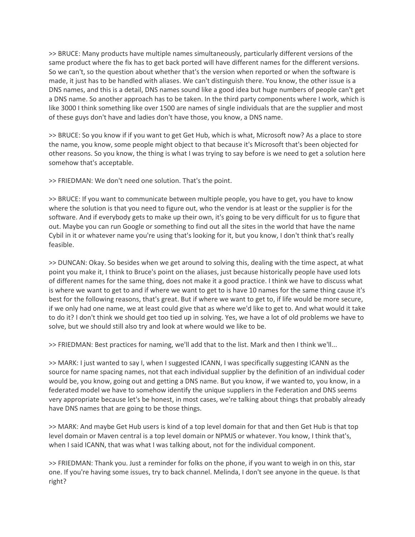>> BRUCE: Many products have multiple names simultaneously, particularly different versions of the same product where the fix has to get back ported will have different names for the different versions. So we can't, so the question about whether that's the version when reported or when the software is made, it just has to be handled with aliases. We can't distinguish there. You know, the other issue is a DNS names, and this is a detail, DNS names sound like a good idea but huge numbers of people can't get a DNS name. So another approach has to be taken. In the third party components where I work, which is like 3000 I think something like over 1500 are names of single individuals that are the supplier and most of these guys don't have and ladies don't have those, you know, a DNS name.

>> BRUCE: So you know if if you want to get Get Hub, which is what, Microsoft now? As a place to store the name, you know, some people might object to that because it's Microsoft that's been objected for other reasons. So you know, the thing is what I was trying to say before is we need to get a solution here somehow that's acceptable.

>> FRIEDMAN: We don't need one solution. That's the point.

>> BRUCE: If you want to communicate between multiple people, you have to get, you have to know where the solution is that you need to figure out, who the vendor is at least or the supplier is for the software. And if everybody gets to make up their own, it's going to be very difficult for us to figure that out. Maybe you can run Google or something to find out all the sites in the world that have the name Cybil in it or whatever name you're using that's looking for it, but you know, I don't think that's really feasible.

>> DUNCAN: Okay. So besides when we get around to solving this, dealing with the time aspect, at what point you make it, I think to Bruce's point on the aliases, just because historically people have used lots of different names for the same thing, does not make it a good practice. I think we have to discuss what is where we want to get to and if where we want to get to is have 10 names for the same thing cause it's best for the following reasons, that's great. But if where we want to get to, if life would be more secure, if we only had one name, we at least could give that as where we'd like to get to. And what would it take to do it? I don't think we should get too tied up in solving. Yes, we have a lot of old problems we have to solve, but we should still also try and look at where would we like to be.

>> FRIEDMAN: Best practices for naming, we'll add that to the list. Mark and then I think we'll...

>> MARK: I just wanted to say I, when I suggested ICANN, I was specifically suggesting ICANN as the source for name spacing names, not that each individual supplier by the definition of an individual coder would be, you know, going out and getting a DNS name. But you know, if we wanted to, you know, in a federated model we have to somehow identify the unique suppliers in the Federation and DNS seems very appropriate because let's be honest, in most cases, we're talking about things that probably already have DNS names that are going to be those things.

>> MARK: And maybe Get Hub users is kind of a top level domain for that and then Get Hub is that top level domain or Maven central is a top level domain or NPMJS or whatever. You know, I think that's, when I said ICANN, that was what I was talking about, not for the individual component.

>> FRIEDMAN: Thank you. Just a reminder for folks on the phone, if you want to weigh in on this, star one. If you're having some issues, try to back channel. Melinda, I don't see anyone in the queue. Is that right?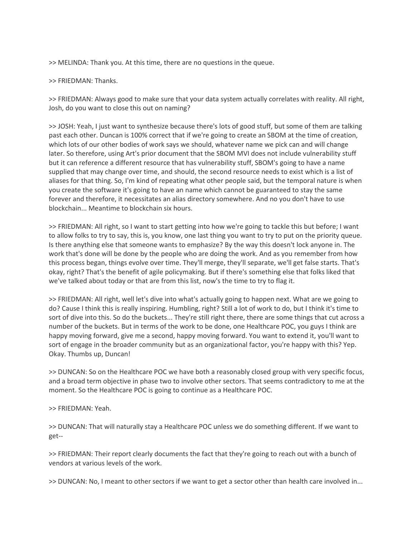>> MELINDA: Thank you. At this time, there are no questions in the queue.

#### >> FRIEDMAN: Thanks.

>> FRIEDMAN: Always good to make sure that your data system actually correlates with reality. All right, Josh, do you want to close this out on naming?

>> JOSH: Yeah, I just want to synthesize because there's lots of good stuff, but some of them are talking past each other. Duncan is 100% correct that if we're going to create an SBOM at the time of creation, which lots of our other bodies of work says we should, whatever name we pick can and will change later. So therefore, using Art's prior document that the SBOM MVI does not include vulnerability stuff but it can reference a different resource that has vulnerability stuff, SBOM's going to have a name supplied that may change over time, and should, the second resource needs to exist which is a list of aliases for that thing. So, I'm kind of repeating what other people said, but the temporal nature is when you create the software it's going to have an name which cannot be guaranteed to stay the same forever and therefore, it necessitates an alias directory somewhere. And no you don't have to use blockchain... Meantime to blockchain six hours.

>> FRIEDMAN: All right, so I want to start getting into how we're going to tackle this but before; I want to allow folks to try to say, this is, you know, one last thing you want to try to put on the priority queue. Is there anything else that someone wants to emphasize? By the way this doesn't lock anyone in. The work that's done will be done by the people who are doing the work. And as you remember from how this process began, things evolve over time. They'll merge, they'll separate, we'll get false starts. That's okay, right? That's the benefit of agile policymaking. But if there's something else that folks liked that we've talked about today or that are from this list, now's the time to try to flag it.

>> FRIEDMAN: All right, well let's dive into what's actually going to happen next. What are we going to do? Cause I think this is really inspiring. Humbling, right? Still a lot of work to do, but I think it's time to sort of dive into this. So do the buckets... They're still right there, there are some things that cut across a number of the buckets. But in terms of the work to be done, one Healthcare POC, you guys I think are happy moving forward, give me a second, happy moving forward. You want to extend it, you'll want to sort of engage in the broader community but as an organizational factor, you're happy with this? Yep. Okay. Thumbs up, Duncan!

>> DUNCAN: So on the Healthcare POC we have both a reasonably closed group with very specific focus, and a broad term objective in phase two to involve other sectors. That seems contradictory to me at the moment. So the Healthcare POC is going to continue as a Healthcare POC.

>> FRIEDMAN: Yeah.

>> DUNCAN: That will naturally stay a Healthcare POC unless we do something different. If we want to get--

>> FRIEDMAN: Their report clearly documents the fact that they're going to reach out with a bunch of vendors at various levels of the work.

>> DUNCAN: No, I meant to other sectors if we want to get a sector other than health care involved in...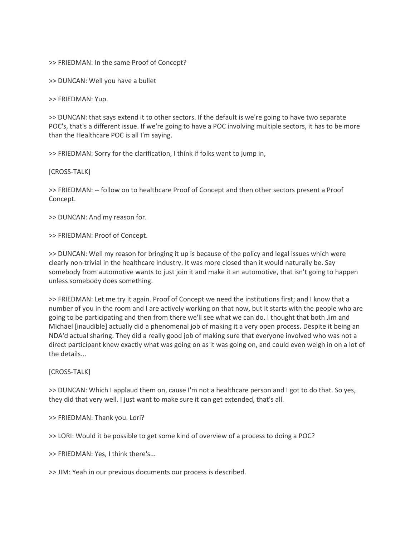>> FRIEDMAN: In the same Proof of Concept?

>> DUNCAN: Well you have a bullet

>> FRIEDMAN: Yup.

>> DUNCAN: that says extend it to other sectors. If the default is we're going to have two separate POC's, that's a different issue. If we're going to have a POC involving multiple sectors, it has to be more than the Healthcare POC is all I'm saying.

>> FRIEDMAN: Sorry for the clarification, I think if folks want to jump in,

[CROSS-TALK]

>> FRIEDMAN: -- follow on to healthcare Proof of Concept and then other sectors present a Proof Concept.

>> DUNCAN: And my reason for.

>> FRIEDMAN: Proof of Concept.

>> DUNCAN: Well my reason for bringing it up is because of the policy and legal issues which were clearly non-trivial in the healthcare industry. It was more closed than it would naturally be. Say somebody from automotive wants to just join it and make it an automotive, that isn't going to happen unless somebody does something.

>> FRIEDMAN: Let me try it again. Proof of Concept we need the institutions first; and I know that a number of you in the room and I are actively working on that now, but it starts with the people who are going to be participating and then from there we'll see what we can do. I thought that both Jim and Michael [inaudible] actually did a phenomenal job of making it a very open process. Despite it being an NDA'd actual sharing. They did a really good job of making sure that everyone involved who was not a direct participant knew exactly what was going on as it was going on, and could even weigh in on a lot of the details...

[CROSS-TALK]

>> DUNCAN: Which I applaud them on, cause I'm not a healthcare person and I got to do that. So yes, they did that very well. I just want to make sure it can get extended, that's all.

>> FRIEDMAN: Thank you. Lori?

>> LORI: Would it be possible to get some kind of overview of a process to doing a POC?

>> FRIEDMAN: Yes, I think there's...

>> JIM: Yeah in our previous documents our process is described.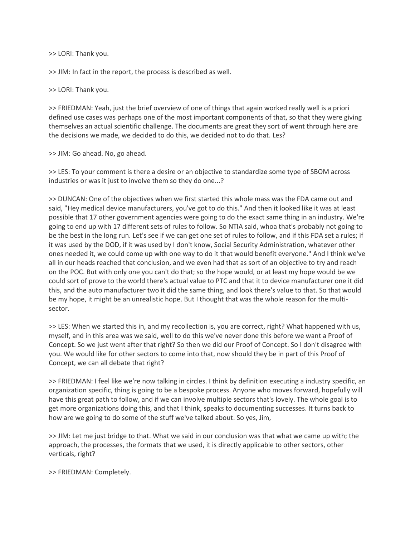>> LORI: Thank you.

>> JIM: In fact in the report, the process is described as well.

>> LORI: Thank you.

>> FRIEDMAN: Yeah, just the brief overview of one of things that again worked really well is a priori defined use cases was perhaps one of the most important components of that, so that they were giving themselves an actual scientific challenge. The documents are great they sort of went through here are the decisions we made, we decided to do this, we decided not to do that. Les?

>> JIM: Go ahead. No, go ahead.

>> LES: To your comment is there a desire or an objective to standardize some type of SBOM across industries or was it just to involve them so they do one...?

>> DUNCAN: One of the objectives when we first started this whole mass was the FDA came out and said, "Hey medical device manufacturers, you've got to do this." And then it looked like it was at least possible that 17 other government agencies were going to do the exact same thing in an industry. We're going to end up with 17 different sets of rules to follow. So NTIA said, whoa that's probably not going to be the best in the long run. Let's see if we can get one set of rules to follow, and if this FDA set a rules; if it was used by the DOD, if it was used by I don't know, Social Security Administration, whatever other ones needed it, we could come up with one way to do it that would benefit everyone." And I think we've all in our heads reached that conclusion, and we even had that as sort of an objective to try and reach on the POC. But with only one you can't do that; so the hope would, or at least my hope would be we could sort of prove to the world there's actual value to PTC and that it to device manufacturer one it did this, and the auto manufacturer two it did the same thing, and look there's value to that. So that would be my hope, it might be an unrealistic hope. But I thought that was the whole reason for the multisector.

>> LES: When we started this in, and my recollection is, you are correct, right? What happened with us, myself, and in this area was we said, well to do this we've never done this before we want a Proof of Concept. So we just went after that right? So then we did our Proof of Concept. So I don't disagree with you. We would like for other sectors to come into that, now should they be in part of this Proof of Concept, we can all debate that right?

>> FRIEDMAN: I feel like we're now talking in circles. I think by definition executing a industry specific, an organization specific, thing is going to be a bespoke process. Anyone who moves forward, hopefully will have this great path to follow, and if we can involve multiple sectors that's lovely. The whole goal is to get more organizations doing this, and that I think, speaks to documenting successes. It turns back to how are we going to do some of the stuff we've talked about. So yes, Jim,

>> JIM: Let me just bridge to that. What we said in our conclusion was that what we came up with; the approach, the processes, the formats that we used, it is directly applicable to other sectors, other verticals, right?

>> FRIEDMAN: Completely.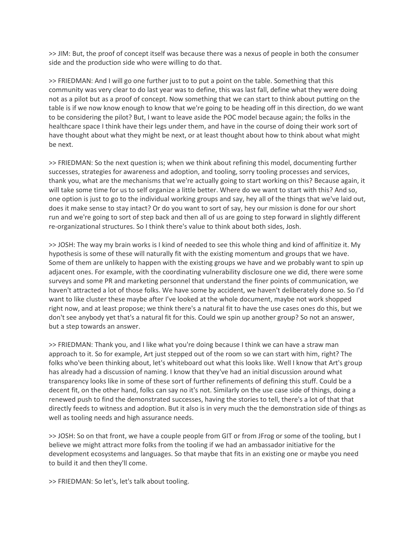>> JIM: But, the proof of concept itself was because there was a nexus of people in both the consumer side and the production side who were willing to do that.

>> FRIEDMAN: And I will go one further just to to put a point on the table. Something that this community was very clear to do last year was to define, this was last fall, define what they were doing not as a pilot but as a proof of concept. Now something that we can start to think about putting on the table is if we now know enough to know that we're going to be heading off in this direction, do we want to be considering the pilot? But, I want to leave aside the POC model because again; the folks in the healthcare space I think have their legs under them, and have in the course of doing their work sort of have thought about what they might be next, or at least thought about how to think about what might be next.

>> FRIEDMAN: So the next question is; when we think about refining this model, documenting further successes, strategies for awareness and adoption, and tooling, sorry tooling processes and services, thank you, what are the mechanisms that we're actually going to start working on this? Because again, it will take some time for us to self organize a little better. Where do we want to start with this? And so, one option is just to go to the individual working groups and say, hey all of the things that we've laid out, does it make sense to stay intact? Or do you want to sort of say, hey our mission is done for our short run and we're going to sort of step back and then all of us are going to step forward in slightly different re-organizational structures. So I think there's value to think about both sides, Josh.

>> JOSH: The way my brain works is I kind of needed to see this whole thing and kind of affinitize it. My hypothesis is some of these will naturally fit with the existing momentum and groups that we have. Some of them are unlikely to happen with the existing groups we have and we probably want to spin up adjacent ones. For example, with the coordinating vulnerability disclosure one we did, there were some surveys and some PR and marketing personnel that understand the finer points of communication, we haven't attracted a lot of those folks. We have some by accident, we haven't deliberately done so. So I'd want to like cluster these maybe after I've looked at the whole document, maybe not work shopped right now, and at least propose; we think there's a natural fit to have the use cases ones do this, but we don't see anybody yet that's a natural fit for this. Could we spin up another group? So not an answer, but a step towards an answer.

>> FRIEDMAN: Thank you, and I like what you're doing because I think we can have a straw man approach to it. So for example, Art just stepped out of the room so we can start with him, right? The folks who've been thinking about, let's whiteboard out what this looks like. Well I know that Art's group has already had a discussion of naming. I know that they've had an initial discussion around what transparency looks like in some of these sort of further refinements of defining this stuff. Could be a decent fit, on the other hand, folks can say no it's not. Similarly on the use case side of things, doing a renewed push to find the demonstrated successes, having the stories to tell, there's a lot of that that directly feeds to witness and adoption. But it also is in very much the the demonstration side of things as well as tooling needs and high assurance needs.

>> JOSH: So on that front, we have a couple people from GIT or from JFrog or some of the tooling, but I believe we might attract more folks from the tooling if we had an ambassador initiative for the development ecosystems and languages. So that maybe that fits in an existing one or maybe you need to build it and then they'll come.

>> FRIEDMAN: So let's, let's talk about tooling.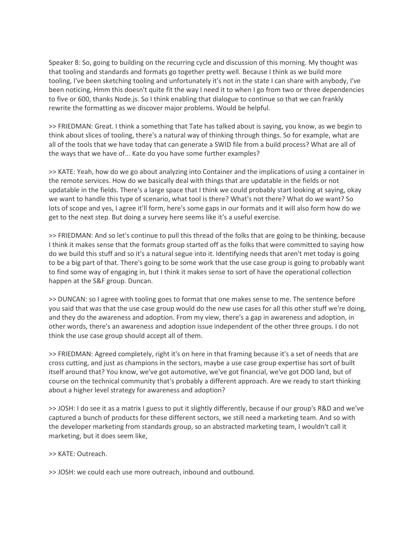Speaker 8: So, going to building on the recurring cycle and discussion of this morning. My thought was that tooling and standards and formats go together pretty well. Because I think as we build more tooling, I've been sketching tooling and unfortunately it's not in the state I can share with anybody, I've been noticing, Hmm this doesn't quite fit the way I need it to when I go from two or three dependencies to five or 600, thanks Node.js. So I think enabling that dialogue to continue so that we can frankly rewrite the formatting as we discover major problems. Would be helpful.

>> FRIEDMAN: Great. I think a something that Tate has talked about is saying, you know, as we begin to think about slices of tooling, there's a natural way of thinking through things. So for example, what are all of the tools that we have today that can generate a SWID file from a build process? What are all of the ways that we have of... Kate do you have some further examples?

>> KATE: Yeah, how do we go about analyzing into Container and the implications of using a container in the remote services. How do we basically deal with things that are updatable in the fields or not updatable in the fields. There's a large space that I think we could probably start looking at saying, okay we want to handle this type of scenario, what tool is there? What's not there? What do we want? So lots of scope and yes, I agree it'll form, here's some gaps in our formats and it will also form how do we get to the next step. But doing a survey here seems like it's a useful exercise.

>> FRIEDMAN: And so let's continue to pull this thread of the folks that are going to be thinking, because I think it makes sense that the formats group started off as the folks that were committed to saying how do we build this stuff and so it's a natural segue into it. Identifying needs that aren't met today is going to be a big part of that. There's going to be some work that the use case group is going to probably want to find some way of engaging in, but I think it makes sense to sort of have the operational collection happen at the S&F group. Duncan.

>> DUNCAN: so I agree with tooling goes to format that one makes sense to me. The sentence before you said that was that the use case group would do the new use cases for all this other stuff we're doing, and they do the awareness and adoption. From my view, there's a gap in awareness and adoption, in other words, there's an awareness and adoption issue independent of the other three groups. I do not think the use case group should accept all of them.

>> FRIEDMAN: Agreed completely, right it's on here in that framing because it's a set of needs that are cross cutting, and just as champions in the sectors, maybe a use case group expertise has sort of built itself around that? You know, we've got automotive, we've got financial, we've got DOD land, but of course on the technical community that's probably a different approach. Are we ready to start thinking about a higher level strategy for awareness and adoption?

>> JOSH: I do see it as a matrix I guess to put it slightly differently, because if our group's R&D and we've captured a bunch of products for these different sectors, we still need a marketing team. And so with the developer marketing from standards group, so an abstracted marketing team, I wouldn't call it marketing, but it does seem like,

>> KATE: Outreach.

>> JOSH: we could each use more outreach, inbound and outbound.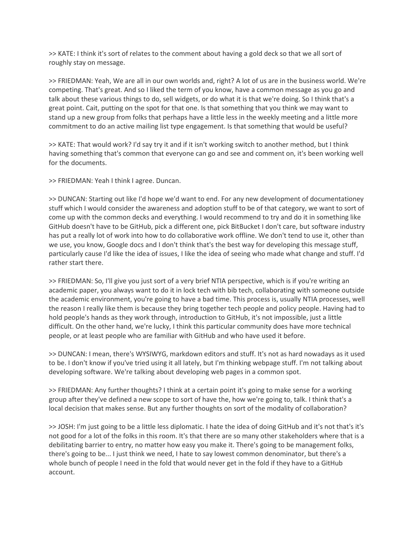>> KATE: I think it's sort of relates to the comment about having a gold deck so that we all sort of roughly stay on message.

>> FRIEDMAN: Yeah, We are all in our own worlds and, right? A lot of us are in the business world. We're competing. That's great. And so I liked the term of you know, have a common message as you go and talk about these various things to do, sell widgets, or do what it is that we're doing. So I think that's a great point. Cait, putting on the spot for that one. Is that something that you think we may want to stand up a new group from folks that perhaps have a little less in the weekly meeting and a little more commitment to do an active mailing list type engagement. Is that something that would be useful?

>> KATE: That would work? I'd say try it and if it isn't working switch to another method, but I think having something that's common that everyone can go and see and comment on, it's been working well for the documents.

>> FRIEDMAN: Yeah I think I agree. Duncan.

>> DUNCAN: Starting out like I'd hope we'd want to end. For any new development of documentationey stuff which I would consider the awareness and adoption stuff to be of that category, we want to sort of come up with the common decks and everything. I would recommend to try and do it in something like GitHub doesn't have to be GitHub, pick a different one, pick BitBucket I don't care, but software industry has put a really lot of work into how to do collaborative work offline. We don't tend to use it, other than we use, you know, Google docs and I don't think that's the best way for developing this message stuff, particularly cause I'd like the idea of issues, I like the idea of seeing who made what change and stuff. I'd rather start there.

>> FRIEDMAN: So, I'll give you just sort of a very brief NTIA perspective, which is if you're writing an academic paper, you always want to do it in lock tech with bib tech, collaborating with someone outside the academic environment, you're going to have a bad time. This process is, usually NTIA processes, well the reason I really like them is because they bring together tech people and policy people. Having had to hold people's hands as they work through, introduction to GitHub, it's not impossible, just a little difficult. On the other hand, we're lucky, I think this particular community does have more technical people, or at least people who are familiar with GitHub and who have used it before.

>> DUNCAN: I mean, there's WYSIWYG, markdown editors and stuff. It's not as hard nowadays as it used to be. I don't know if you've tried using it all lately, but I'm thinking webpage stuff. I'm not talking about developing software. We're talking about developing web pages in a common spot.

>> FRIEDMAN: Any further thoughts? I think at a certain point it's going to make sense for a working group after they've defined a new scope to sort of have the, how we're going to, talk. I think that's a local decision that makes sense. But any further thoughts on sort of the modality of collaboration?

>> JOSH: I'm just going to be a little less diplomatic. I hate the idea of doing GitHub and it's not that's it's not good for a lot of the folks in this room. It's that there are so many other stakeholders where that is a debilitating barrier to entry, no matter how easy you make it. There's going to be management folks, there's going to be... I just think we need, I hate to say lowest common denominator, but there's a whole bunch of people I need in the fold that would never get in the fold if they have to a GitHub account.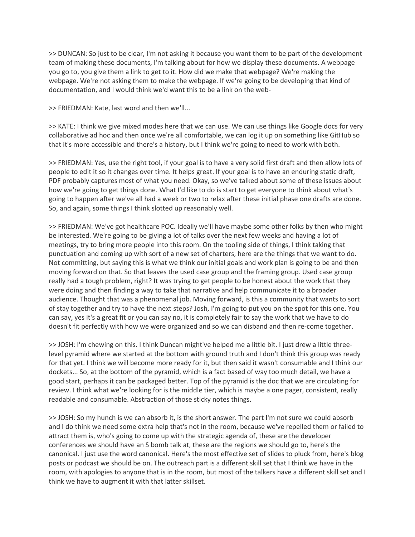>> DUNCAN: So just to be clear, I'm not asking it because you want them to be part of the development team of making these documents, I'm talking about for how we display these documents. A webpage you go to, you give them a link to get to it. How did we make that webpage? We're making the webpage. We're not asking them to make the webpage. If we're going to be developing that kind of documentation, and I would think we'd want this to be a link on the web-

>> FRIEDMAN: Kate, last word and then we'll...

>> KATE: I think we give mixed modes here that we can use. We can use things like Google docs for very collaborative ad hoc and then once we're all comfortable, we can log it up on something like GitHub so that it's more accessible and there's a history, but I think we're going to need to work with both.

>> FRIEDMAN: Yes, use the right tool, if your goal is to have a very solid first draft and then allow lots of people to edit it so it changes over time. It helps great. If your goal is to have an enduring static draft, PDF probably captures most of what you need. Okay, so we've talked about some of these issues about how we're going to get things done. What I'd like to do is start to get everyone to think about what's going to happen after we've all had a week or two to relax after these initial phase one drafts are done. So, and again, some things I think slotted up reasonably well.

>> FRIEDMAN: We've got healthcare POC. Ideally we'll have maybe some other folks by then who might be interested. We're going to be giving a lot of talks over the next few weeks and having a lot of meetings, try to bring more people into this room. On the tooling side of things, I think taking that punctuation and coming up with sort of a new set of charters, here are the things that we want to do. Not committing, but saying this is what we think our initial goals and work plan is going to be and then moving forward on that. So that leaves the used case group and the framing group. Used case group really had a tough problem, right? It was trying to get people to be honest about the work that they were doing and then finding a way to take that narrative and help communicate it to a broader audience. Thought that was a phenomenal job. Moving forward, is this a community that wants to sort of stay together and try to have the next steps? Josh, I'm going to put you on the spot for this one. You can say, yes it's a great fit or you can say no, it is completely fair to say the work that we have to do doesn't fit perfectly with how we were organized and so we can disband and then re-come together.

>> JOSH: I'm chewing on this. I think Duncan might've helped me a little bit. I just drew a little threelevel pyramid where we started at the bottom with ground truth and I don't think this group was ready for that yet. I think we will become more ready for it, but then said it wasn't consumable and I think our dockets... So, at the bottom of the pyramid, which is a fact based of way too much detail, we have a good start, perhaps it can be packaged better. Top of the pyramid is the doc that we are circulating for review. I think what we're looking for is the middle tier, which is maybe a one pager, consistent, really readable and consumable. Abstraction of those sticky notes things.

>> JOSH: So my hunch is we can absorb it, is the short answer. The part I'm not sure we could absorb and I do think we need some extra help that's not in the room, because we've repelled them or failed to attract them is, who's going to come up with the strategic agenda of, these are the developer conferences we should have an S bomb talk at, these are the regions we should go to, here's the canonical. I just use the word canonical. Here's the most effective set of slides to pluck from, here's blog posts or podcast we should be on. The outreach part is a different skill set that I think we have in the room, with apologies to anyone that is in the room, but most of the talkers have a different skill set and I think we have to augment it with that latter skillset.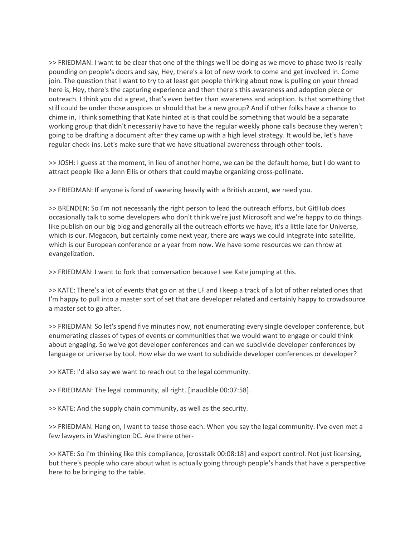>> FRIEDMAN: I want to be clear that one of the things we'll be doing as we move to phase two is really pounding on people's doors and say, Hey, there's a lot of new work to come and get involved in. Come join. The question that I want to try to at least get people thinking about now is pulling on your thread here is, Hey, there's the capturing experience and then there's this awareness and adoption piece or outreach. I think you did a great, that's even better than awareness and adoption. Is that something that still could be under those auspices or should that be a new group? And if other folks have a chance to chime in, I think something that Kate hinted at is that could be something that would be a separate working group that didn't necessarily have to have the regular weekly phone calls because they weren't going to be drafting a document after they came up with a high level strategy. It would be, let's have regular check-ins. Let's make sure that we have situational awareness through other tools.

>> JOSH: I guess at the moment, in lieu of another home, we can be the default home, but I do want to attract people like a Jenn Ellis or others that could maybe organizing cross-pollinate.

>> FRIEDMAN: If anyone is fond of swearing heavily with a British accent, we need you.

>> BRENDEN: So I'm not necessarily the right person to lead the outreach efforts, but GitHub does occasionally talk to some developers who don't think we're just Microsoft and we're happy to do things like publish on our big blog and generally all the outreach efforts we have, it's a little late for Universe, which is our. Megacon, but certainly come next year, there are ways we could integrate into satellite, which is our European conference or a year from now. We have some resources we can throw at evangelization.

>> FRIEDMAN: I want to fork that conversation because I see Kate jumping at this.

>> KATE: There's a lot of events that go on at the LF and I keep a track of a lot of other related ones that I'm happy to pull into a master sort of set that are developer related and certainly happy to crowdsource a master set to go after.

>> FRIEDMAN: So let's spend five minutes now, not enumerating every single developer conference, but enumerating classes of types of events or communities that we would want to engage or could think about engaging. So we've got developer conferences and can we subdivide developer conferences by language or universe by tool. How else do we want to subdivide developer conferences or developer?

>> KATE: I'd also say we want to reach out to the legal community.

>> FRIEDMAN: The legal community, all right. [inaudible 00:07:58].

>> KATE: And the supply chain community, as well as the security.

>> FRIEDMAN: Hang on, I want to tease those each. When you say the legal community. I've even met a few lawyers in Washington DC. Are there other-

>> KATE: So I'm thinking like this compliance, [crosstalk 00:08:18] and export control. Not just licensing, but there's people who care about what is actually going through people's hands that have a perspective here to be bringing to the table.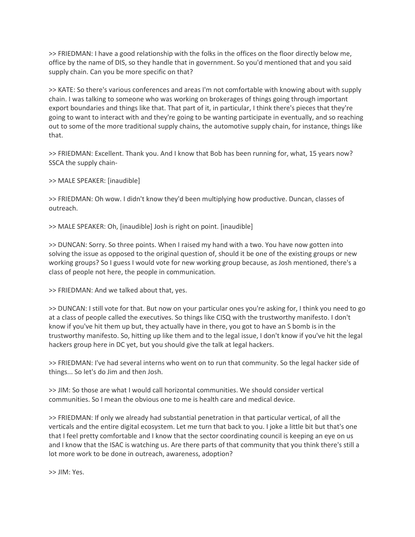>> FRIEDMAN: I have a good relationship with the folks in the offices on the floor directly below me, office by the name of DIS, so they handle that in government. So you'd mentioned that and you said supply chain. Can you be more specific on that?

>> KATE: So there's various conferences and areas I'm not comfortable with knowing about with supply chain. I was talking to someone who was working on brokerages of things going through important export boundaries and things like that. That part of it, in particular, I think there's pieces that they're going to want to interact with and they're going to be wanting participate in eventually, and so reaching out to some of the more traditional supply chains, the automotive supply chain, for instance, things like that.

>> FRIEDMAN: Excellent. Thank you. And I know that Bob has been running for, what, 15 years now? SSCA the supply chain-

>> MALE SPEAKER: [inaudible]

>> FRIEDMAN: Oh wow. I didn't know they'd been multiplying how productive. Duncan, classes of outreach.

>> MALE SPEAKER: Oh, [inaudible] Josh is right on point. [inaudible]

>> DUNCAN: Sorry. So three points. When I raised my hand with a two. You have now gotten into solving the issue as opposed to the original question of, should it be one of the existing groups or new working groups? So I guess I would vote for new working group because, as Josh mentioned, there's a class of people not here, the people in communication.

>> FRIEDMAN: And we talked about that, yes.

>> DUNCAN: I still vote for that. But now on your particular ones you're asking for, I think you need to go at a class of people called the executives. So things like CISQ with the trustworthy manifesto. I don't know if you've hit them up but, they actually have in there, you got to have an S bomb is in the trustworthy manifesto. So, hitting up like them and to the legal issue, I don't know if you've hit the legal hackers group here in DC yet, but you should give the talk at legal hackers.

>> FRIEDMAN: I've had several interns who went on to run that community. So the legal hacker side of things... So let's do Jim and then Josh.

>> JIM: So those are what I would call horizontal communities. We should consider vertical communities. So I mean the obvious one to me is health care and medical device.

>> FRIEDMAN: If only we already had substantial penetration in that particular vertical, of all the verticals and the entire digital ecosystem. Let me turn that back to you. I joke a little bit but that's one that I feel pretty comfortable and I know that the sector coordinating council is keeping an eye on us and I know that the ISAC is watching us. Are there parts of that community that you think there's still a lot more work to be done in outreach, awareness, adoption?

>> JIM: Yes.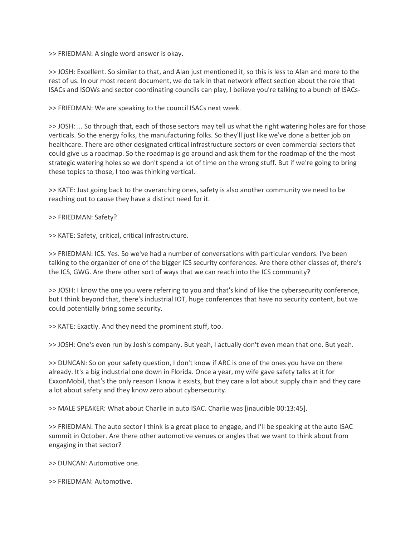>> FRIEDMAN: A single word answer is okay.

>> JOSH: Excellent. So similar to that, and Alan just mentioned it, so this is less to Alan and more to the rest of us. In our most recent document, we do talk in that network effect section about the role that ISACs and ISOWs and sector coordinating councils can play, I believe you're talking to a bunch of ISACs-

>> FRIEDMAN: We are speaking to the council ISACs next week.

>> JOSH: ... So through that, each of those sectors may tell us what the right watering holes are for those verticals. So the energy folks, the manufacturing folks. So they'll just like we've done a better job on healthcare. There are other designated critical infrastructure sectors or even commercial sectors that could give us a roadmap. So the roadmap is go around and ask them for the roadmap of the the most strategic watering holes so we don't spend a lot of time on the wrong stuff. But if we're going to bring these topics to those, I too was thinking vertical.

>> KATE: Just going back to the overarching ones, safety is also another community we need to be reaching out to cause they have a distinct need for it.

>> FRIEDMAN: Safety?

>> KATE: Safety, critical, critical infrastructure.

>> FRIEDMAN: ICS. Yes. So we've had a number of conversations with particular vendors. I've been talking to the organizer of one of the bigger ICS security conferences. Are there other classes of, there's the ICS, GWG. Are there other sort of ways that we can reach into the ICS community?

>> JOSH: I know the one you were referring to you and that's kind of like the cybersecurity conference, but I think beyond that, there's industrial IOT, huge conferences that have no security content, but we could potentially bring some security.

>> KATE: Exactly. And they need the prominent stuff, too.

>> JOSH: One's even run by Josh's company. But yeah, I actually don't even mean that one. But yeah.

>> DUNCAN: So on your safety question, I don't know if ARC is one of the ones you have on there already. It's a big industrial one down in Florida. Once a year, my wife gave safety talks at it for ExxonMobil, that's the only reason I know it exists, but they care a lot about supply chain and they care a lot about safety and they know zero about cybersecurity.

>> MALE SPEAKER: What about Charlie in auto ISAC. Charlie was [inaudible 00:13:45].

>> FRIEDMAN: The auto sector I think is a great place to engage, and I'll be speaking at the auto ISAC summit in October. Are there other automotive venues or angles that we want to think about from engaging in that sector?

>> DUNCAN: Automotive one.

>> FRIEDMAN: Automotive.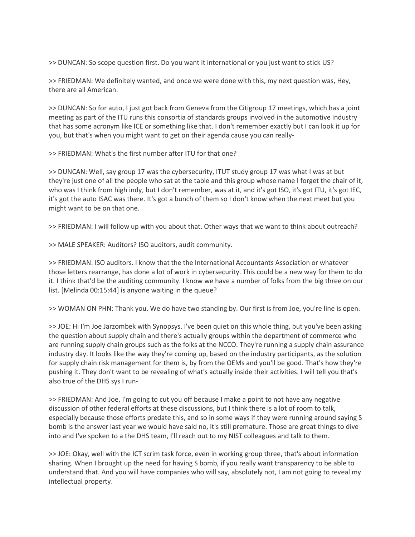>> DUNCAN: So scope question first. Do you want it international or you just want to stick US?

>> FRIEDMAN: We definitely wanted, and once we were done with this, my next question was, Hey, there are all American.

>> DUNCAN: So for auto, I just got back from Geneva from the Citigroup 17 meetings, which has a joint meeting as part of the ITU runs this consortia of standards groups involved in the automotive industry that has some acronym like ICE or something like that. I don't remember exactly but I can look it up for you, but that's when you might want to get on their agenda cause you can really-

>> FRIEDMAN: What's the first number after ITU for that one?

>> DUNCAN: Well, say group 17 was the cybersecurity, ITUT study group 17 was what I was at but they're just one of all the people who sat at the table and this group whose name I forget the chair of it, who was I think from high indy, but I don't remember, was at it, and it's got ISO, it's got ITU, it's got IEC, it's got the auto ISAC was there. It's got a bunch of them so I don't know when the next meet but you might want to be on that one.

>> FRIEDMAN: I will follow up with you about that. Other ways that we want to think about outreach?

>> MALE SPEAKER: Auditors? ISO auditors, audit community.

>> FRIEDMAN: ISO auditors. I know that the the International Accountants Association or whatever those letters rearrange, has done a lot of work in cybersecurity. This could be a new way for them to do it. I think that'd be the auditing community. I know we have a number of folks from the big three on our list. [Melinda 00:15:44] is anyone waiting in the queue?

>> WOMAN ON PHN: Thank you. We do have two standing by. Our first is from Joe, you're line is open.

>> JOE: Hi I'm Joe Jarzombek with Synopsys. I've been quiet on this whole thing, but you've been asking the question about supply chain and there's actually groups within the department of commerce who are running supply chain groups such as the folks at the NCCO. They're running a supply chain assurance industry day. It looks like the way they're coming up, based on the industry participants, as the solution for supply chain risk management for them is, by from the OEMs and you'll be good. That's how they're pushing it. They don't want to be revealing of what's actually inside their activities. I will tell you that's also true of the DHS sys I run-

>> FRIEDMAN: And Joe, I'm going to cut you off because I make a point to not have any negative discussion of other federal efforts at these discussions, but I think there is a lot of room to talk, especially because those efforts predate this, and so in some ways if they were running around saying S bomb is the answer last year we would have said no, it's still premature. Those are great things to dive into and I've spoken to a the DHS team, I'll reach out to my NIST colleagues and talk to them.

>> JOE: Okay, well with the ICT scrim task force, even in working group three, that's about information sharing. When I brought up the need for having S bomb, if you really want transparency to be able to understand that. And you will have companies who will say, absolutely not, I am not going to reveal my intellectual property.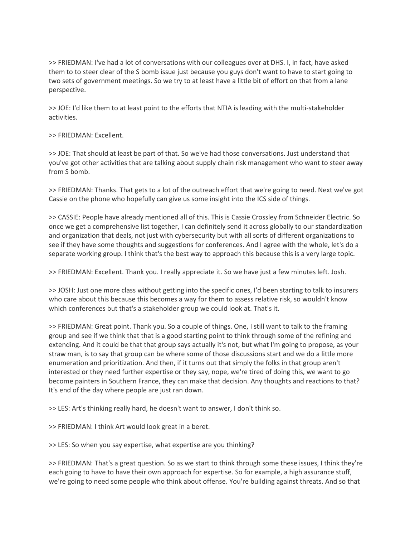>> FRIEDMAN: I've had a lot of conversations with our colleagues over at DHS. I, in fact, have asked them to to steer clear of the S bomb issue just because you guys don't want to have to start going to two sets of government meetings. So we try to at least have a little bit of effort on that from a lane perspective.

>> JOE: I'd like them to at least point to the efforts that NTIA is leading with the multi-stakeholder activities.

>> FRIEDMAN: Excellent.

>> JOE: That should at least be part of that. So we've had those conversations. Just understand that you've got other activities that are talking about supply chain risk management who want to steer away from S bomb.

>> FRIEDMAN: Thanks. That gets to a lot of the outreach effort that we're going to need. Next we've got Cassie on the phone who hopefully can give us some insight into the ICS side of things.

>> CASSIE: People have already mentioned all of this. This is Cassie Crossley from Schneider Electric. So once we get a comprehensive list together, I can definitely send it across globally to our standardization and organization that deals, not just with cybersecurity but with all sorts of different organizations to see if they have some thoughts and suggestions for conferences. And I agree with the whole, let's do a separate working group. I think that's the best way to approach this because this is a very large topic.

>> FRIEDMAN: Excellent. Thank you. I really appreciate it. So we have just a few minutes left. Josh.

>> JOSH: Just one more class without getting into the specific ones, I'd been starting to talk to insurers who care about this because this becomes a way for them to assess relative risk, so wouldn't know which conferences but that's a stakeholder group we could look at. That's it.

>> FRIEDMAN: Great point. Thank you. So a couple of things. One, I still want to talk to the framing group and see if we think that that is a good starting point to think through some of the refining and extending. And it could be that that group says actually it's not, but what I'm going to propose, as your straw man, is to say that group can be where some of those discussions start and we do a little more enumeration and prioritization. And then, if it turns out that simply the folks in that group aren't interested or they need further expertise or they say, nope, we're tired of doing this, we want to go become painters in Southern France, they can make that decision. Any thoughts and reactions to that? It's end of the day where people are just ran down.

>> LES: Art's thinking really hard, he doesn't want to answer, I don't think so.

>> FRIEDMAN: I think Art would look great in a beret.

>> LES: So when you say expertise, what expertise are you thinking?

>> FRIEDMAN: That's a great question. So as we start to think through some these issues, I think they're each going to have to have their own approach for expertise. So for example, a high assurance stuff, we're going to need some people who think about offense. You're building against threats. And so that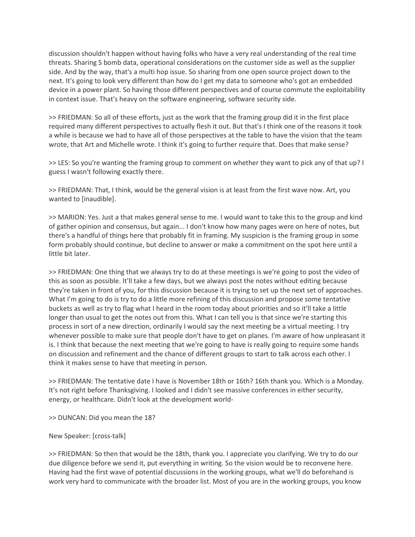discussion shouldn't happen without having folks who have a very real understanding of the real time threats. Sharing S bomb data, operational considerations on the customer side as well as the supplier side. And by the way, that's a multi hop issue. So sharing from one open source project down to the next. It's going to look very different than how do I get my data to someone who's got an embedded device in a power plant. So having those different perspectives and of course commute the exploitability in context issue. That's heavy on the software engineering, software security side.

>> FRIEDMAN: So all of these efforts, just as the work that the framing group did it in the first place required many different perspectives to actually flesh it out. But that's I think one of the reasons it took a while is because we had to have all of those perspectives at the table to have the vision that the team wrote, that Art and Michelle wrote. I think it's going to further require that. Does that make sense?

>> LES: So you're wanting the framing group to comment on whether they want to pick any of that up? I guess I wasn't following exactly there.

>> FRIEDMAN: That, I think, would be the general vision is at least from the first wave now. Art, you wanted to [inaudible].

>> MARION: Yes. Just a that makes general sense to me. I would want to take this to the group and kind of gather opinion and consensus, but again... I don't know how many pages were on here of notes, but there's a handful of things here that probably fit in framing. My suspicion is the framing group in some form probably should continue, but decline to answer or make a commitment on the spot here until a little bit later.

>> FRIEDMAN: One thing that we always try to do at these meetings is we're going to post the video of this as soon as possible. It'll take a few days, but we always post the notes without editing because they're taken in front of you, for this discussion because it is trying to set up the next set of approaches. What I'm going to do is try to do a little more refining of this discussion and propose some tentative buckets as well as try to flag what I heard in the room today about priorities and so it'll take a little longer than usual to get the notes out from this. What I can tell you is that since we're starting this process in sort of a new direction, ordinarily I would say the next meeting be a virtual meeting. I try whenever possible to make sure that people don't have to get on planes. I'm aware of how unpleasant it is. I think that because the next meeting that we're going to have is really going to require some hands on discussion and refinement and the chance of different groups to start to talk across each other. I think it makes sense to have that meeting in person.

>> FRIEDMAN: The tentative date I have is November 18th or 16th? 16th thank you. Which is a Monday. It's not right before Thanksgiving. I looked and I didn't see massive conferences in either security, energy, or healthcare. Didn't look at the development world-

>> DUNCAN: Did you mean the 18?

New Speaker: [cross-talk]

>> FRIEDMAN: So then that would be the 18th, thank you. I appreciate you clarifying. We try to do our due diligence before we send it, put everything in writing. So the vision would be to reconvene here. Having had the first wave of potential discussions in the working groups, what we'll do beforehand is work very hard to communicate with the broader list. Most of you are in the working groups, you know